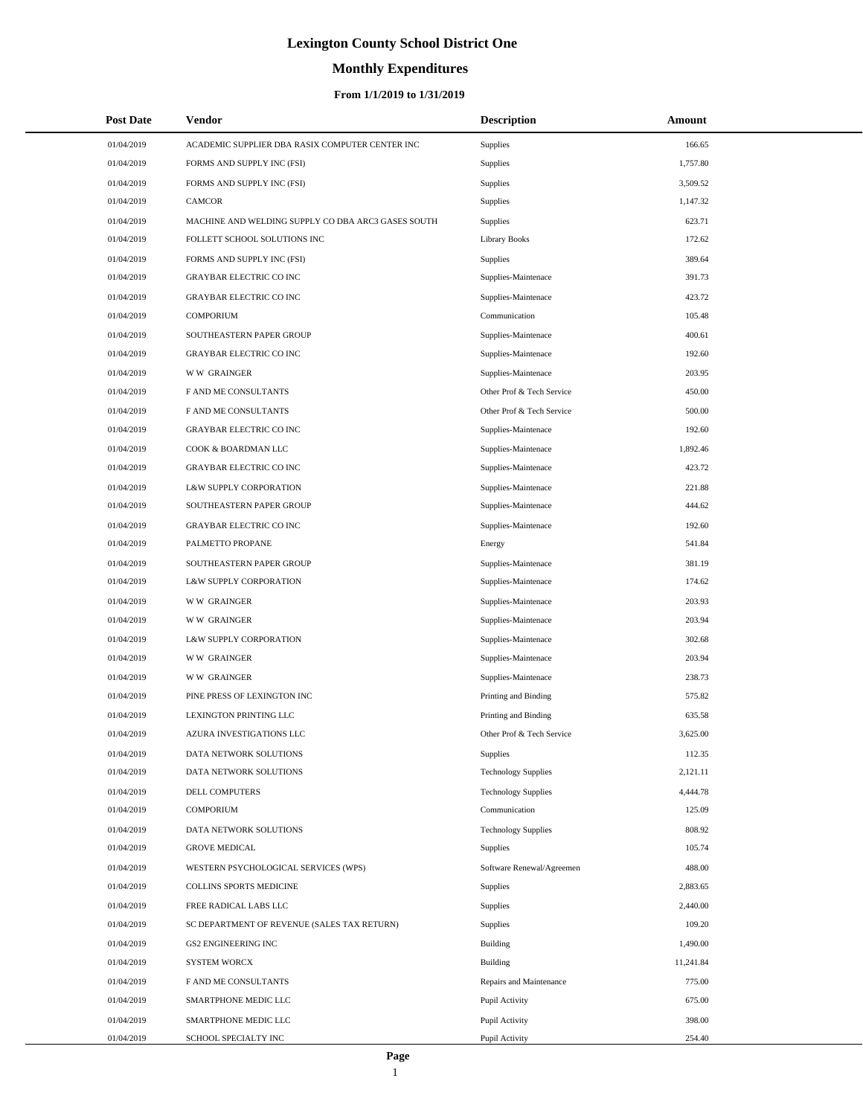# **Monthly Expenditures**

### **From 1/1/2019 to 1/31/2019**

| <b>Post Date</b> | Vendor                                             | <b>Description</b>         | Amount    |
|------------------|----------------------------------------------------|----------------------------|-----------|
| 01/04/2019       | ACADEMIC SUPPLIER DBA RASIX COMPUTER CENTER INC    | Supplies                   | 166.65    |
| 01/04/2019       | FORMS AND SUPPLY INC (FSI)                         | Supplies                   | 1,757.80  |
| 01/04/2019       | FORMS AND SUPPLY INC (FSI)                         | Supplies                   | 3,509.52  |
| 01/04/2019       | <b>CAMCOR</b>                                      | Supplies                   | 1,147.32  |
| 01/04/2019       | MACHINE AND WELDING SUPPLY CO DBA ARC3 GASES SOUTH | Supplies                   | 623.71    |
| 01/04/2019       | FOLLETT SCHOOL SOLUTIONS INC                       | <b>Library Books</b>       | 172.62    |
| 01/04/2019       | FORMS AND SUPPLY INC (FSI)                         | Supplies                   | 389.64    |
| 01/04/2019       | <b>GRAYBAR ELECTRIC CO INC</b>                     | Supplies-Maintenace        | 391.73    |
| 01/04/2019       | <b>GRAYBAR ELECTRIC CO INC</b>                     | Supplies-Maintenace        | 423.72    |
| 01/04/2019       | <b>COMPORIUM</b>                                   | Communication              | 105.48    |
| 01/04/2019       | SOUTHEASTERN PAPER GROUP                           | Supplies-Maintenace        | 400.61    |
| 01/04/2019       | <b>GRAYBAR ELECTRIC CO INC</b>                     | Supplies-Maintenace        | 192.60    |
| 01/04/2019       | <b>WW GRAINGER</b>                                 | Supplies-Maintenace        | 203.95    |
| 01/04/2019       | F AND ME CONSULTANTS                               | Other Prof & Tech Service  | 450.00    |
| 01/04/2019       | F AND ME CONSULTANTS                               | Other Prof & Tech Service  | 500.00    |
| 01/04/2019       | <b>GRAYBAR ELECTRIC CO INC</b>                     | Supplies-Maintenace        | 192.60    |
| 01/04/2019       | COOK & BOARDMAN LLC                                | Supplies-Maintenace        | 1,892.46  |
| 01/04/2019       | <b>GRAYBAR ELECTRIC CO INC</b>                     | Supplies-Maintenace        | 423.72    |
| 01/04/2019       | <b>L&amp;W SUPPLY CORPORATION</b>                  | Supplies-Maintenace        | 221.88    |
| 01/04/2019       | SOUTHEASTERN PAPER GROUP                           | Supplies-Maintenace        | 444.62    |
| 01/04/2019       | <b>GRAYBAR ELECTRIC CO INC</b>                     | Supplies-Maintenace        | 192.60    |
| 01/04/2019       | PALMETTO PROPANE                                   | Energy                     | 541.84    |
| 01/04/2019       | SOUTHEASTERN PAPER GROUP                           | Supplies-Maintenace        | 381.19    |
| 01/04/2019       | L&W SUPPLY CORPORATION                             | Supplies-Maintenace        | 174.62    |
| 01/04/2019       | <b>WW GRAINGER</b>                                 | Supplies-Maintenace        | 203.93    |
| 01/04/2019       | <b>WW GRAINGER</b>                                 | Supplies-Maintenace        | 203.94    |
| 01/04/2019       | L&W SUPPLY CORPORATION                             | Supplies-Maintenace        | 302.68    |
| 01/04/2019       | <b>WW GRAINGER</b>                                 | Supplies-Maintenace        | 203.94    |
| 01/04/2019       | <b>WW GRAINGER</b>                                 | Supplies-Maintenace        | 238.73    |
| 01/04/2019       | PINE PRESS OF LEXINGTON INC                        | Printing and Binding       | 575.82    |
| 01/04/2019       | LEXINGTON PRINTING LLC                             | Printing and Binding       | 635.58    |
| 01/04/2019       | AZURA INVESTIGATIONS LLC                           | Other Prof & Tech Service  | 3,625.00  |
| 01/04/2019       | DATA NETWORK SOLUTIONS                             | Supplies                   | 112.35    |
| 01/04/2019       | DATA NETWORK SOLUTIONS                             | <b>Technology Supplies</b> | 2,121.11  |
| 01/04/2019       | <b>DELL COMPUTERS</b>                              | <b>Technology Supplies</b> | 4,444.78  |
| 01/04/2019       | <b>COMPORIUM</b>                                   | Communication              | 125.09    |
| 01/04/2019       | DATA NETWORK SOLUTIONS                             | <b>Technology Supplies</b> | 808.92    |
| 01/04/2019       | <b>GROVE MEDICAL</b>                               | Supplies                   | 105.74    |
| 01/04/2019       | WESTERN PSYCHOLOGICAL SERVICES (WPS)               | Software Renewal/Agreemen  | 488.00    |
| 01/04/2019       | COLLINS SPORTS MEDICINE                            | Supplies                   | 2,883.65  |
| 01/04/2019       | FREE RADICAL LABS LLC                              | Supplies                   | 2,440.00  |
| 01/04/2019       | SC DEPARTMENT OF REVENUE (SALES TAX RETURN)        | Supplies                   | 109.20    |
| 01/04/2019       | <b>GS2 ENGINEERING INC</b>                         | Building                   | 1,490.00  |
| 01/04/2019       | <b>SYSTEM WORCX</b>                                | Building                   | 11,241.84 |
| 01/04/2019       | F AND ME CONSULTANTS                               | Repairs and Maintenance    | 775.00    |
| 01/04/2019       | SMARTPHONE MEDIC LLC                               | Pupil Activity             | 675.00    |
| 01/04/2019       | SMARTPHONE MEDIC LLC                               | Pupil Activity             | 398.00    |
| 01/04/2019       | SCHOOL SPECIALTY INC                               | Pupil Activity             | 254.40    |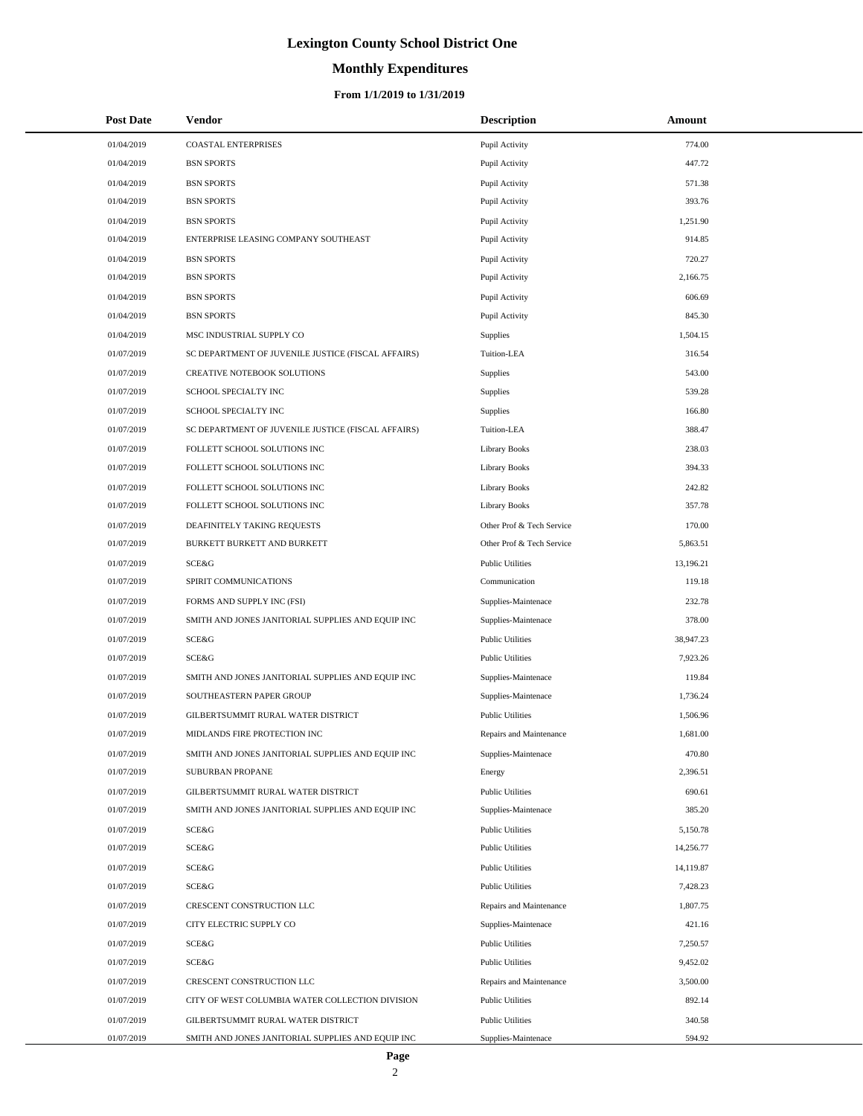# **Monthly Expenditures**

| <b>Post Date</b> | Vendor                                             | <b>Description</b>        | Amount    |
|------------------|----------------------------------------------------|---------------------------|-----------|
| 01/04/2019       | <b>COASTAL ENTERPRISES</b>                         | Pupil Activity            | 774.00    |
| 01/04/2019       | <b>BSN SPORTS</b>                                  | Pupil Activity            | 447.72    |
| 01/04/2019       | <b>BSN SPORTS</b>                                  | Pupil Activity            | 571.38    |
| 01/04/2019       | <b>BSN SPORTS</b>                                  | Pupil Activity            | 393.76    |
| 01/04/2019       | <b>BSN SPORTS</b>                                  | Pupil Activity            | 1,251.90  |
| 01/04/2019       | ENTERPRISE LEASING COMPANY SOUTHEAST               | Pupil Activity            | 914.85    |
| 01/04/2019       | <b>BSN SPORTS</b>                                  | Pupil Activity            | 720.27    |
| 01/04/2019       | <b>BSN SPORTS</b>                                  | Pupil Activity            | 2,166.75  |
| 01/04/2019       | <b>BSN SPORTS</b>                                  | Pupil Activity            | 606.69    |
| 01/04/2019       | <b>BSN SPORTS</b>                                  | Pupil Activity            | 845.30    |
| 01/04/2019       | MSC INDUSTRIAL SUPPLY CO                           | Supplies                  | 1,504.15  |
| 01/07/2019       | SC DEPARTMENT OF JUVENILE JUSTICE (FISCAL AFFAIRS) | Tuition-LEA               | 316.54    |
| 01/07/2019       | CREATIVE NOTEBOOK SOLUTIONS                        | <b>Supplies</b>           | 543.00    |
| 01/07/2019       | SCHOOL SPECIALTY INC                               | Supplies                  | 539.28    |
| 01/07/2019       | SCHOOL SPECIALTY INC                               | <b>Supplies</b>           | 166.80    |
| 01/07/2019       | SC DEPARTMENT OF JUVENILE JUSTICE (FISCAL AFFAIRS) | Tuition-LEA               | 388.47    |
| 01/07/2019       | FOLLETT SCHOOL SOLUTIONS INC                       | <b>Library Books</b>      | 238.03    |
| 01/07/2019       | FOLLETT SCHOOL SOLUTIONS INC                       | <b>Library Books</b>      | 394.33    |
| 01/07/2019       | FOLLETT SCHOOL SOLUTIONS INC                       | <b>Library Books</b>      | 242.82    |
| 01/07/2019       | FOLLETT SCHOOL SOLUTIONS INC                       | <b>Library Books</b>      | 357.78    |
| 01/07/2019       | DEAFINITELY TAKING REQUESTS                        | Other Prof & Tech Service | 170.00    |
| 01/07/2019       | BURKETT BURKETT AND BURKETT                        | Other Prof & Tech Service | 5,863.51  |
| 01/07/2019       | <b>SCE&amp;G</b>                                   | <b>Public Utilities</b>   | 13,196.21 |
| 01/07/2019       | SPIRIT COMMUNICATIONS                              | Communication             | 119.18    |
| 01/07/2019       | FORMS AND SUPPLY INC (FSI)                         | Supplies-Maintenace       | 232.78    |
| 01/07/2019       | SMITH AND JONES JANITORIAL SUPPLIES AND EQUIP INC  | Supplies-Maintenace       | 378.00    |
| 01/07/2019       | SCE&G                                              | <b>Public Utilities</b>   | 38,947.23 |
| 01/07/2019       | SCE&G                                              | <b>Public Utilities</b>   | 7,923.26  |
| 01/07/2019       | SMITH AND JONES JANITORIAL SUPPLIES AND EQUIP INC  | Supplies-Maintenace       | 119.84    |
| 01/07/2019       | SOUTHEASTERN PAPER GROUP                           | Supplies-Maintenace       | 1,736.24  |
| 01/07/2019       | GILBERTSUMMIT RURAL WATER DISTRICT                 | <b>Public Utilities</b>   | 1,506.96  |
| 01/07/2019       | MIDLANDS FIRE PROTECTION INC                       | Repairs and Maintenance   | 1,681.00  |
| 01/07/2019       | SMITH AND JONES JANITORIAL SUPPLIES AND EQUIP INC  | Supplies-Maintenace       | 470.80    |
| 01/07/2019       | SUBURBAN PROPANE                                   | Energy                    | 2,396.51  |
| 01/07/2019       | GILBERTSUMMIT RURAL WATER DISTRICT                 | <b>Public Utilities</b>   | 690.61    |
| 01/07/2019       | SMITH AND JONES JANITORIAL SUPPLIES AND EQUIP INC  | Supplies-Maintenace       | 385.20    |
| 01/07/2019       | SCE&G                                              | <b>Public Utilities</b>   | 5,150.78  |
| 01/07/2019       | SCE&G                                              | <b>Public Utilities</b>   | 14,256.77 |
| 01/07/2019       | SCE&G                                              | <b>Public Utilities</b>   | 14,119.87 |
| 01/07/2019       | SCE&G                                              | <b>Public Utilities</b>   | 7,428.23  |
| 01/07/2019       | CRESCENT CONSTRUCTION LLC                          | Repairs and Maintenance   | 1,807.75  |
| 01/07/2019       | CITY ELECTRIC SUPPLY CO                            | Supplies-Maintenace       | 421.16    |
| 01/07/2019       | SCE&G                                              | <b>Public Utilities</b>   | 7,250.57  |
| 01/07/2019       | SCE&G                                              | <b>Public Utilities</b>   | 9,452.02  |
| 01/07/2019       | CRESCENT CONSTRUCTION LLC                          | Repairs and Maintenance   | 3,500.00  |
| 01/07/2019       | CITY OF WEST COLUMBIA WATER COLLECTION DIVISION    | <b>Public Utilities</b>   | 892.14    |
| 01/07/2019       | GILBERTSUMMIT RURAL WATER DISTRICT                 | <b>Public Utilities</b>   | 340.58    |
| 01/07/2019       | SMITH AND JONES JANITORIAL SUPPLIES AND EQUIP INC  | Supplies-Maintenace       | 594.92    |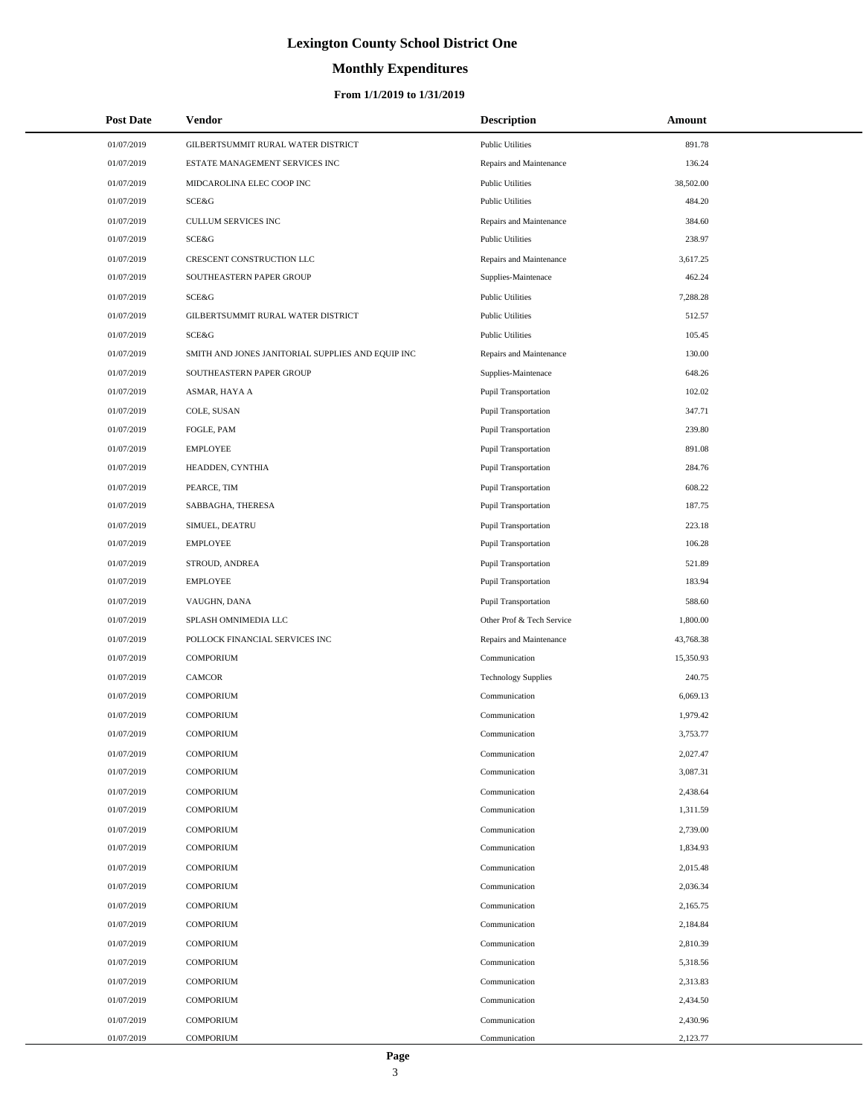# **Monthly Expenditures**

### **From 1/1/2019 to 1/31/2019**

| <b>Post Date</b> | Vendor                                            | <b>Description</b>          | Amount    |
|------------------|---------------------------------------------------|-----------------------------|-----------|
| 01/07/2019       | GILBERTSUMMIT RURAL WATER DISTRICT                | <b>Public Utilities</b>     | 891.78    |
| 01/07/2019       | ESTATE MANAGEMENT SERVICES INC                    | Repairs and Maintenance     | 136.24    |
| 01/07/2019       | MIDCAROLINA ELEC COOP INC                         | <b>Public Utilities</b>     | 38,502.00 |
| 01/07/2019       | SCE&G                                             | <b>Public Utilities</b>     | 484.20    |
| 01/07/2019       | CULLUM SERVICES INC                               | Repairs and Maintenance     | 384.60    |
| 01/07/2019       | SCE&G                                             | <b>Public Utilities</b>     | 238.97    |
| 01/07/2019       | CRESCENT CONSTRUCTION LLC                         | Repairs and Maintenance     | 3,617.25  |
| 01/07/2019       | SOUTHEASTERN PAPER GROUP                          | Supplies-Maintenace         | 462.24    |
| 01/07/2019       | SCE&G                                             | <b>Public Utilities</b>     | 7,288.28  |
| 01/07/2019       | GILBERTSUMMIT RURAL WATER DISTRICT                | <b>Public Utilities</b>     | 512.57    |
| 01/07/2019       | SCE&G                                             | <b>Public Utilities</b>     | 105.45    |
| 01/07/2019       | SMITH AND JONES JANITORIAL SUPPLIES AND EQUIP INC | Repairs and Maintenance     | 130.00    |
| 01/07/2019       | SOUTHEASTERN PAPER GROUP                          | Supplies-Maintenace         | 648.26    |
| 01/07/2019       | ASMAR, HAYA A                                     | Pupil Transportation        | 102.02    |
| 01/07/2019       | COLE, SUSAN                                       | Pupil Transportation        | 347.71    |
| 01/07/2019       | FOGLE, PAM                                        | Pupil Transportation        | 239.80    |
| 01/07/2019       | <b>EMPLOYEE</b>                                   | Pupil Transportation        | 891.08    |
| 01/07/2019       | HEADDEN, CYNTHIA                                  | Pupil Transportation        | 284.76    |
| 01/07/2019       | PEARCE, TIM                                       | <b>Pupil Transportation</b> | 608.22    |
| 01/07/2019       | SABBAGHA, THERESA                                 | Pupil Transportation        | 187.75    |
| 01/07/2019       | SIMUEL, DEATRU                                    | Pupil Transportation        | 223.18    |
| 01/07/2019       | <b>EMPLOYEE</b>                                   | Pupil Transportation        | 106.28    |
| 01/07/2019       | STROUD, ANDREA                                    | Pupil Transportation        | 521.89    |
| 01/07/2019       | <b>EMPLOYEE</b>                                   | Pupil Transportation        | 183.94    |
| 01/07/2019       | VAUGHN, DANA                                      | Pupil Transportation        | 588.60    |
| 01/07/2019       | SPLASH OMNIMEDIA LLC                              | Other Prof & Tech Service   | 1,800.00  |
| 01/07/2019       | POLLOCK FINANCIAL SERVICES INC                    | Repairs and Maintenance     | 43,768.38 |
| 01/07/2019       | <b>COMPORIUM</b>                                  | Communication               | 15,350.93 |
| 01/07/2019       | <b>CAMCOR</b>                                     | <b>Technology Supplies</b>  | 240.75    |
| 01/07/2019       | <b>COMPORIUM</b>                                  | Communication               | 6,069.13  |
| 01/07/2019       | <b>COMPORIUM</b>                                  | Communication               | 1,979.42  |
| 01/07/2019       | <b>COMPORIUM</b>                                  | Communication               | 3,753.77  |
| 01/07/2019       | <b>COMPORIUM</b>                                  | Communication               | 2,027.47  |
| 01/07/2019       | <b>COMPORIUM</b>                                  | Communication               | 3,087.31  |
| 01/07/2019       | <b>COMPORIUM</b>                                  | Communication               | 2,438.64  |
| 01/07/2019       | <b>COMPORIUM</b>                                  | Communication               | 1,311.59  |
| 01/07/2019       | <b>COMPORIUM</b>                                  | Communication               | 2,739.00  |
| 01/07/2019       | <b>COMPORIUM</b>                                  | Communication               | 1,834.93  |
| 01/07/2019       | <b>COMPORIUM</b>                                  | Communication               | 2,015.48  |
| 01/07/2019       | <b>COMPORIUM</b>                                  | Communication               | 2,036.34  |
| 01/07/2019       | <b>COMPORIUM</b>                                  | Communication               | 2,165.75  |
| 01/07/2019       | <b>COMPORIUM</b>                                  | Communication               | 2,184.84  |
| 01/07/2019       | <b>COMPORIUM</b>                                  | Communication               | 2,810.39  |
| 01/07/2019       | <b>COMPORIUM</b>                                  | Communication               | 5,318.56  |
| 01/07/2019       | <b>COMPORIUM</b>                                  | Communication               | 2,313.83  |
| 01/07/2019       | <b>COMPORIUM</b>                                  | Communication               | 2,434.50  |
| 01/07/2019       | <b>COMPORIUM</b>                                  | Communication               | 2,430.96  |
| 01/07/2019       | <b>COMPORIUM</b>                                  | Communication               | 2,123.77  |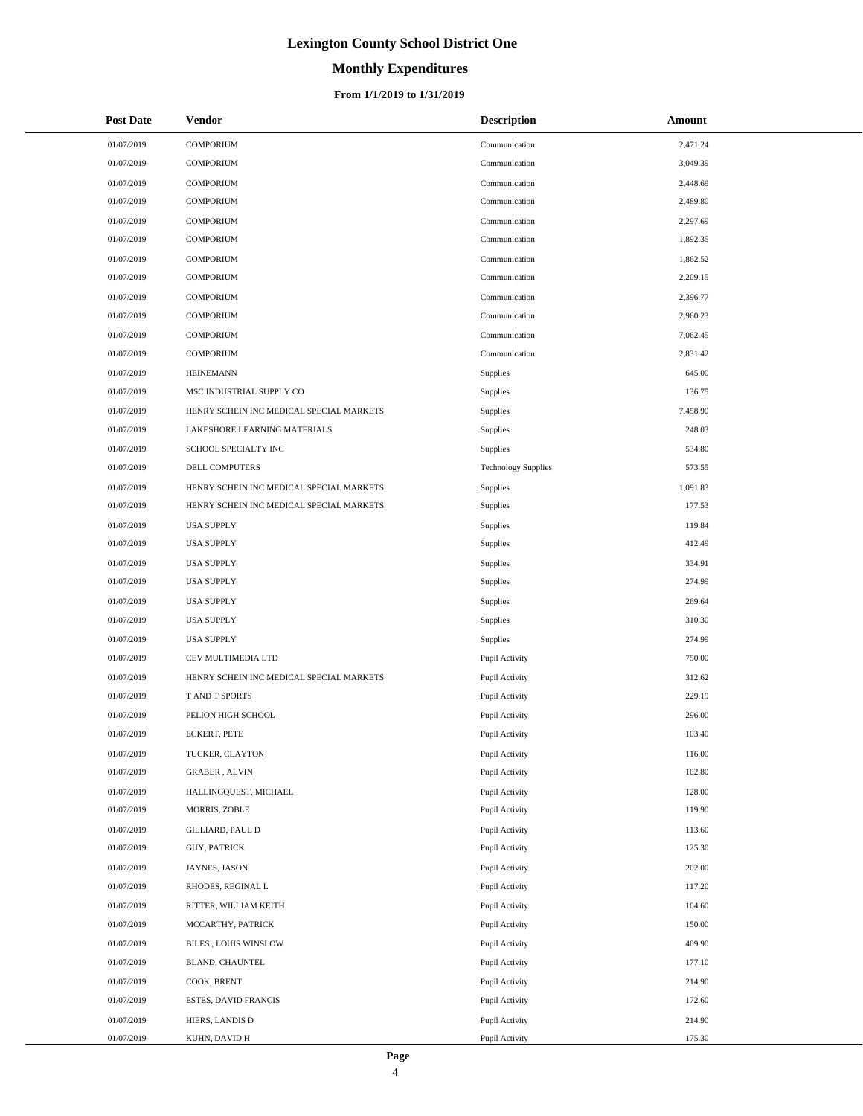# **Monthly Expenditures**

### **From 1/1/2019 to 1/31/2019**

| <b>Post Date</b> | Vendor                                   | <b>Description</b>         | Amount   |
|------------------|------------------------------------------|----------------------------|----------|
| 01/07/2019       | <b>COMPORIUM</b>                         | Communication              | 2,471.24 |
| 01/07/2019       | <b>COMPORIUM</b>                         | Communication              | 3,049.39 |
| 01/07/2019       | <b>COMPORIUM</b>                         | Communication              | 2,448.69 |
| 01/07/2019       | <b>COMPORIUM</b>                         | Communication              | 2,489.80 |
| 01/07/2019       | <b>COMPORIUM</b>                         | Communication              | 2,297.69 |
| 01/07/2019       | <b>COMPORIUM</b>                         | Communication              | 1,892.35 |
| 01/07/2019       | <b>COMPORIUM</b>                         | Communication              | 1,862.52 |
| 01/07/2019       | <b>COMPORIUM</b>                         | Communication              | 2,209.15 |
| 01/07/2019       | <b>COMPORIUM</b>                         | Communication              | 2,396.77 |
| 01/07/2019       | <b>COMPORIUM</b>                         | Communication              | 2,960.23 |
| 01/07/2019       | <b>COMPORIUM</b>                         | Communication              | 7,062.45 |
| 01/07/2019       | <b>COMPORIUM</b>                         | Communication              | 2,831.42 |
| 01/07/2019       | <b>HEINEMANN</b>                         | Supplies                   | 645.00   |
| 01/07/2019       | MSC INDUSTRIAL SUPPLY CO                 | Supplies                   | 136.75   |
| 01/07/2019       | HENRY SCHEIN INC MEDICAL SPECIAL MARKETS | Supplies                   | 7,458.90 |
| 01/07/2019       | LAKESHORE LEARNING MATERIALS             | Supplies                   | 248.03   |
| 01/07/2019       | SCHOOL SPECIALTY INC                     | Supplies                   | 534.80   |
| 01/07/2019       | DELL COMPUTERS                           | <b>Technology Supplies</b> | 573.55   |
| 01/07/2019       | HENRY SCHEIN INC MEDICAL SPECIAL MARKETS | Supplies                   | 1,091.83 |
| 01/07/2019       | HENRY SCHEIN INC MEDICAL SPECIAL MARKETS | Supplies                   | 177.53   |
| 01/07/2019       | <b>USA SUPPLY</b>                        | Supplies                   | 119.84   |
| 01/07/2019       | <b>USA SUPPLY</b>                        | Supplies                   | 412.49   |
| 01/07/2019       | <b>USA SUPPLY</b>                        | Supplies                   | 334.91   |
| 01/07/2019       | <b>USA SUPPLY</b>                        | Supplies                   | 274.99   |
| 01/07/2019       | <b>USA SUPPLY</b>                        | Supplies                   | 269.64   |
| 01/07/2019       | <b>USA SUPPLY</b>                        | Supplies                   | 310.30   |
| 01/07/2019       | <b>USA SUPPLY</b>                        | Supplies                   | 274.99   |
| 01/07/2019       | CEV MULTIMEDIA LTD                       | Pupil Activity             | 750.00   |
| 01/07/2019       | HENRY SCHEIN INC MEDICAL SPECIAL MARKETS | Pupil Activity             | 312.62   |
| 01/07/2019       | T AND T SPORTS                           | Pupil Activity             | 229.19   |
| 01/07/2019       | PELION HIGH SCHOOL                       | Pupil Activity             | 296.00   |
| 01/07/2019       | <b>ECKERT, PETE</b>                      | Pupil Activity             | 103.40   |
| 01/07/2019       | TUCKER, CLAYTON                          | Pupil Activity             | 116.00   |
| 01/07/2019       | <b>GRABER</b> , ALVIN                    | Pupil Activity             | 102.80   |
| 01/07/2019       | HALLINGQUEST, MICHAEL                    | Pupil Activity             | 128.00   |
| 01/07/2019       | MORRIS, ZOBLE                            | Pupil Activity             | 119.90   |
| 01/07/2019       | GILLIARD, PAUL D                         | Pupil Activity             | 113.60   |
| 01/07/2019       | <b>GUY, PATRICK</b>                      | Pupil Activity             | 125.30   |
| 01/07/2019       | JAYNES, JASON                            | Pupil Activity             | 202.00   |
| 01/07/2019       | RHODES, REGINAL L                        | Pupil Activity             | 117.20   |
| 01/07/2019       | RITTER, WILLIAM KEITH                    | Pupil Activity             | 104.60   |
| 01/07/2019       | MCCARTHY, PATRICK                        | Pupil Activity             | 150.00   |
| 01/07/2019       | BILES, LOUIS WINSLOW                     | Pupil Activity             | 409.90   |
| 01/07/2019       | BLAND, CHAUNTEL                          | Pupil Activity             | 177.10   |
| 01/07/2019       | COOK, BRENT                              | Pupil Activity             | 214.90   |
| 01/07/2019       | ESTES, DAVID FRANCIS                     | Pupil Activity             | 172.60   |
| 01/07/2019       | HIERS, LANDIS D                          | Pupil Activity             | 214.90   |
| 01/07/2019       | KUHN, DAVID H                            | Pupil Activity             | 175.30   |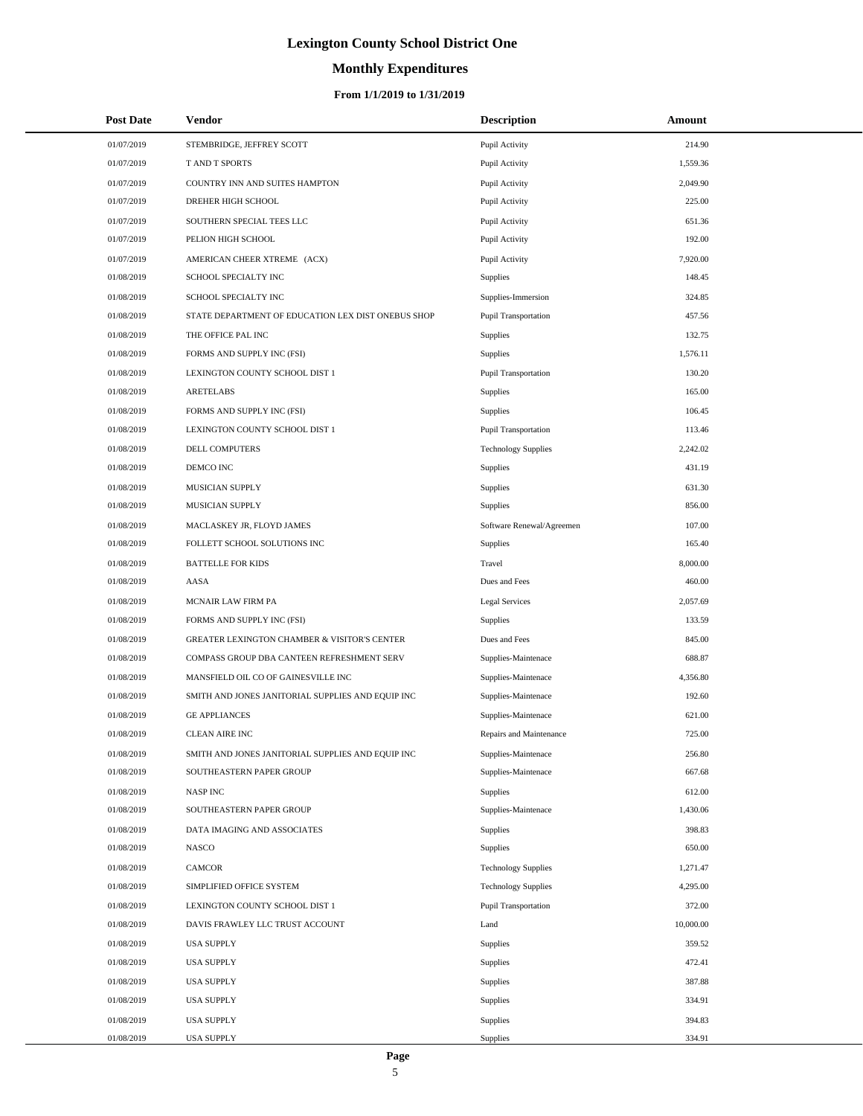# **Monthly Expenditures**

### **From 1/1/2019 to 1/31/2019**

| <b>Post Date</b> | Vendor                                             | <b>Description</b>         | Amount    |
|------------------|----------------------------------------------------|----------------------------|-----------|
| 01/07/2019       | STEMBRIDGE, JEFFREY SCOTT                          | Pupil Activity             | 214.90    |
| 01/07/2019       | T AND T SPORTS                                     | Pupil Activity             | 1,559.36  |
| 01/07/2019       | COUNTRY INN AND SUITES HAMPTON                     | Pupil Activity             | 2,049.90  |
| 01/07/2019       | DREHER HIGH SCHOOL                                 | Pupil Activity             | 225.00    |
| 01/07/2019       | SOUTHERN SPECIAL TEES LLC                          | Pupil Activity             | 651.36    |
| 01/07/2019       | PELION HIGH SCHOOL                                 | Pupil Activity             | 192.00    |
| 01/07/2019       | AMERICAN CHEER XTREME (ACX)                        | Pupil Activity             | 7,920.00  |
| 01/08/2019       | SCHOOL SPECIALTY INC                               | Supplies                   | 148.45    |
| 01/08/2019       | SCHOOL SPECIALTY INC                               | Supplies-Immersion         | 324.85    |
| 01/08/2019       | STATE DEPARTMENT OF EDUCATION LEX DIST ONEBUS SHOP | Pupil Transportation       | 457.56    |
| 01/08/2019       | THE OFFICE PAL INC                                 | <b>Supplies</b>            | 132.75    |
| 01/08/2019       | FORMS AND SUPPLY INC (FSI)                         | Supplies                   | 1,576.11  |
| 01/08/2019       | LEXINGTON COUNTY SCHOOL DIST 1                     | Pupil Transportation       | 130.20    |
| 01/08/2019       | <b>ARETELABS</b>                                   | Supplies                   | 165.00    |
| 01/08/2019       | FORMS AND SUPPLY INC (FSI)                         | Supplies                   | 106.45    |
| 01/08/2019       | LEXINGTON COUNTY SCHOOL DIST 1                     | Pupil Transportation       | 113.46    |
| 01/08/2019       | <b>DELL COMPUTERS</b>                              | <b>Technology Supplies</b> | 2,242.02  |
| 01/08/2019       | DEMCO INC                                          | Supplies                   | 431.19    |
| 01/08/2019       | MUSICIAN SUPPLY                                    | <b>Supplies</b>            | 631.30    |
| 01/08/2019       | MUSICIAN SUPPLY                                    | Supplies                   | 856.00    |
| 01/08/2019       | MACLASKEY JR, FLOYD JAMES                          | Software Renewal/Agreemen  | 107.00    |
| 01/08/2019       | FOLLETT SCHOOL SOLUTIONS INC                       | Supplies                   | 165.40    |
| 01/08/2019       | <b>BATTELLE FOR KIDS</b>                           | Travel                     | 8,000.00  |
| 01/08/2019       | AASA                                               | Dues and Fees              | 460.00    |
| 01/08/2019       | MCNAIR LAW FIRM PA                                 | <b>Legal Services</b>      | 2,057.69  |
| 01/08/2019       | FORMS AND SUPPLY INC (FSI)                         | Supplies                   | 133.59    |
| 01/08/2019       | GREATER LEXINGTON CHAMBER & VISITOR'S CENTER       | Dues and Fees              | 845.00    |
| 01/08/2019       | COMPASS GROUP DBA CANTEEN REFRESHMENT SERV         | Supplies-Maintenace        | 688.87    |
| 01/08/2019       | MANSFIELD OIL CO OF GAINESVILLE INC                | Supplies-Maintenace        | 4,356.80  |
| 01/08/2019       | SMITH AND JONES JANITORIAL SUPPLIES AND EQUIP INC  | Supplies-Maintenace        | 192.60    |
| 01/08/2019       | <b>GE APPLIANCES</b>                               | Supplies-Maintenace        | 621.00    |
| 01/08/2019       | <b>CLEAN AIRE INC</b>                              | Repairs and Maintenance    | 725.00    |
| 01/08/2019       | SMITH AND JONES JANITORIAL SUPPLIES AND EQUIP INC  | Supplies-Maintenace        | 256.80    |
| 01/08/2019       | SOUTHEASTERN PAPER GROUP                           | Supplies-Maintenace        | 667.68    |
| 01/08/2019       | <b>NASP INC</b>                                    | Supplies                   | 612.00    |
| 01/08/2019       | SOUTHEASTERN PAPER GROUP                           | Supplies-Maintenace        | 1,430.06  |
| 01/08/2019       | DATA IMAGING AND ASSOCIATES                        | Supplies                   | 398.83    |
| 01/08/2019       | <b>NASCO</b>                                       | <b>Supplies</b>            | 650.00    |
| 01/08/2019       | <b>CAMCOR</b>                                      | <b>Technology Supplies</b> | 1,271.47  |
| 01/08/2019       | SIMPLIFIED OFFICE SYSTEM                           | <b>Technology Supplies</b> | 4,295.00  |
| 01/08/2019       | LEXINGTON COUNTY SCHOOL DIST 1                     | Pupil Transportation       | 372.00    |
| 01/08/2019       | DAVIS FRAWLEY LLC TRUST ACCOUNT                    | Land                       | 10,000.00 |
| 01/08/2019       | <b>USA SUPPLY</b>                                  | <b>Supplies</b>            | 359.52    |
| 01/08/2019       | <b>USA SUPPLY</b>                                  | <b>Supplies</b>            | 472.41    |
| 01/08/2019       | <b>USA SUPPLY</b>                                  | <b>Supplies</b>            | 387.88    |
| 01/08/2019       | <b>USA SUPPLY</b>                                  | <b>Supplies</b>            | 334.91    |
| 01/08/2019       | <b>USA SUPPLY</b>                                  | <b>Supplies</b>            | 394.83    |
| 01/08/2019       | <b>USA SUPPLY</b>                                  | Supplies                   | 334.91    |

 $\overline{a}$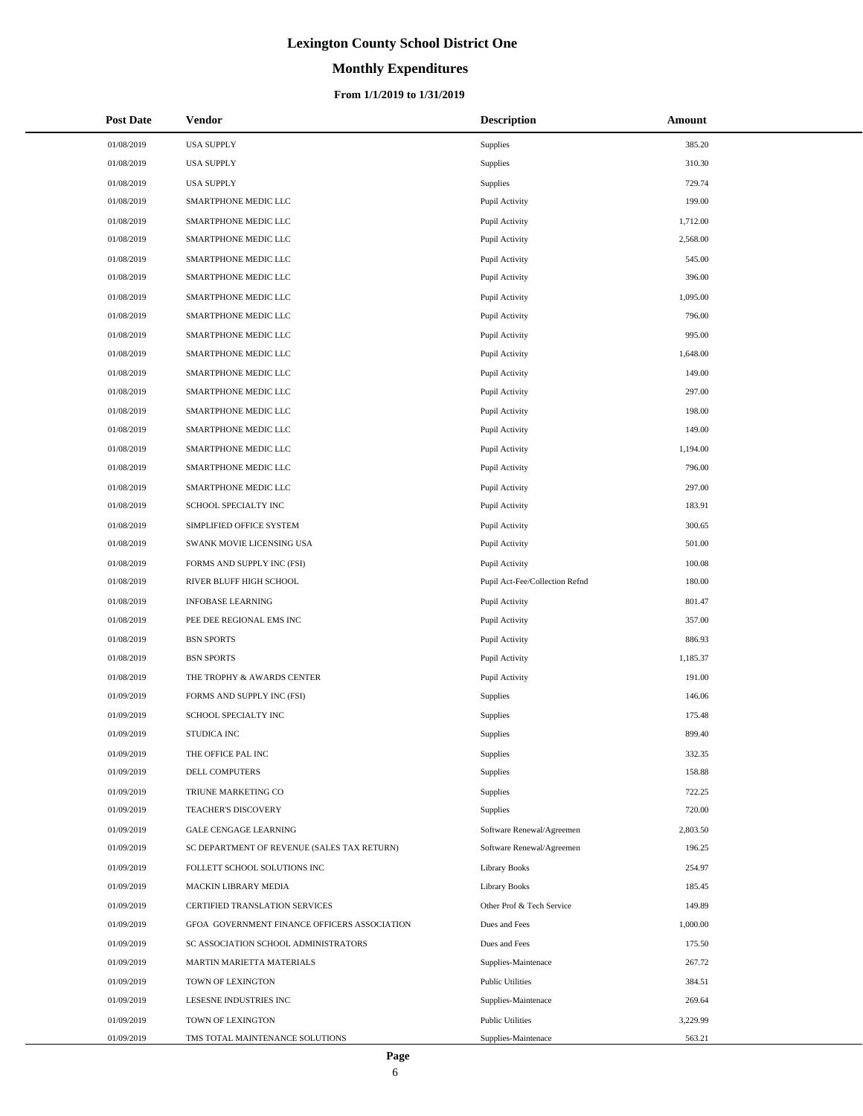# **Monthly Expenditures**

### **From 1/1/2019 to 1/31/2019**

| <b>Post Date</b> | <b>Vendor</b>                                | <b>Description</b>             | Amount   |
|------------------|----------------------------------------------|--------------------------------|----------|
| 01/08/2019       | <b>USA SUPPLY</b>                            | Supplies                       | 385.20   |
| 01/08/2019       | <b>USA SUPPLY</b>                            | Supplies                       | 310.30   |
| 01/08/2019       | <b>USA SUPPLY</b>                            | Supplies                       | 729.74   |
| 01/08/2019       | SMARTPHONE MEDIC LLC                         | Pupil Activity                 | 199.00   |
| 01/08/2019       | SMARTPHONE MEDIC LLC                         | Pupil Activity                 | 1,712.00 |
| 01/08/2019       | SMARTPHONE MEDIC LLC                         | Pupil Activity                 | 2,568.00 |
| 01/08/2019       | SMARTPHONE MEDIC LLC                         | Pupil Activity                 | 545.00   |
| 01/08/2019       | SMARTPHONE MEDIC LLC                         | Pupil Activity                 | 396.00   |
| 01/08/2019       | SMARTPHONE MEDIC LLC                         | Pupil Activity                 | 1,095.00 |
| 01/08/2019       | SMARTPHONE MEDIC LLC                         | Pupil Activity                 | 796.00   |
| 01/08/2019       | SMARTPHONE MEDIC LLC                         | Pupil Activity                 | 995.00   |
| 01/08/2019       | SMARTPHONE MEDIC LLC                         | Pupil Activity                 | 1,648.00 |
| 01/08/2019       | SMARTPHONE MEDIC LLC                         | Pupil Activity                 | 149.00   |
| 01/08/2019       | SMARTPHONE MEDIC LLC                         | Pupil Activity                 | 297.00   |
| 01/08/2019       | SMARTPHONE MEDIC LLC                         | Pupil Activity                 | 198.00   |
| 01/08/2019       | SMARTPHONE MEDIC LLC                         | Pupil Activity                 | 149.00   |
| 01/08/2019       | SMARTPHONE MEDIC LLC                         | Pupil Activity                 | 1,194.00 |
| 01/08/2019       | SMARTPHONE MEDIC LLC                         | Pupil Activity                 | 796.00   |
| 01/08/2019       | SMARTPHONE MEDIC LLC                         | Pupil Activity                 | 297.00   |
| 01/08/2019       | SCHOOL SPECIALTY INC                         | Pupil Activity                 | 183.91   |
| 01/08/2019       | SIMPLIFIED OFFICE SYSTEM                     | Pupil Activity                 | 300.65   |
| 01/08/2019       | SWANK MOVIE LICENSING USA                    | Pupil Activity                 | 501.00   |
| 01/08/2019       | FORMS AND SUPPLY INC (FSI)                   | Pupil Activity                 | 100.08   |
| 01/08/2019       | RIVER BLUFF HIGH SCHOOL                      | Pupil Act-Fee/Collection Refnd | 180.00   |
| 01/08/2019       | <b>INFOBASE LEARNING</b>                     | Pupil Activity                 | 801.47   |
| 01/08/2019       | PEE DEE REGIONAL EMS INC                     | Pupil Activity                 | 357.00   |
| 01/08/2019       | <b>BSN SPORTS</b>                            | Pupil Activity                 | 886.93   |
| 01/08/2019       | <b>BSN SPORTS</b>                            | Pupil Activity                 | 1,185.37 |
| 01/08/2019       | THE TROPHY & AWARDS CENTER                   | Pupil Activity                 | 191.00   |
| 01/09/2019       | FORMS AND SUPPLY INC (FSI)                   | Supplies                       | 146.06   |
| 01/09/2019       | SCHOOL SPECIALTY INC                         | Supplies                       | 175.48   |
| 01/09/2019       | STUDICA INC                                  | Supplies                       | 899.40   |
| 01/09/2019       | THE OFFICE PAL INC                           | Supplies                       | 332.35   |
| 01/09/2019       | DELL COMPUTERS                               | Supplies                       | 158.88   |
| 01/09/2019       | TRIUNE MARKETING CO                          | Supplies                       | 722.25   |
| 01/09/2019       | TEACHER'S DISCOVERY                          | Supplies                       | 720.00   |
| 01/09/2019       | <b>GALE CENGAGE LEARNING</b>                 | Software Renewal/Agreemen      | 2,803.50 |
| 01/09/2019       | SC DEPARTMENT OF REVENUE (SALES TAX RETURN)  | Software Renewal/Agreemen      | 196.25   |
| 01/09/2019       | FOLLETT SCHOOL SOLUTIONS INC                 | <b>Library Books</b>           | 254.97   |
| 01/09/2019       | MACKIN LIBRARY MEDIA                         | <b>Library Books</b>           | 185.45   |
| 01/09/2019       | CERTIFIED TRANSLATION SERVICES               | Other Prof & Tech Service      | 149.89   |
| 01/09/2019       | GFOA GOVERNMENT FINANCE OFFICERS ASSOCIATION | Dues and Fees                  | 1,000.00 |
| 01/09/2019       | SC ASSOCIATION SCHOOL ADMINISTRATORS         | Dues and Fees                  | 175.50   |
| 01/09/2019       | MARTIN MARIETTA MATERIALS                    | Supplies-Maintenace            | 267.72   |
| 01/09/2019       | TOWN OF LEXINGTON                            | <b>Public Utilities</b>        | 384.51   |
| 01/09/2019       | LESESNE INDUSTRIES INC                       | Supplies-Maintenace            | 269.64   |
| 01/09/2019       | TOWN OF LEXINGTON                            | <b>Public Utilities</b>        | 3,229.99 |
| 01/09/2019       | TMS TOTAL MAINTENANCE SOLUTIONS              | Supplies-Maintenace            | 563.21   |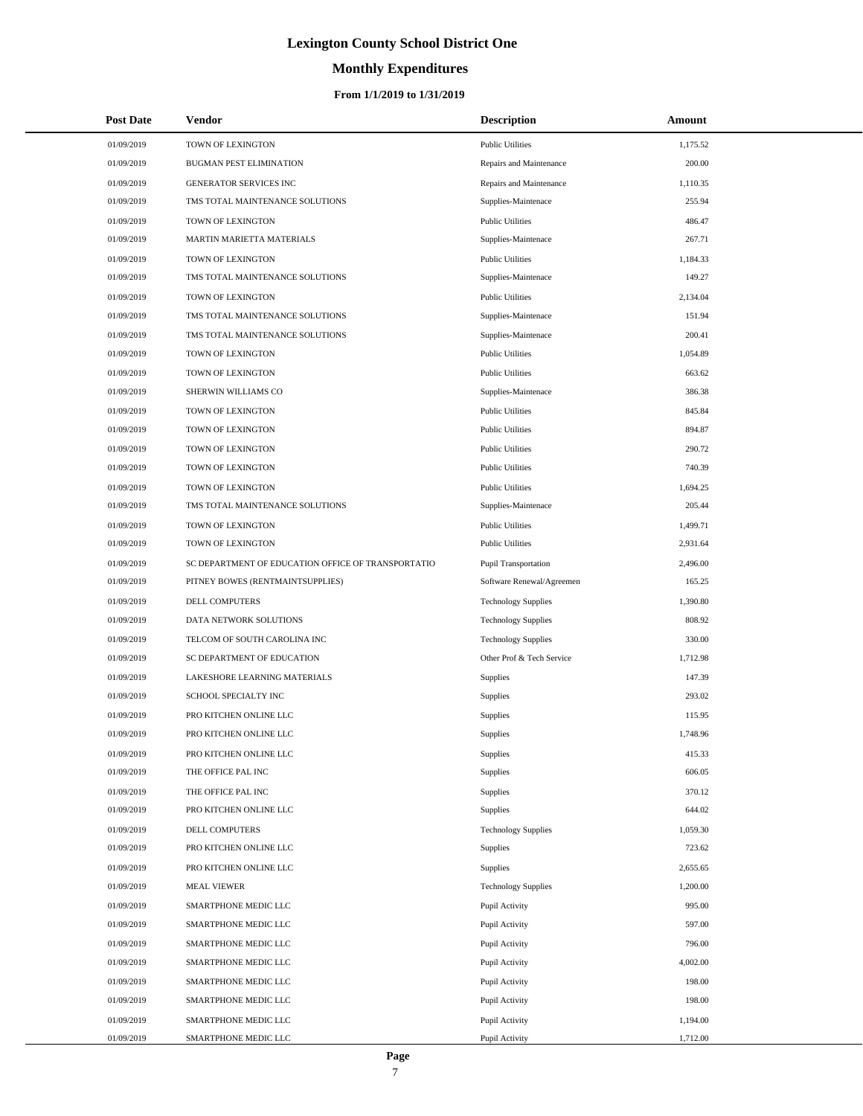# **Monthly Expenditures**

### **From 1/1/2019 to 1/31/2019**

| <b>Post Date</b> | Vendor                                             | <b>Description</b>         | Amount   |  |
|------------------|----------------------------------------------------|----------------------------|----------|--|
| 01/09/2019       | TOWN OF LEXINGTON                                  | <b>Public Utilities</b>    | 1,175.52 |  |
| 01/09/2019       | <b>BUGMAN PEST ELIMINATION</b>                     | Repairs and Maintenance    | 200.00   |  |
| 01/09/2019       | GENERATOR SERVICES INC                             | Repairs and Maintenance    | 1,110.35 |  |
| 01/09/2019       | TMS TOTAL MAINTENANCE SOLUTIONS                    | Supplies-Maintenace        | 255.94   |  |
| 01/09/2019       | TOWN OF LEXINGTON                                  | <b>Public Utilities</b>    | 486.47   |  |
| 01/09/2019       | MARTIN MARIETTA MATERIALS                          | Supplies-Maintenace        | 267.71   |  |
| 01/09/2019       | TOWN OF LEXINGTON                                  | <b>Public Utilities</b>    | 1,184.33 |  |
| 01/09/2019       | TMS TOTAL MAINTENANCE SOLUTIONS                    | Supplies-Maintenace        | 149.27   |  |
| 01/09/2019       | TOWN OF LEXINGTON                                  | <b>Public Utilities</b>    | 2,134.04 |  |
| 01/09/2019       | TMS TOTAL MAINTENANCE SOLUTIONS                    | Supplies-Maintenace        | 151.94   |  |
| 01/09/2019       | TMS TOTAL MAINTENANCE SOLUTIONS                    | Supplies-Maintenace        | 200.41   |  |
| 01/09/2019       | TOWN OF LEXINGTON                                  | <b>Public Utilities</b>    | 1,054.89 |  |
| 01/09/2019       | TOWN OF LEXINGTON                                  | <b>Public Utilities</b>    | 663.62   |  |
| 01/09/2019       | SHERWIN WILLIAMS CO                                | Supplies-Maintenace        | 386.38   |  |
| 01/09/2019       | TOWN OF LEXINGTON                                  | <b>Public Utilities</b>    | 845.84   |  |
| 01/09/2019       | TOWN OF LEXINGTON                                  | <b>Public Utilities</b>    | 894.87   |  |
| 01/09/2019       | TOWN OF LEXINGTON                                  | <b>Public Utilities</b>    | 290.72   |  |
| 01/09/2019       | TOWN OF LEXINGTON                                  | <b>Public Utilities</b>    | 740.39   |  |
| 01/09/2019       | TOWN OF LEXINGTON                                  | <b>Public Utilities</b>    | 1,694.25 |  |
| 01/09/2019       | TMS TOTAL MAINTENANCE SOLUTIONS                    | Supplies-Maintenace        | 205.44   |  |
| 01/09/2019       | TOWN OF LEXINGTON                                  | <b>Public Utilities</b>    | 1,499.71 |  |
| 01/09/2019       | TOWN OF LEXINGTON                                  | <b>Public Utilities</b>    | 2,931.64 |  |
| 01/09/2019       | SC DEPARTMENT OF EDUCATION OFFICE OF TRANSPORTATIO | Pupil Transportation       | 2,496.00 |  |
| 01/09/2019       | PITNEY BOWES (RENTMAINTSUPPLIES)                   | Software Renewal/Agreemen  | 165.25   |  |
| 01/09/2019       | DELL COMPUTERS                                     | <b>Technology Supplies</b> | 1,390.80 |  |
| 01/09/2019       | DATA NETWORK SOLUTIONS                             | <b>Technology Supplies</b> | 808.92   |  |
| 01/09/2019       | TELCOM OF SOUTH CAROLINA INC                       | <b>Technology Supplies</b> | 330.00   |  |
| 01/09/2019       | SC DEPARTMENT OF EDUCATION                         | Other Prof & Tech Service  | 1,712.98 |  |
| 01/09/2019       | LAKESHORE LEARNING MATERIALS                       | <b>Supplies</b>            | 147.39   |  |
| 01/09/2019       | SCHOOL SPECIALTY INC                               | Supplies                   | 293.02   |  |
| 01/09/2019       | PRO KITCHEN ONLINE LLC                             | Supplies                   | 115.95   |  |
| 01/09/2019       | PRO KITCHEN ONLINE LLC                             | Supplies                   | 1,748.96 |  |
| 01/09/2019       | PRO KITCHEN ONLINE LLC                             | Supplies                   | 415.33   |  |
| 01/09/2019       | THE OFFICE PAL INC                                 | Supplies                   | 606.05   |  |
| 01/09/2019       | THE OFFICE PAL INC                                 | Supplies                   | 370.12   |  |
| 01/09/2019       | PRO KITCHEN ONLINE LLC                             | Supplies                   | 644.02   |  |
| 01/09/2019       | <b>DELL COMPUTERS</b>                              | <b>Technology Supplies</b> | 1,059.30 |  |
| 01/09/2019       | PRO KITCHEN ONLINE LLC                             | <b>Supplies</b>            | 723.62   |  |
| 01/09/2019       | PRO KITCHEN ONLINE LLC                             | Supplies                   | 2,655.65 |  |
| 01/09/2019       | <b>MEAL VIEWER</b>                                 | <b>Technology Supplies</b> | 1,200.00 |  |
| 01/09/2019       | SMARTPHONE MEDIC LLC                               | Pupil Activity             | 995.00   |  |
| 01/09/2019       | SMARTPHONE MEDIC LLC                               | Pupil Activity             | 597.00   |  |
| 01/09/2019       | SMARTPHONE MEDIC LLC                               | Pupil Activity             | 796.00   |  |
| 01/09/2019       | SMARTPHONE MEDIC LLC                               | Pupil Activity             | 4,002.00 |  |
| 01/09/2019       | SMARTPHONE MEDIC LLC                               | Pupil Activity             | 198.00   |  |
| 01/09/2019       | SMARTPHONE MEDIC LLC                               | Pupil Activity             | 198.00   |  |
| 01/09/2019       | SMARTPHONE MEDIC LLC                               | Pupil Activity             | 1,194.00 |  |
| 01/09/2019       | SMARTPHONE MEDIC LLC                               | Pupil Activity             | 1,712.00 |  |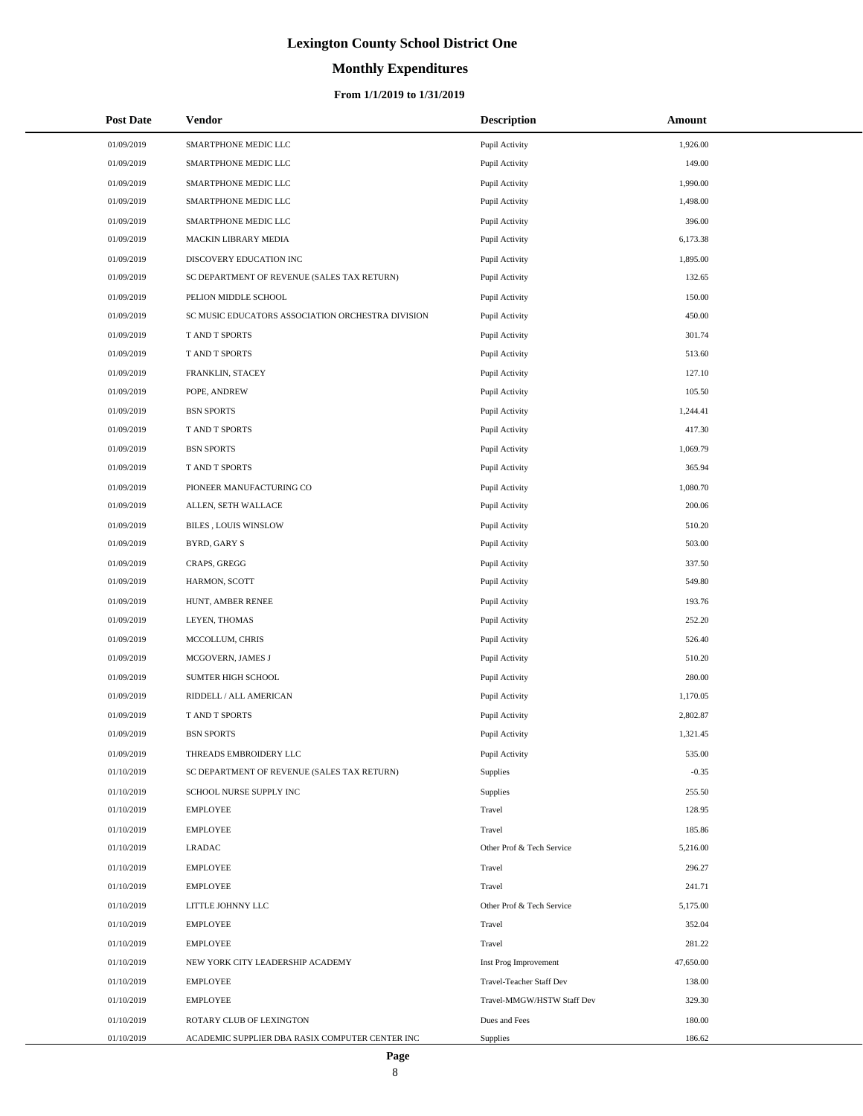# **Monthly Expenditures**

### **From 1/1/2019 to 1/31/2019**

| <b>Post Date</b> | Vendor                                            | <b>Description</b>         | Amount    |
|------------------|---------------------------------------------------|----------------------------|-----------|
| 01/09/2019       | SMARTPHONE MEDIC LLC                              | Pupil Activity             | 1,926.00  |
| 01/09/2019       | SMARTPHONE MEDIC LLC                              | Pupil Activity             | 149.00    |
| 01/09/2019       | SMARTPHONE MEDIC LLC                              | Pupil Activity             | 1,990.00  |
| 01/09/2019       | SMARTPHONE MEDIC LLC                              | Pupil Activity             | 1,498.00  |
| 01/09/2019       | SMARTPHONE MEDIC LLC                              | Pupil Activity             | 396.00    |
| 01/09/2019       | MACKIN LIBRARY MEDIA                              | Pupil Activity             | 6,173.38  |
| 01/09/2019       | DISCOVERY EDUCATION INC                           | Pupil Activity             | 1,895.00  |
| 01/09/2019       | SC DEPARTMENT OF REVENUE (SALES TAX RETURN)       | Pupil Activity             | 132.65    |
| 01/09/2019       | PELION MIDDLE SCHOOL                              | Pupil Activity             | 150.00    |
| 01/09/2019       | SC MUSIC EDUCATORS ASSOCIATION ORCHESTRA DIVISION | Pupil Activity             | 450.00    |
| 01/09/2019       | T AND T SPORTS                                    | Pupil Activity             | 301.74    |
| 01/09/2019       | T AND T SPORTS                                    | Pupil Activity             | 513.60    |
| 01/09/2019       | FRANKLIN, STACEY                                  | Pupil Activity             | 127.10    |
| 01/09/2019       | POPE, ANDREW                                      | Pupil Activity             | 105.50    |
| 01/09/2019       | <b>BSN SPORTS</b>                                 | Pupil Activity             | 1,244.41  |
| 01/09/2019       | T AND T SPORTS                                    | Pupil Activity             | 417.30    |
| 01/09/2019       | <b>BSN SPORTS</b>                                 | Pupil Activity             | 1,069.79  |
| 01/09/2019       | T AND T SPORTS                                    | Pupil Activity             | 365.94    |
| 01/09/2019       | PIONEER MANUFACTURING CO                          | Pupil Activity             | 1,080.70  |
| 01/09/2019       | ALLEN, SETH WALLACE                               | Pupil Activity             | 200.06    |
| 01/09/2019       | <b>BILES, LOUIS WINSLOW</b>                       | Pupil Activity             | 510.20    |
| 01/09/2019       | <b>BYRD, GARY S</b>                               | Pupil Activity             | 503.00    |
| 01/09/2019       | CRAPS, GREGG                                      | Pupil Activity             | 337.50    |
| 01/09/2019       | HARMON, SCOTT                                     | Pupil Activity             | 549.80    |
| 01/09/2019       | HUNT, AMBER RENEE                                 | Pupil Activity             | 193.76    |
| 01/09/2019       | LEYEN, THOMAS                                     | Pupil Activity             | 252.20    |
| 01/09/2019       | MCCOLLUM, CHRIS                                   | Pupil Activity             | 526.40    |
| 01/09/2019       | MCGOVERN, JAMES J                                 | Pupil Activity             | 510.20    |
| 01/09/2019       | <b>SUMTER HIGH SCHOOL</b>                         | Pupil Activity             | 280.00    |
| 01/09/2019       | RIDDELL / ALL AMERICAN                            | Pupil Activity             | 1,170.05  |
| 01/09/2019       | T AND T SPORTS                                    | Pupil Activity             | 2,802.87  |
| 01/09/2019       | <b>BSN SPORTS</b>                                 | Pupil Activity             | 1,321.45  |
| 01/09/2019       | THREADS EMBROIDERY LLC                            | Pupil Activity             | 535.00    |
| 01/10/2019       | SC DEPARTMENT OF REVENUE (SALES TAX RETURN)       | <b>Supplies</b>            | $-0.35$   |
| 01/10/2019       | SCHOOL NURSE SUPPLY INC                           | Supplies                   | 255.50    |
| 01/10/2019       | <b>EMPLOYEE</b>                                   | Travel                     | 128.95    |
| 01/10/2019       | <b>EMPLOYEE</b>                                   | Travel                     | 185.86    |
| 01/10/2019       | LRADAC                                            | Other Prof & Tech Service  | 5,216.00  |
| 01/10/2019       | <b>EMPLOYEE</b>                                   | Travel                     | 296.27    |
| 01/10/2019       | <b>EMPLOYEE</b>                                   | Travel                     | 241.71    |
| 01/10/2019       | LITTLE JOHNNY LLC                                 | Other Prof & Tech Service  | 5,175.00  |
| 01/10/2019       | <b>EMPLOYEE</b>                                   | Travel                     | 352.04    |
| 01/10/2019       | <b>EMPLOYEE</b>                                   | Travel                     | 281.22    |
| 01/10/2019       | NEW YORK CITY LEADERSHIP ACADEMY                  | Inst Prog Improvement      | 47,650.00 |
| 01/10/2019       | <b>EMPLOYEE</b>                                   | Travel-Teacher Staff Dev   | 138.00    |
| 01/10/2019       | <b>EMPLOYEE</b>                                   | Travel-MMGW/HSTW Staff Dev | 329.30    |
| 01/10/2019       | ROTARY CLUB OF LEXINGTON                          | Dues and Fees              | 180.00    |
| 01/10/2019       | ACADEMIC SUPPLIER DBA RASIX COMPUTER CENTER INC   | Supplies                   | 186.62    |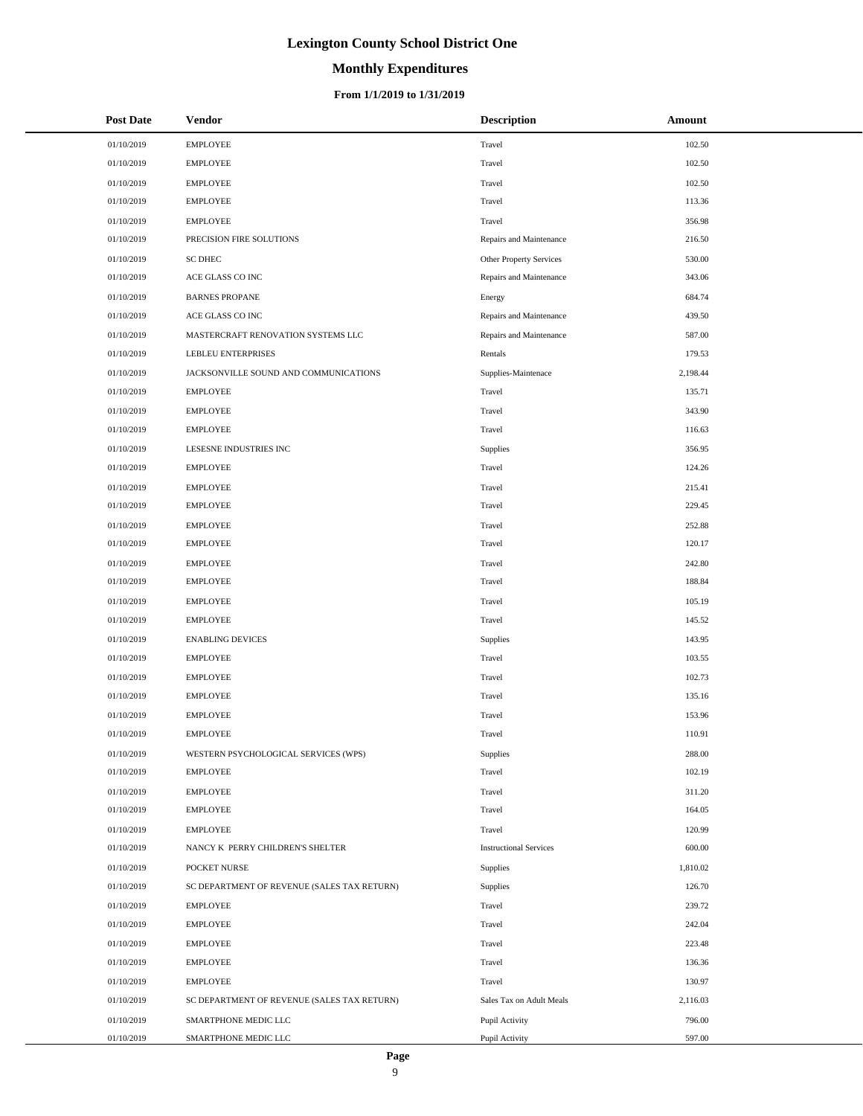# **Monthly Expenditures**

### **From 1/1/2019 to 1/31/2019**

| <b>Post Date</b> | Vendor                                      | <b>Description</b>            | Amount   |
|------------------|---------------------------------------------|-------------------------------|----------|
| 01/10/2019       | <b>EMPLOYEE</b>                             | Travel                        | 102.50   |
| 01/10/2019       | <b>EMPLOYEE</b>                             | Travel                        | 102.50   |
| 01/10/2019       | <b>EMPLOYEE</b>                             | Travel                        | 102.50   |
| 01/10/2019       | <b>EMPLOYEE</b>                             | Travel                        | 113.36   |
| 01/10/2019       | <b>EMPLOYEE</b>                             | Travel                        | 356.98   |
| 01/10/2019       | PRECISION FIRE SOLUTIONS                    | Repairs and Maintenance       | 216.50   |
| 01/10/2019       | <b>SC DHEC</b>                              | Other Property Services       | 530.00   |
| 01/10/2019       | ACE GLASS CO INC                            | Repairs and Maintenance       | 343.06   |
| 01/10/2019       | <b>BARNES PROPANE</b>                       | Energy                        | 684.74   |
| 01/10/2019       | ACE GLASS CO INC                            | Repairs and Maintenance       | 439.50   |
| 01/10/2019       | MASTERCRAFT RENOVATION SYSTEMS LLC          | Repairs and Maintenance       | 587.00   |
| 01/10/2019       | LEBLEU ENTERPRISES                          | Rentals                       | 179.53   |
| 01/10/2019       | JACKSONVILLE SOUND AND COMMUNICATIONS       | Supplies-Maintenace           | 2,198.44 |
| 01/10/2019       | <b>EMPLOYEE</b>                             | Travel                        | 135.71   |
| 01/10/2019       | <b>EMPLOYEE</b>                             | Travel                        | 343.90   |
| 01/10/2019       | <b>EMPLOYEE</b>                             | Travel                        | 116.63   |
| 01/10/2019       | LESESNE INDUSTRIES INC                      | Supplies                      | 356.95   |
| 01/10/2019       | <b>EMPLOYEE</b>                             | Travel                        | 124.26   |
| 01/10/2019       | <b>EMPLOYEE</b>                             | Travel                        | 215.41   |
| 01/10/2019       | <b>EMPLOYEE</b>                             | Travel                        | 229.45   |
| 01/10/2019       | <b>EMPLOYEE</b>                             | Travel                        | 252.88   |
| 01/10/2019       | <b>EMPLOYEE</b>                             | Travel                        | 120.17   |
| 01/10/2019       | <b>EMPLOYEE</b>                             | Travel                        | 242.80   |
| 01/10/2019       | <b>EMPLOYEE</b>                             | Travel                        | 188.84   |
| 01/10/2019       | <b>EMPLOYEE</b>                             | Travel                        | 105.19   |
| 01/10/2019       | <b>EMPLOYEE</b>                             | Travel                        | 145.52   |
| 01/10/2019       | <b>ENABLING DEVICES</b>                     | Supplies                      | 143.95   |
| 01/10/2019       | <b>EMPLOYEE</b>                             | Travel                        | 103.55   |
| 01/10/2019       | <b>EMPLOYEE</b>                             | Travel                        | 102.73   |
| 01/10/2019       | <b>EMPLOYEE</b>                             | Travel                        | 135.16   |
| 01/10/2019       | <b>EMPLOYEE</b>                             | Travel                        | 153.96   |
| 01/10/2019       | <b>EMPLOYEE</b>                             | Travel                        | 110.91   |
| 01/10/2019       | WESTERN PSYCHOLOGICAL SERVICES (WPS)        | Supplies                      | 288.00   |
| 01/10/2019       | <b>EMPLOYEE</b>                             | Travel                        | 102.19   |
| 01/10/2019       | <b>EMPLOYEE</b>                             | Travel                        | 311.20   |
| 01/10/2019       | <b>EMPLOYEE</b>                             | Travel                        | 164.05   |
| 01/10/2019       | <b>EMPLOYEE</b>                             | Travel                        | 120.99   |
| 01/10/2019       | NANCY K PERRY CHILDREN'S SHELTER            | <b>Instructional Services</b> | 600.00   |
| 01/10/2019       | POCKET NURSE                                | Supplies                      | 1,810.02 |
| 01/10/2019       | SC DEPARTMENT OF REVENUE (SALES TAX RETURN) | Supplies                      | 126.70   |
| 01/10/2019       | <b>EMPLOYEE</b>                             | Travel                        | 239.72   |
| 01/10/2019       | <b>EMPLOYEE</b>                             | Travel                        | 242.04   |
| 01/10/2019       | <b>EMPLOYEE</b>                             | Travel                        | 223.48   |
| 01/10/2019       | <b>EMPLOYEE</b>                             | Travel                        | 136.36   |
| 01/10/2019       | <b>EMPLOYEE</b>                             | Travel                        | 130.97   |
| 01/10/2019       | SC DEPARTMENT OF REVENUE (SALES TAX RETURN) | Sales Tax on Adult Meals      | 2,116.03 |
| 01/10/2019       | SMARTPHONE MEDIC LLC                        | Pupil Activity                | 796.00   |
| 01/10/2019       | SMARTPHONE MEDIC LLC                        | Pupil Activity                | 597.00   |

 $\overline{a}$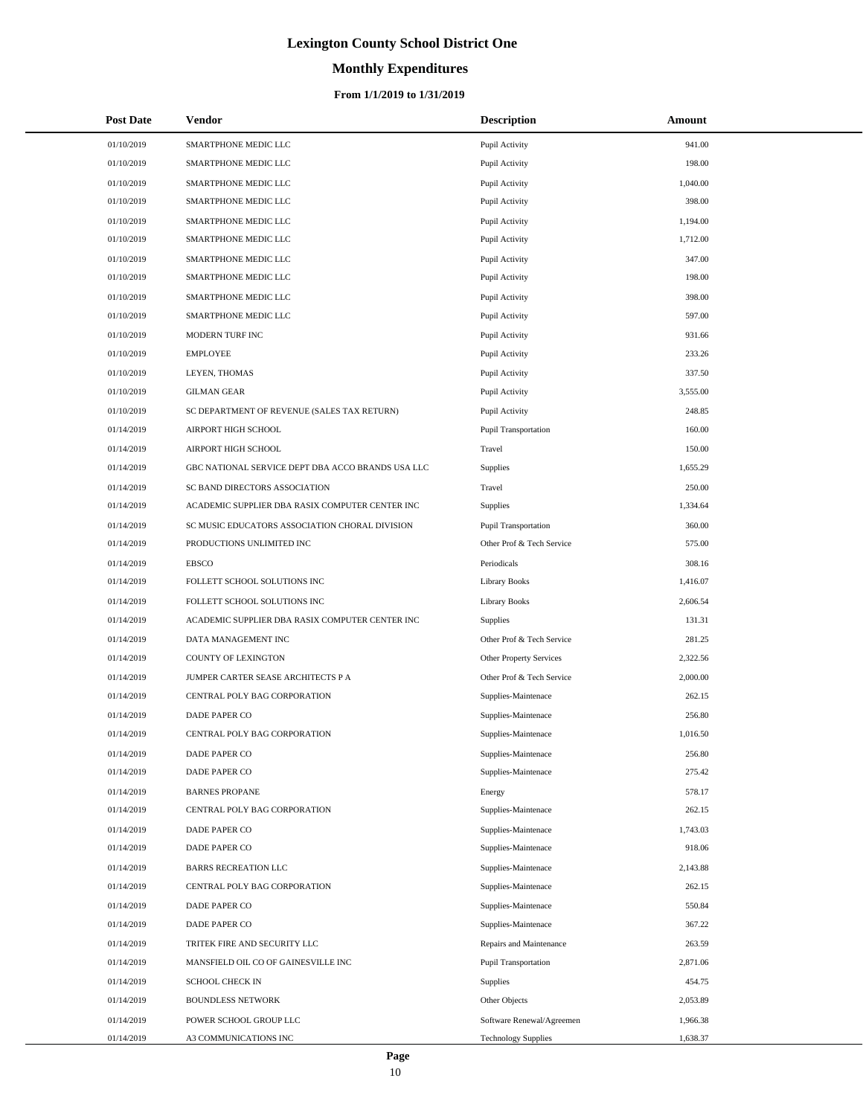# **Monthly Expenditures**

| <b>Post Date</b> | Vendor                                            | <b>Description</b>             | Amount   |
|------------------|---------------------------------------------------|--------------------------------|----------|
| 01/10/2019       | SMARTPHONE MEDIC LLC                              | Pupil Activity                 | 941.00   |
| 01/10/2019       | SMARTPHONE MEDIC LLC                              | Pupil Activity                 | 198.00   |
| 01/10/2019       | SMARTPHONE MEDIC LLC                              | Pupil Activity                 | 1,040.00 |
| 01/10/2019       | SMARTPHONE MEDIC LLC                              | Pupil Activity                 | 398.00   |
| 01/10/2019       | SMARTPHONE MEDIC LLC                              | Pupil Activity                 | 1,194.00 |
| 01/10/2019       | SMARTPHONE MEDIC LLC                              | Pupil Activity                 | 1,712.00 |
| 01/10/2019       | SMARTPHONE MEDIC LLC                              | Pupil Activity                 | 347.00   |
| 01/10/2019       | SMARTPHONE MEDIC LLC                              | Pupil Activity                 | 198.00   |
| 01/10/2019       | SMARTPHONE MEDIC LLC                              | Pupil Activity                 | 398.00   |
| 01/10/2019       | SMARTPHONE MEDIC LLC                              | Pupil Activity                 | 597.00   |
| 01/10/2019       | MODERN TURF INC                                   | Pupil Activity                 | 931.66   |
| 01/10/2019       | <b>EMPLOYEE</b>                                   | Pupil Activity                 | 233.26   |
| 01/10/2019       | LEYEN, THOMAS                                     | Pupil Activity                 | 337.50   |
| 01/10/2019       | <b>GILMAN GEAR</b>                                | Pupil Activity                 | 3,555.00 |
| 01/10/2019       | SC DEPARTMENT OF REVENUE (SALES TAX RETURN)       | Pupil Activity                 | 248.85   |
| 01/14/2019       | AIRPORT HIGH SCHOOL                               | Pupil Transportation           | 160.00   |
| 01/14/2019       | AIRPORT HIGH SCHOOL                               | Travel                         | 150.00   |
| 01/14/2019       | GBC NATIONAL SERVICE DEPT DBA ACCO BRANDS USA LLC | <b>Supplies</b>                | 1,655.29 |
| 01/14/2019       | SC BAND DIRECTORS ASSOCIATION                     | Travel                         | 250.00   |
| 01/14/2019       | ACADEMIC SUPPLIER DBA RASIX COMPUTER CENTER INC   | <b>Supplies</b>                | 1,334.64 |
| 01/14/2019       | SC MUSIC EDUCATORS ASSOCIATION CHORAL DIVISION    | <b>Pupil Transportation</b>    | 360.00   |
| 01/14/2019       | PRODUCTIONS UNLIMITED INC                         | Other Prof & Tech Service      | 575.00   |
| 01/14/2019       | <b>EBSCO</b>                                      | Periodicals                    | 308.16   |
| 01/14/2019       | FOLLETT SCHOOL SOLUTIONS INC                      | <b>Library Books</b>           | 1,416.07 |
| 01/14/2019       | FOLLETT SCHOOL SOLUTIONS INC                      | <b>Library Books</b>           | 2,606.54 |
| 01/14/2019       | ACADEMIC SUPPLIER DBA RASIX COMPUTER CENTER INC   | <b>Supplies</b>                | 131.31   |
| 01/14/2019       | DATA MANAGEMENT INC                               | Other Prof & Tech Service      | 281.25   |
| 01/14/2019       | COUNTY OF LEXINGTON                               | <b>Other Property Services</b> | 2,322.56 |
| 01/14/2019       | JUMPER CARTER SEASE ARCHITECTS P A                | Other Prof & Tech Service      | 2,000.00 |
| 01/14/2019       | CENTRAL POLY BAG CORPORATION                      | Supplies-Maintenace            | 262.15   |
| 01/14/2019       | DADE PAPER CO                                     | Supplies-Maintenace            | 256.80   |
| 01/14/2019       | CENTRAL POLY BAG CORPORATION                      | Supplies-Maintenace            | 1,016.50 |
| 01/14/2019       | DADE PAPER CO                                     | Supplies-Maintenace            | 256.80   |
| 01/14/2019       | DADE PAPER CO                                     | Supplies-Maintenace            | 275.42   |
| 01/14/2019       | <b>BARNES PROPANE</b>                             | Energy                         | 578.17   |
| 01/14/2019       | CENTRAL POLY BAG CORPORATION                      | Supplies-Maintenace            | 262.15   |
| 01/14/2019       | DADE PAPER CO                                     | Supplies-Maintenace            | 1,743.03 |
| 01/14/2019       | DADE PAPER CO                                     | Supplies-Maintenace            | 918.06   |
| 01/14/2019       | <b>BARRS RECREATION LLC</b>                       | Supplies-Maintenace            | 2,143.88 |
| 01/14/2019       | CENTRAL POLY BAG CORPORATION                      | Supplies-Maintenace            | 262.15   |
| 01/14/2019       | DADE PAPER CO                                     | Supplies-Maintenace            | 550.84   |
| 01/14/2019       | DADE PAPER CO                                     | Supplies-Maintenace            | 367.22   |
| 01/14/2019       | TRITEK FIRE AND SECURITY LLC                      | Repairs and Maintenance        | 263.59   |
| 01/14/2019       | MANSFIELD OIL CO OF GAINESVILLE INC               | <b>Pupil Transportation</b>    | 2,871.06 |
| 01/14/2019       | <b>SCHOOL CHECK IN</b>                            | Supplies                       | 454.75   |
| 01/14/2019       | <b>BOUNDLESS NETWORK</b>                          | Other Objects                  | 2,053.89 |
| 01/14/2019       | POWER SCHOOL GROUP LLC                            | Software Renewal/Agreemen      | 1,966.38 |
| 01/14/2019       | A3 COMMUNICATIONS INC                             | <b>Technology Supplies</b>     | 1,638.37 |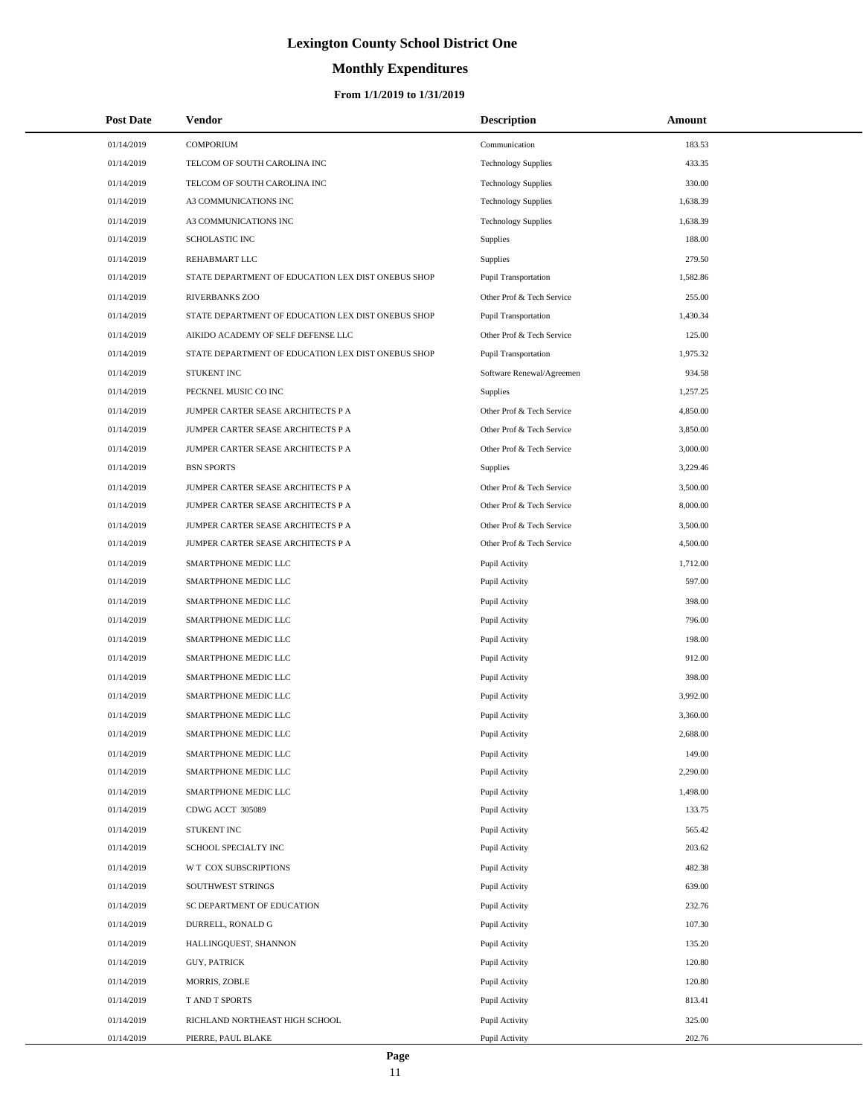# **Monthly Expenditures**

### **From 1/1/2019 to 1/31/2019**

| <b>Post Date</b> | Vendor                                             | <b>Description</b>         | Amount   |
|------------------|----------------------------------------------------|----------------------------|----------|
| 01/14/2019       | <b>COMPORIUM</b>                                   | Communication              | 183.53   |
| 01/14/2019       | TELCOM OF SOUTH CAROLINA INC                       | <b>Technology Supplies</b> | 433.35   |
| 01/14/2019       | TELCOM OF SOUTH CAROLINA INC                       | <b>Technology Supplies</b> | 330.00   |
| 01/14/2019       | A3 COMMUNICATIONS INC                              | <b>Technology Supplies</b> | 1,638.39 |
| 01/14/2019       | A3 COMMUNICATIONS INC                              | <b>Technology Supplies</b> | 1,638.39 |
| 01/14/2019       | <b>SCHOLASTIC INC</b>                              | <b>Supplies</b>            | 188.00   |
| 01/14/2019       | REHABMART LLC                                      | <b>Supplies</b>            | 279.50   |
| 01/14/2019       | STATE DEPARTMENT OF EDUCATION LEX DIST ONEBUS SHOP | Pupil Transportation       | 1,582.86 |
| 01/14/2019       | RIVERBANKS ZOO                                     | Other Prof & Tech Service  | 255.00   |
| 01/14/2019       | STATE DEPARTMENT OF EDUCATION LEX DIST ONEBUS SHOP | Pupil Transportation       | 1,430.34 |
| 01/14/2019       | AIKIDO ACADEMY OF SELF DEFENSE LLC                 | Other Prof & Tech Service  | 125.00   |
| 01/14/2019       | STATE DEPARTMENT OF EDUCATION LEX DIST ONEBUS SHOP | Pupil Transportation       | 1,975.32 |
| 01/14/2019       | STUKENT INC                                        | Software Renewal/Agreemen  | 934.58   |
| 01/14/2019       | PECKNEL MUSIC CO INC                               | <b>Supplies</b>            | 1,257.25 |
| 01/14/2019       | JUMPER CARTER SEASE ARCHITECTS P A                 | Other Prof & Tech Service  | 4,850.00 |
| 01/14/2019       | JUMPER CARTER SEASE ARCHITECTS P A                 | Other Prof & Tech Service  | 3,850.00 |
| 01/14/2019       | JUMPER CARTER SEASE ARCHITECTS P A                 | Other Prof & Tech Service  | 3,000.00 |
| 01/14/2019       | <b>BSN SPORTS</b>                                  | <b>Supplies</b>            | 3,229.46 |
| 01/14/2019       | JUMPER CARTER SEASE ARCHITECTS P A                 | Other Prof & Tech Service  | 3,500.00 |
| 01/14/2019       | JUMPER CARTER SEASE ARCHITECTS P A                 | Other Prof & Tech Service  | 8,000.00 |
| 01/14/2019       | JUMPER CARTER SEASE ARCHITECTS P A                 | Other Prof & Tech Service  | 3,500.00 |
| 01/14/2019       | JUMPER CARTER SEASE ARCHITECTS P A                 | Other Prof & Tech Service  | 4,500.00 |
| 01/14/2019       | SMARTPHONE MEDIC LLC                               | Pupil Activity             | 1,712.00 |
| 01/14/2019       | SMARTPHONE MEDIC LLC                               | Pupil Activity             | 597.00   |
| 01/14/2019       | SMARTPHONE MEDIC LLC                               | Pupil Activity             | 398.00   |
| 01/14/2019       | SMARTPHONE MEDIC LLC                               | Pupil Activity             | 796.00   |
| 01/14/2019       | SMARTPHONE MEDIC LLC                               | Pupil Activity             | 198.00   |
| 01/14/2019       | SMARTPHONE MEDIC LLC                               | Pupil Activity             | 912.00   |
| 01/14/2019       | SMARTPHONE MEDIC LLC                               | Pupil Activity             | 398.00   |
| 01/14/2019       | SMARTPHONE MEDIC LLC                               | Pupil Activity             | 3,992.00 |
| 01/14/2019       | SMARTPHONE MEDIC LLC                               | Pupil Activity             | 3,360.00 |
| 01/14/2019       | SMARTPHONE MEDIC LLC                               | Pupil Activity             | 2,688.00 |
| 01/14/2019       | SMARTPHONE MEDIC LLC                               | Pupil Activity             | 149.00   |
| 01/14/2019       | SMARTPHONE MEDIC LLC                               | Pupil Activity             | 2,290.00 |
| 01/14/2019       | SMARTPHONE MEDIC LLC                               | Pupil Activity             | 1,498.00 |
| 01/14/2019       | CDWG ACCT 305089                                   | Pupil Activity             | 133.75   |
| 01/14/2019       | STUKENT INC                                        | Pupil Activity             | 565.42   |
| 01/14/2019       | SCHOOL SPECIALTY INC                               | Pupil Activity             | 203.62   |
| 01/14/2019       | W T COX SUBSCRIPTIONS                              | Pupil Activity             | 482.38   |
| 01/14/2019       | SOUTHWEST STRINGS                                  | Pupil Activity             | 639.00   |
| 01/14/2019       | SC DEPARTMENT OF EDUCATION                         | Pupil Activity             | 232.76   |
| 01/14/2019       | DURRELL, RONALD G                                  | Pupil Activity             | 107.30   |
| 01/14/2019       | HALLINGQUEST, SHANNON                              | Pupil Activity             | 135.20   |
| 01/14/2019       | <b>GUY, PATRICK</b>                                | Pupil Activity             | 120.80   |
| 01/14/2019       | MORRIS, ZOBLE                                      | Pupil Activity             | 120.80   |
| 01/14/2019       | T AND T SPORTS                                     | Pupil Activity             | 813.41   |
| 01/14/2019       | RICHLAND NORTHEAST HIGH SCHOOL                     | Pupil Activity             | 325.00   |
| 01/14/2019       | PIERRE, PAUL BLAKE                                 | Pupil Activity             | 202.76   |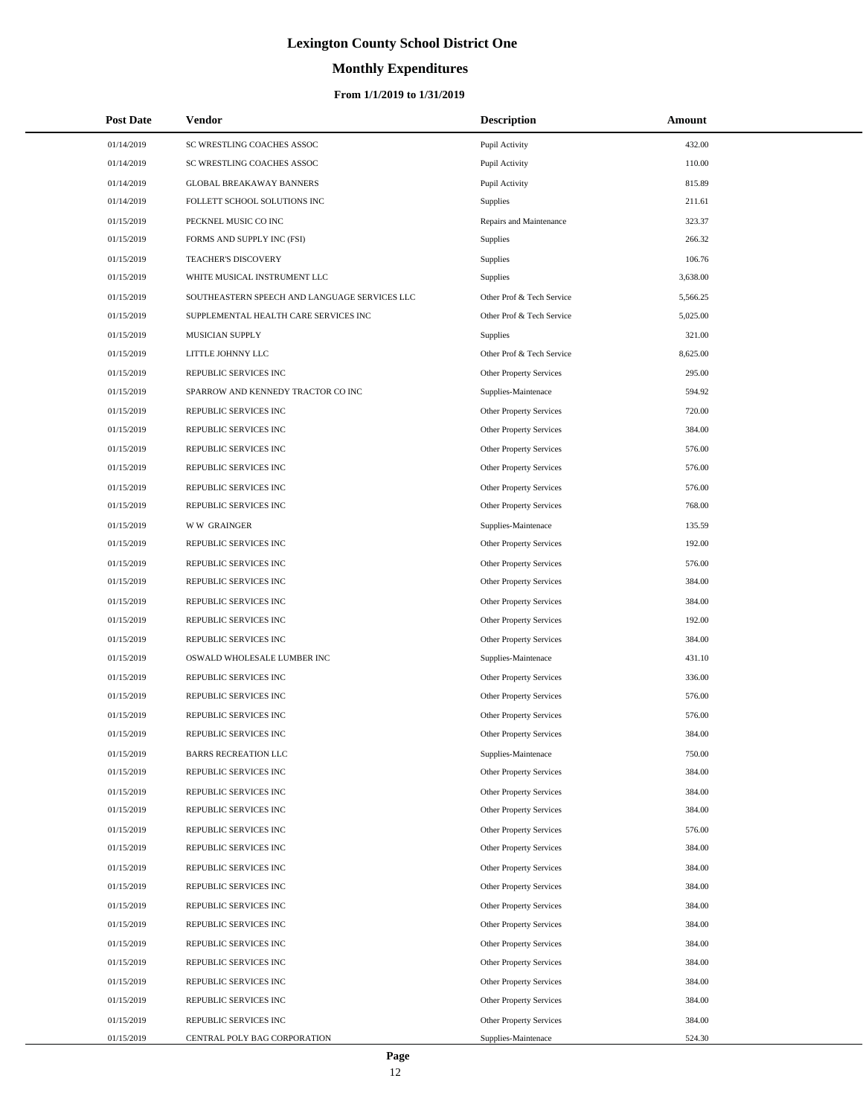# **Monthly Expenditures**

| <b>Post Date</b> | <b>Vendor</b>                                 | <b>Description</b>        | Amount   |
|------------------|-----------------------------------------------|---------------------------|----------|
| 01/14/2019       | SC WRESTLING COACHES ASSOC                    | Pupil Activity            | 432.00   |
| 01/14/2019       | SC WRESTLING COACHES ASSOC                    | Pupil Activity            | 110.00   |
| 01/14/2019       | <b>GLOBAL BREAKAWAY BANNERS</b>               | Pupil Activity            | 815.89   |
| 01/14/2019       | FOLLETT SCHOOL SOLUTIONS INC                  | Supplies                  | 211.61   |
| 01/15/2019       | PECKNEL MUSIC CO INC                          | Repairs and Maintenance   | 323.37   |
| 01/15/2019       | FORMS AND SUPPLY INC (FSI)                    | <b>Supplies</b>           | 266.32   |
| 01/15/2019       | <b>TEACHER'S DISCOVERY</b>                    | Supplies                  | 106.76   |
| 01/15/2019       | WHITE MUSICAL INSTRUMENT LLC                  | Supplies                  | 3,638.00 |
| 01/15/2019       | SOUTHEASTERN SPEECH AND LANGUAGE SERVICES LLC | Other Prof & Tech Service | 5,566.25 |
| 01/15/2019       | SUPPLEMENTAL HEALTH CARE SERVICES INC         | Other Prof & Tech Service | 5,025.00 |
| 01/15/2019       | MUSICIAN SUPPLY                               | <b>Supplies</b>           | 321.00   |
| 01/15/2019       | LITTLE JOHNNY LLC                             | Other Prof & Tech Service | 8,625.00 |
| 01/15/2019       | REPUBLIC SERVICES INC                         | Other Property Services   | 295.00   |
| 01/15/2019       | SPARROW AND KENNEDY TRACTOR CO INC            | Supplies-Maintenace       | 594.92   |
| 01/15/2019       | REPUBLIC SERVICES INC                         | Other Property Services   | 720.00   |
| 01/15/2019       | REPUBLIC SERVICES INC                         | Other Property Services   | 384.00   |
| 01/15/2019       | REPUBLIC SERVICES INC                         | Other Property Services   | 576.00   |
| 01/15/2019       | REPUBLIC SERVICES INC                         | Other Property Services   | 576.00   |
| 01/15/2019       | REPUBLIC SERVICES INC                         | Other Property Services   | 576.00   |
| 01/15/2019       | REPUBLIC SERVICES INC                         | Other Property Services   | 768.00   |
| 01/15/2019       | <b>WW GRAINGER</b>                            | Supplies-Maintenace       | 135.59   |
| 01/15/2019       | REPUBLIC SERVICES INC                         | Other Property Services   | 192.00   |
| 01/15/2019       | REPUBLIC SERVICES INC                         | Other Property Services   | 576.00   |
| 01/15/2019       | REPUBLIC SERVICES INC                         | Other Property Services   | 384.00   |
| 01/15/2019       | REPUBLIC SERVICES INC                         | Other Property Services   | 384.00   |
| 01/15/2019       | REPUBLIC SERVICES INC                         | Other Property Services   | 192.00   |
| 01/15/2019       | REPUBLIC SERVICES INC                         | Other Property Services   | 384.00   |
| 01/15/2019       | OSWALD WHOLESALE LUMBER INC                   | Supplies-Maintenace       | 431.10   |
| 01/15/2019       | REPUBLIC SERVICES INC                         | Other Property Services   | 336.00   |
| 01/15/2019       | REPUBLIC SERVICES INC                         | Other Property Services   | 576.00   |
| 01/15/2019       | REPUBLIC SERVICES INC                         | Other Property Services   | 576.00   |
| 01/15/2019       | REPUBLIC SERVICES INC                         | Other Property Services   | 384.00   |
| 01/15/2019       | <b>BARRS RECREATION LLC</b>                   | Supplies-Maintenace       | 750.00   |
| 01/15/2019       | REPUBLIC SERVICES INC                         | Other Property Services   | 384.00   |
| 01/15/2019       | REPUBLIC SERVICES INC                         | Other Property Services   | 384.00   |
| 01/15/2019       | REPUBLIC SERVICES INC                         | Other Property Services   | 384.00   |
| 01/15/2019       | REPUBLIC SERVICES INC                         | Other Property Services   | 576.00   |
| 01/15/2019       | REPUBLIC SERVICES INC                         | Other Property Services   | 384.00   |
| 01/15/2019       | REPUBLIC SERVICES INC                         | Other Property Services   | 384.00   |
| 01/15/2019       | REPUBLIC SERVICES INC                         | Other Property Services   | 384.00   |
| 01/15/2019       | REPUBLIC SERVICES INC                         | Other Property Services   | 384.00   |
| 01/15/2019       | REPUBLIC SERVICES INC                         | Other Property Services   | 384.00   |
| 01/15/2019       | REPUBLIC SERVICES INC                         | Other Property Services   | 384.00   |
| 01/15/2019       | REPUBLIC SERVICES INC                         | Other Property Services   | 384.00   |
| 01/15/2019       | REPUBLIC SERVICES INC                         | Other Property Services   | 384.00   |
| 01/15/2019       | REPUBLIC SERVICES INC                         | Other Property Services   | 384.00   |
| 01/15/2019       | REPUBLIC SERVICES INC                         | Other Property Services   | 384.00   |
| 01/15/2019       | CENTRAL POLY BAG CORPORATION                  | Supplies-Maintenace       | 524.30   |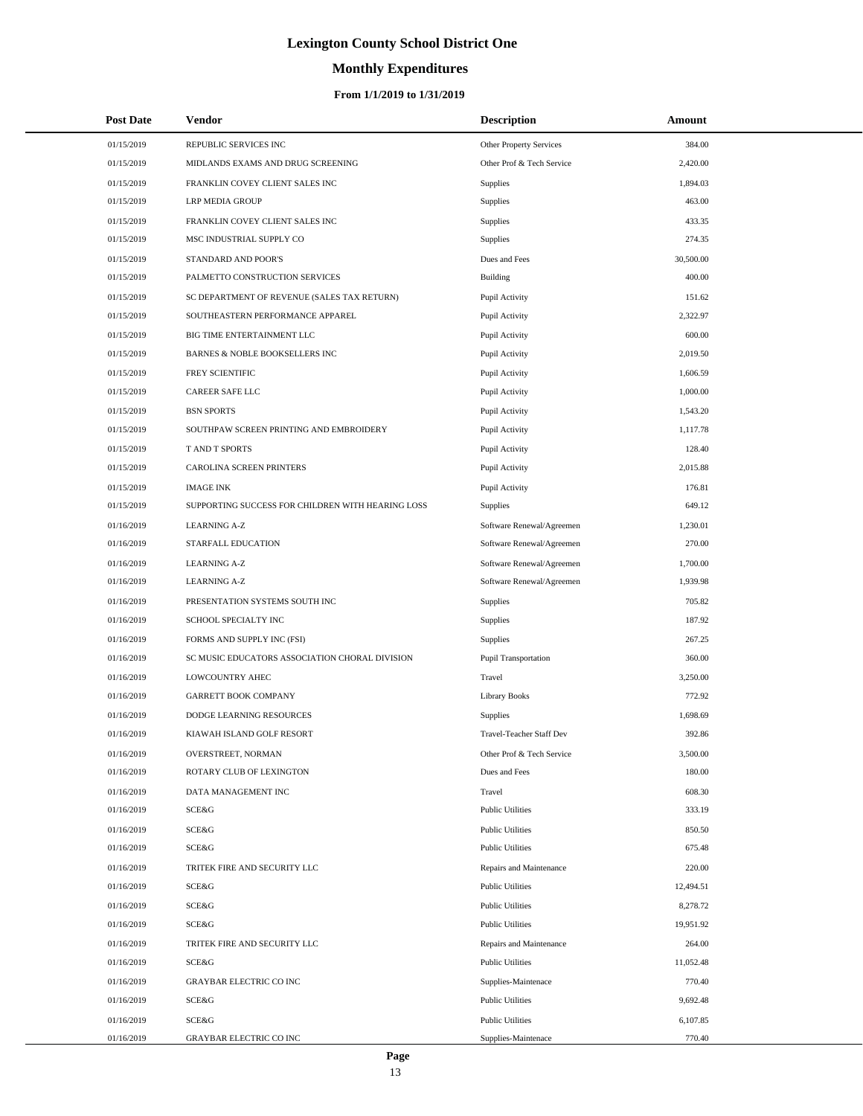# **Monthly Expenditures**

### **From 1/1/2019 to 1/31/2019**

| <b>Post Date</b>         | Vendor                                            | <b>Description</b>                             | Amount             |
|--------------------------|---------------------------------------------------|------------------------------------------------|--------------------|
| 01/15/2019               | REPUBLIC SERVICES INC                             | Other Property Services                        | 384.00             |
| 01/15/2019               | MIDLANDS EXAMS AND DRUG SCREENING                 | Other Prof & Tech Service                      | 2,420.00           |
| 01/15/2019               | FRANKLIN COVEY CLIENT SALES INC                   | Supplies                                       | 1,894.03           |
| 01/15/2019               | LRP MEDIA GROUP                                   | Supplies                                       | 463.00             |
| 01/15/2019               | FRANKLIN COVEY CLIENT SALES INC                   | Supplies                                       | 433.35             |
| 01/15/2019               | MSC INDUSTRIAL SUPPLY CO                          | <b>Supplies</b>                                | 274.35             |
| 01/15/2019               | STANDARD AND POOR'S                               | Dues and Fees                                  | 30,500.00          |
| 01/15/2019               | PALMETTO CONSTRUCTION SERVICES                    | Building                                       | 400.00             |
| 01/15/2019               | SC DEPARTMENT OF REVENUE (SALES TAX RETURN)       | Pupil Activity                                 | 151.62             |
| 01/15/2019               | SOUTHEASTERN PERFORMANCE APPAREL                  | Pupil Activity                                 | 2,322.97           |
| 01/15/2019               | BIG TIME ENTERTAINMENT LLC                        | Pupil Activity                                 | 600.00             |
| 01/15/2019               | BARNES & NOBLE BOOKSELLERS INC                    | Pupil Activity                                 | 2,019.50           |
| 01/15/2019               | FREY SCIENTIFIC                                   | Pupil Activity                                 | 1,606.59           |
| 01/15/2019               | CAREER SAFE LLC                                   | Pupil Activity                                 | 1,000.00           |
| 01/15/2019               | <b>BSN SPORTS</b>                                 | Pupil Activity                                 | 1,543.20           |
| 01/15/2019               | SOUTHPAW SCREEN PRINTING AND EMBROIDERY           | Pupil Activity                                 | 1,117.78           |
| 01/15/2019               | T AND T SPORTS                                    | Pupil Activity                                 | 128.40             |
| 01/15/2019               | CAROLINA SCREEN PRINTERS                          | Pupil Activity                                 | 2,015.88           |
| 01/15/2019               | <b>IMAGE INK</b>                                  | Pupil Activity                                 | 176.81             |
| 01/15/2019               | SUPPORTING SUCCESS FOR CHILDREN WITH HEARING LOSS | Supplies                                       | 649.12             |
| 01/16/2019               | <b>LEARNING A-Z</b>                               | Software Renewal/Agreemen                      | 1,230.01           |
| 01/16/2019               | STARFALL EDUCATION                                | Software Renewal/Agreemen                      | 270.00             |
| 01/16/2019               | <b>LEARNING A-Z</b>                               | Software Renewal/Agreemen                      | 1,700.00           |
| 01/16/2019               | <b>LEARNING A-Z</b>                               | Software Renewal/Agreemen                      | 1,939.98           |
| 01/16/2019               | PRESENTATION SYSTEMS SOUTH INC                    | Supplies                                       | 705.82             |
| 01/16/2019               | SCHOOL SPECIALTY INC                              | <b>Supplies</b>                                | 187.92             |
| 01/16/2019               | FORMS AND SUPPLY INC (FSI)                        | Supplies                                       | 267.25             |
| 01/16/2019               | SC MUSIC EDUCATORS ASSOCIATION CHORAL DIVISION    | Pupil Transportation                           | 360.00             |
| 01/16/2019               | <b>LOWCOUNTRY AHEC</b>                            | Travel                                         | 3,250.00           |
| 01/16/2019               | <b>GARRETT BOOK COMPANY</b>                       | Library Books                                  | 772.92             |
| 01/16/2019               | DODGE LEARNING RESOURCES                          | Supplies                                       | 1,698.69           |
| 01/16/2019               | KIAWAH ISLAND GOLF RESORT                         | <b>Travel-Teacher Staff Dev</b>                | 392.86             |
| 01/16/2019               | OVERSTREET, NORMAN                                | Other Prof & Tech Service                      | 3,500.00           |
| 01/16/2019               | ROTARY CLUB OF LEXINGTON                          | Dues and Fees                                  | 180.00             |
| 01/16/2019               | DATA MANAGEMENT INC                               | Travel                                         | 608.30             |
| 01/16/2019               | SCE&G                                             | <b>Public Utilities</b>                        | 333.19             |
| 01/16/2019               | SCE&G                                             | <b>Public Utilities</b>                        | 850.50             |
| 01/16/2019               | SCE&G                                             | <b>Public Utilities</b>                        | 675.48             |
| 01/16/2019               | TRITEK FIRE AND SECURITY LLC                      | Repairs and Maintenance                        | 220.00             |
| 01/16/2019               | SCE&G                                             | <b>Public Utilities</b>                        | 12,494.51          |
| 01/16/2019               | SCE&G                                             | <b>Public Utilities</b>                        | 8,278.72           |
| 01/16/2019               | SCE&G                                             | <b>Public Utilities</b>                        | 19,951.92          |
| 01/16/2019               | TRITEK FIRE AND SECURITY LLC                      | Repairs and Maintenance                        | 264.00             |
| 01/16/2019               | SCE&G                                             | <b>Public Utilities</b>                        | 11,052.48          |
| 01/16/2019               | <b>GRAYBAR ELECTRIC CO INC</b>                    | Supplies-Maintenace                            | 770.40             |
| 01/16/2019               | SCE&G                                             | <b>Public Utilities</b>                        | 9,692.48           |
| 01/16/2019<br>01/16/2019 | SCE&G<br>GRAYBAR ELECTRIC CO INC                  | <b>Public Utilities</b><br>Supplies-Maintenace | 6,107.85<br>770.40 |
|                          |                                                   |                                                |                    |

÷.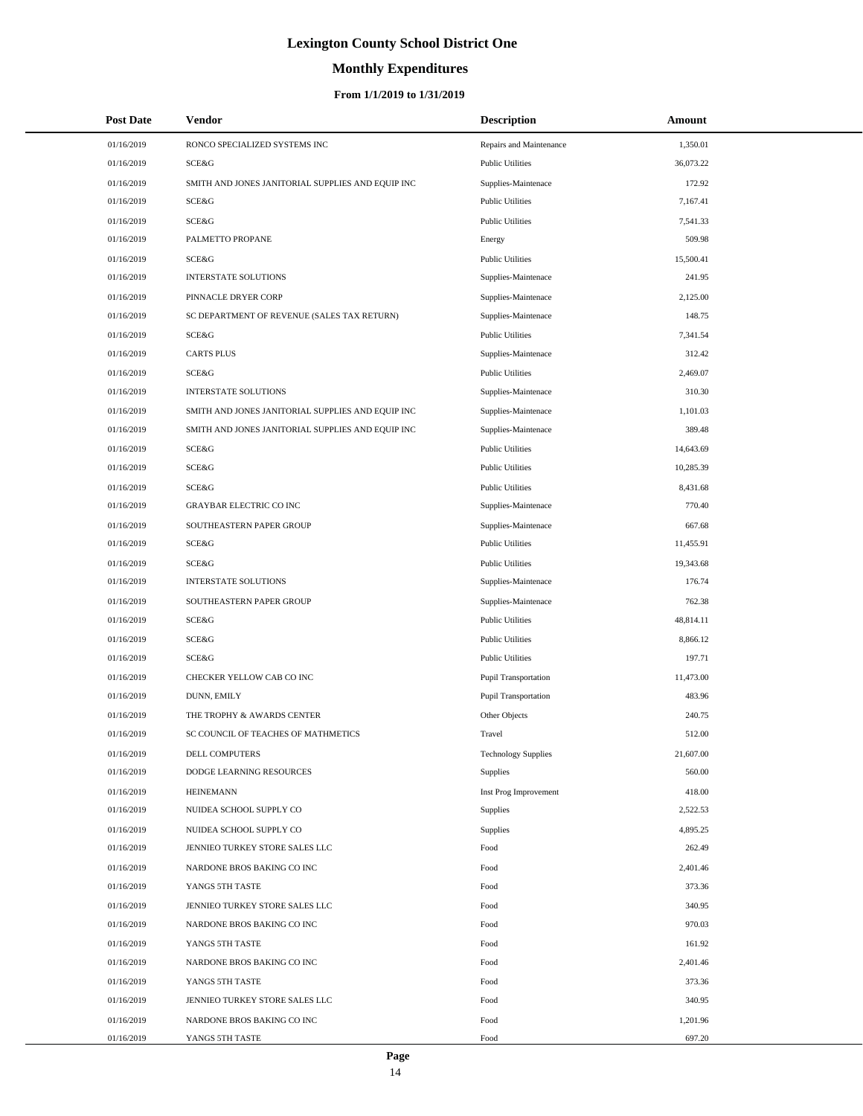# **Monthly Expenditures**

| <b>Post Date</b> | Vendor                                            | <b>Description</b>          | Amount    |
|------------------|---------------------------------------------------|-----------------------------|-----------|
| 01/16/2019       | RONCO SPECIALIZED SYSTEMS INC                     | Repairs and Maintenance     | 1,350.01  |
| 01/16/2019       | SCE&G                                             | <b>Public Utilities</b>     | 36,073.22 |
| 01/16/2019       | SMITH AND JONES JANITORIAL SUPPLIES AND EQUIP INC | Supplies-Maintenace         | 172.92    |
| 01/16/2019       | <b>SCE&amp;G</b>                                  | <b>Public Utilities</b>     | 7,167.41  |
| 01/16/2019       | SCE&G                                             | <b>Public Utilities</b>     | 7,541.33  |
| 01/16/2019       | PALMETTO PROPANE                                  | Energy                      | 509.98    |
| 01/16/2019       | <b>SCE&amp;G</b>                                  | <b>Public Utilities</b>     | 15,500.41 |
| 01/16/2019       | <b>INTERSTATE SOLUTIONS</b>                       | Supplies-Maintenace         | 241.95    |
| 01/16/2019       | PINNACLE DRYER CORP                               | Supplies-Maintenace         | 2,125.00  |
| 01/16/2019       | SC DEPARTMENT OF REVENUE (SALES TAX RETURN)       | Supplies-Maintenace         | 148.75    |
| 01/16/2019       | SCE&G                                             | <b>Public Utilities</b>     | 7,341.54  |
| 01/16/2019       | <b>CARTS PLUS</b>                                 | Supplies-Maintenace         | 312.42    |
| 01/16/2019       | SCE&G                                             | <b>Public Utilities</b>     | 2,469.07  |
| 01/16/2019       | <b>INTERSTATE SOLUTIONS</b>                       | Supplies-Maintenace         | 310.30    |
| 01/16/2019       | SMITH AND JONES JANITORIAL SUPPLIES AND EQUIP INC | Supplies-Maintenace         | 1,101.03  |
| 01/16/2019       | SMITH AND JONES JANITORIAL SUPPLIES AND EQUIP INC | Supplies-Maintenace         | 389.48    |
| 01/16/2019       | SCE&G                                             | <b>Public Utilities</b>     | 14,643.69 |
| 01/16/2019       | SCE&G                                             | <b>Public Utilities</b>     | 10,285.39 |
| 01/16/2019       | <b>SCE&amp;G</b>                                  | <b>Public Utilities</b>     | 8,431.68  |
| 01/16/2019       | <b>GRAYBAR ELECTRIC CO INC</b>                    | Supplies-Maintenace         | 770.40    |
| 01/16/2019       | SOUTHEASTERN PAPER GROUP                          | Supplies-Maintenace         | 667.68    |
| 01/16/2019       | SCE&G                                             | <b>Public Utilities</b>     | 11,455.91 |
| 01/16/2019       | <b>SCE&amp;G</b>                                  | <b>Public Utilities</b>     | 19,343.68 |
| 01/16/2019       | <b>INTERSTATE SOLUTIONS</b>                       | Supplies-Maintenace         | 176.74    |
| 01/16/2019       | SOUTHEASTERN PAPER GROUP                          | Supplies-Maintenace         | 762.38    |
| 01/16/2019       | SCE&G                                             | <b>Public Utilities</b>     | 48,814.11 |
| 01/16/2019       | SCE&G                                             | <b>Public Utilities</b>     | 8,866.12  |
| 01/16/2019       | SCE&G                                             | <b>Public Utilities</b>     | 197.71    |
| 01/16/2019       | CHECKER YELLOW CAB CO INC                         | <b>Pupil Transportation</b> | 11,473.00 |
| 01/16/2019       | DUNN, EMILY                                       | Pupil Transportation        | 483.96    |
| 01/16/2019       | THE TROPHY & AWARDS CENTER                        | Other Objects               | 240.75    |
| 01/16/2019       | SC COUNCIL OF TEACHES OF MATHMETICS               | Travel                      | 512.00    |
| 01/16/2019       | <b>DELL COMPUTERS</b>                             | <b>Technology Supplies</b>  | 21,607.00 |
| 01/16/2019       | DODGE LEARNING RESOURCES                          | Supplies                    | 560.00    |
| 01/16/2019       | <b>HEINEMANN</b>                                  | Inst Prog Improvement       | 418.00    |
| 01/16/2019       | NUIDEA SCHOOL SUPPLY CO                           | Supplies                    | 2,522.53  |
| 01/16/2019       | NUIDEA SCHOOL SUPPLY CO                           | Supplies                    | 4,895.25  |
| 01/16/2019       | JENNIEO TURKEY STORE SALES LLC                    | Food                        | 262.49    |
| 01/16/2019       | NARDONE BROS BAKING CO INC                        | Food                        | 2,401.46  |
| 01/16/2019       | YANGS 5TH TASTE                                   | Food                        | 373.36    |
| 01/16/2019       | JENNIEO TURKEY STORE SALES LLC                    | Food                        | 340.95    |
| 01/16/2019       | NARDONE BROS BAKING CO INC                        | Food                        | 970.03    |
| 01/16/2019       | YANGS 5TH TASTE                                   | Food                        | 161.92    |
| 01/16/2019       | NARDONE BROS BAKING CO INC                        | Food                        | 2,401.46  |
| 01/16/2019       | YANGS 5TH TASTE                                   | Food                        | 373.36    |
| 01/16/2019       | JENNIEO TURKEY STORE SALES LLC                    | Food                        | 340.95    |
| 01/16/2019       | NARDONE BROS BAKING CO INC                        | Food                        | 1,201.96  |
| 01/16/2019       | YANGS 5TH TASTE                                   | Food                        | 697.20    |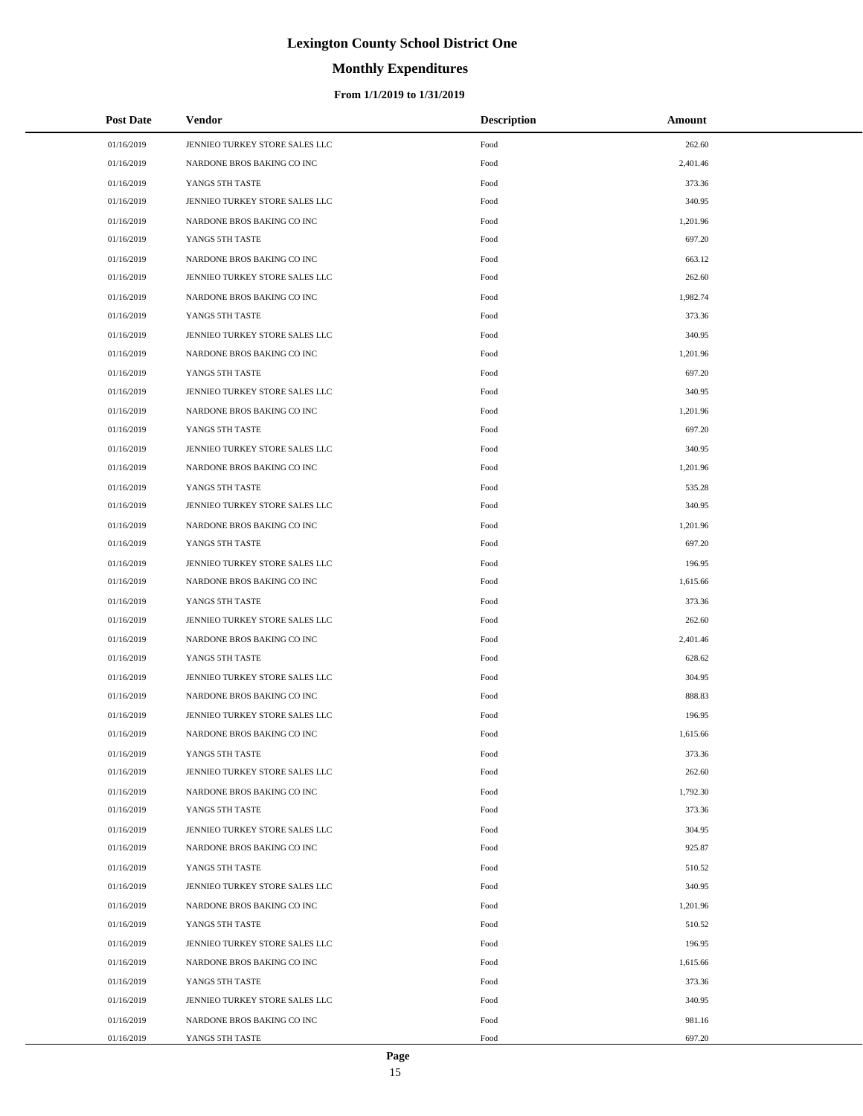# **Monthly Expenditures**

### **From 1/1/2019 to 1/31/2019**

| <b>Post Date</b> | Vendor                         | <b>Description</b> | Amount   |
|------------------|--------------------------------|--------------------|----------|
| 01/16/2019       | JENNIEO TURKEY STORE SALES LLC | Food               | 262.60   |
| 01/16/2019       | NARDONE BROS BAKING CO INC     | Food               | 2,401.46 |
| 01/16/2019       | YANGS 5TH TASTE                | Food               | 373.36   |
| 01/16/2019       | JENNIEO TURKEY STORE SALES LLC | Food               | 340.95   |
| 01/16/2019       | NARDONE BROS BAKING CO INC     | Food               | 1,201.96 |
| 01/16/2019       | YANGS 5TH TASTE                | Food               | 697.20   |
| 01/16/2019       | NARDONE BROS BAKING CO INC     | Food               | 663.12   |
| 01/16/2019       | JENNIEO TURKEY STORE SALES LLC | Food               | 262.60   |
| 01/16/2019       | NARDONE BROS BAKING CO INC     | Food               | 1,982.74 |
| 01/16/2019       | YANGS 5TH TASTE                | Food               | 373.36   |
| 01/16/2019       | JENNIEO TURKEY STORE SALES LLC | Food               | 340.95   |
| 01/16/2019       | NARDONE BROS BAKING CO INC     | Food               | 1,201.96 |
| 01/16/2019       | YANGS 5TH TASTE                | Food               | 697.20   |
| 01/16/2019       | JENNIEO TURKEY STORE SALES LLC | Food               | 340.95   |
| 01/16/2019       | NARDONE BROS BAKING CO INC     | Food               | 1,201.96 |
| 01/16/2019       | YANGS 5TH TASTE                | Food               | 697.20   |
| 01/16/2019       | JENNIEO TURKEY STORE SALES LLC | Food               | 340.95   |
| 01/16/2019       | NARDONE BROS BAKING CO INC     | Food               | 1,201.96 |
| 01/16/2019       | YANGS 5TH TASTE                | Food               | 535.28   |
| 01/16/2019       | JENNIEO TURKEY STORE SALES LLC | Food               | 340.95   |
| 01/16/2019       | NARDONE BROS BAKING CO INC     | Food               | 1,201.96 |
| 01/16/2019       | YANGS 5TH TASTE                | Food               | 697.20   |
| 01/16/2019       | JENNIEO TURKEY STORE SALES LLC | Food               | 196.95   |
| 01/16/2019       | NARDONE BROS BAKING CO INC     | Food               | 1,615.66 |
| 01/16/2019       | YANGS 5TH TASTE                | Food               | 373.36   |
| 01/16/2019       | JENNIEO TURKEY STORE SALES LLC | Food               | 262.60   |
| 01/16/2019       | NARDONE BROS BAKING CO INC     | Food               | 2,401.46 |
| 01/16/2019       | YANGS 5TH TASTE                | Food               | 628.62   |
| 01/16/2019       | JENNIEO TURKEY STORE SALES LLC | Food               | 304.95   |
| 01/16/2019       | NARDONE BROS BAKING CO INC     | Food               | 888.83   |
| 01/16/2019       | JENNIEO TURKEY STORE SALES LLC | Food               | 196.95   |
| 01/16/2019       | NARDONE BROS BAKING CO INC     | Food               | 1,615.66 |
| 01/16/2019       | YANGS 5TH TASTE                | Food               | 373.36   |
| 01/16/2019       | JENNIEO TURKEY STORE SALES LLC | Food               | 262.60   |
| 01/16/2019       | NARDONE BROS BAKING CO INC     | Food               | 1,792.30 |
| 01/16/2019       | YANGS 5TH TASTE                | Food               | 373.36   |
| 01/16/2019       | JENNIEO TURKEY STORE SALES LLC | Food               | 304.95   |
| 01/16/2019       | NARDONE BROS BAKING CO INC     | Food               | 925.87   |
| 01/16/2019       | YANGS 5TH TASTE                | Food               | 510.52   |
| 01/16/2019       | JENNIEO TURKEY STORE SALES LLC | Food               | 340.95   |
| 01/16/2019       | NARDONE BROS BAKING CO INC     | Food               | 1,201.96 |
| 01/16/2019       | YANGS 5TH TASTE                | Food               | 510.52   |
| 01/16/2019       | JENNIEO TURKEY STORE SALES LLC | Food               | 196.95   |
| 01/16/2019       | NARDONE BROS BAKING CO INC     | Food               | 1,615.66 |
| 01/16/2019       | YANGS 5TH TASTE                | Food               | 373.36   |
| 01/16/2019       | JENNIEO TURKEY STORE SALES LLC | Food               | 340.95   |
| 01/16/2019       | NARDONE BROS BAKING CO INC     | Food               | 981.16   |
| 01/16/2019       | YANGS 5TH TASTE                | Food               | 697.20   |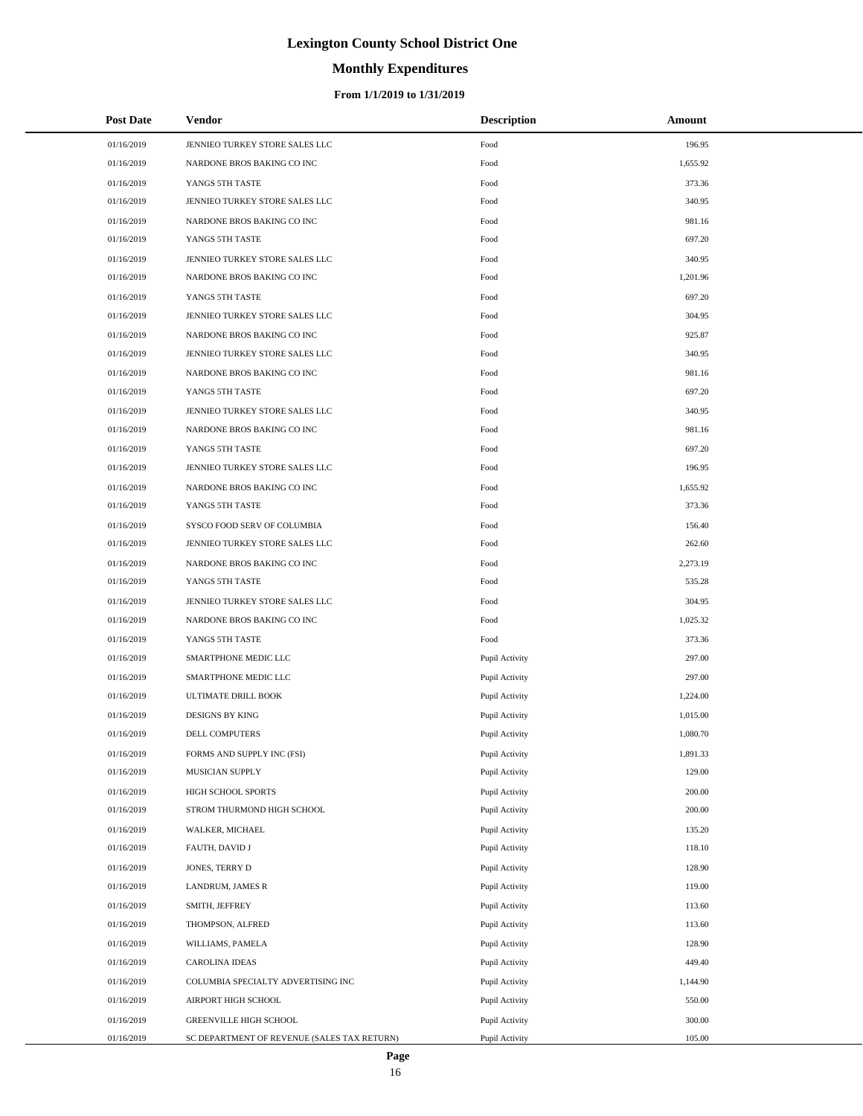# **Monthly Expenditures**

### **From 1/1/2019 to 1/31/2019**

| <b>Post Date</b> | Vendor                                      | <b>Description</b> | Amount   |
|------------------|---------------------------------------------|--------------------|----------|
| 01/16/2019       | JENNIEO TURKEY STORE SALES LLC              | Food               | 196.95   |
| 01/16/2019       | NARDONE BROS BAKING CO INC                  | Food               | 1,655.92 |
| 01/16/2019       | YANGS 5TH TASTE                             | Food               | 373.36   |
| 01/16/2019       | JENNIEO TURKEY STORE SALES LLC              | Food               | 340.95   |
| 01/16/2019       | NARDONE BROS BAKING CO INC                  | Food               | 981.16   |
| 01/16/2019       | YANGS 5TH TASTE                             | Food               | 697.20   |
| 01/16/2019       | JENNIEO TURKEY STORE SALES LLC              | Food               | 340.95   |
| 01/16/2019       | NARDONE BROS BAKING CO INC                  | Food               | 1,201.96 |
| 01/16/2019       | YANGS 5TH TASTE                             | Food               | 697.20   |
| 01/16/2019       | JENNIEO TURKEY STORE SALES LLC              | Food               | 304.95   |
| 01/16/2019       | NARDONE BROS BAKING CO INC                  | Food               | 925.87   |
| 01/16/2019       | JENNIEO TURKEY STORE SALES LLC              | Food               | 340.95   |
| 01/16/2019       | NARDONE BROS BAKING CO INC                  | Food               | 981.16   |
| 01/16/2019       | YANGS 5TH TASTE                             | Food               | 697.20   |
| 01/16/2019       | JENNIEO TURKEY STORE SALES LLC              | Food               | 340.95   |
| 01/16/2019       | NARDONE BROS BAKING CO INC                  | Food               | 981.16   |
| 01/16/2019       | YANGS 5TH TASTE                             | Food               | 697.20   |
| 01/16/2019       | JENNIEO TURKEY STORE SALES LLC              | Food               | 196.95   |
| 01/16/2019       | NARDONE BROS BAKING CO INC                  | Food               | 1,655.92 |
| 01/16/2019       | YANGS 5TH TASTE                             | Food               | 373.36   |
| 01/16/2019       | SYSCO FOOD SERV OF COLUMBIA                 | Food               | 156.40   |
| 01/16/2019       | JENNIEO TURKEY STORE SALES LLC              | Food               | 262.60   |
| 01/16/2019       | NARDONE BROS BAKING CO INC                  | Food               | 2,273.19 |
| 01/16/2019       | YANGS 5TH TASTE                             | Food               | 535.28   |
| 01/16/2019       | JENNIEO TURKEY STORE SALES LLC              | Food               | 304.95   |
| 01/16/2019       | NARDONE BROS BAKING CO INC                  | Food               | 1,025.32 |
| 01/16/2019       | YANGS 5TH TASTE                             | Food               | 373.36   |
| 01/16/2019       | SMARTPHONE MEDIC LLC                        | Pupil Activity     | 297.00   |
| 01/16/2019       | SMARTPHONE MEDIC LLC                        | Pupil Activity     | 297.00   |
| 01/16/2019       | ULTIMATE DRILL BOOK                         | Pupil Activity     | 1,224.00 |
| 01/16/2019       | DESIGNS BY KING                             | Pupil Activity     | 1,015.00 |
| 01/16/2019       | DELL COMPUTERS                              | Pupil Activity     | 1,080.70 |
| 01/16/2019       | FORMS AND SUPPLY INC (FSI)                  | Pupil Activity     | 1,891.33 |
| 01/16/2019       | MUSICIAN SUPPLY                             | Pupil Activity     | 129.00   |
| 01/16/2019       | HIGH SCHOOL SPORTS                          | Pupil Activity     | 200.00   |
| 01/16/2019       | STROM THURMOND HIGH SCHOOL                  | Pupil Activity     | 200.00   |
| 01/16/2019       | WALKER, MICHAEL                             | Pupil Activity     | 135.20   |
| 01/16/2019       | FAUTH, DAVID J                              | Pupil Activity     | 118.10   |
| 01/16/2019       | JONES, TERRY D                              | Pupil Activity     | 128.90   |
| 01/16/2019       | LANDRUM, JAMES R                            | Pupil Activity     | 119.00   |
| 01/16/2019       | SMITH, JEFFREY                              | Pupil Activity     | 113.60   |
| 01/16/2019       | THOMPSON, ALFRED                            | Pupil Activity     | 113.60   |
| 01/16/2019       | WILLIAMS, PAMELA                            | Pupil Activity     | 128.90   |
| 01/16/2019       | CAROLINA IDEAS                              | Pupil Activity     | 449.40   |
| 01/16/2019       | COLUMBIA SPECIALTY ADVERTISING INC          | Pupil Activity     | 1,144.90 |
| 01/16/2019       | AIRPORT HIGH SCHOOL                         | Pupil Activity     | 550.00   |
| 01/16/2019       | GREENVILLE HIGH SCHOOL                      | Pupil Activity     | 300.00   |
| 01/16/2019       | SC DEPARTMENT OF REVENUE (SALES TAX RETURN) | Pupil Activity     | 105.00   |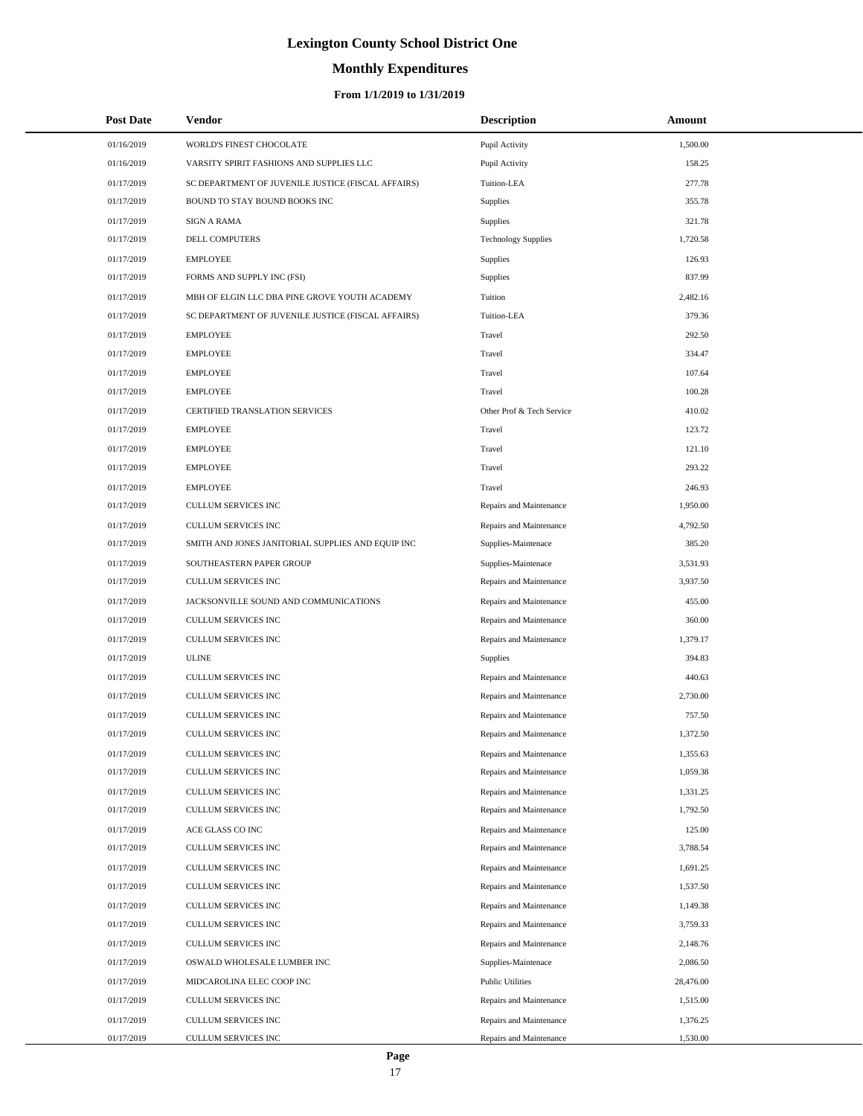# **Monthly Expenditures**

### **From 1/1/2019 to 1/31/2019**

| <b>Post Date</b> | Vendor                                             | <b>Description</b>         | Amount    |
|------------------|----------------------------------------------------|----------------------------|-----------|
| 01/16/2019       | WORLD'S FINEST CHOCOLATE                           | Pupil Activity             | 1,500.00  |
| 01/16/2019       | VARSITY SPIRIT FASHIONS AND SUPPLIES LLC           | Pupil Activity             | 158.25    |
| 01/17/2019       | SC DEPARTMENT OF JUVENILE JUSTICE (FISCAL AFFAIRS) | Tuition-LEA                | 277.78    |
| 01/17/2019       | BOUND TO STAY BOUND BOOKS INC                      | Supplies                   | 355.78    |
| 01/17/2019       | <b>SIGN A RAMA</b>                                 | Supplies                   | 321.78    |
| 01/17/2019       | DELL COMPUTERS                                     | <b>Technology Supplies</b> | 1,720.58  |
| 01/17/2019       | <b>EMPLOYEE</b>                                    | Supplies                   | 126.93    |
| 01/17/2019       | FORMS AND SUPPLY INC (FSI)                         | Supplies                   | 837.99    |
| 01/17/2019       | MBH OF ELGIN LLC DBA PINE GROVE YOUTH ACADEMY      | Tuition                    | 2.482.16  |
| 01/17/2019       | SC DEPARTMENT OF JUVENILE JUSTICE (FISCAL AFFAIRS) | Tuition-LEA                | 379.36    |
| 01/17/2019       | <b>EMPLOYEE</b>                                    | Travel                     | 292.50    |
| 01/17/2019       | <b>EMPLOYEE</b>                                    | Travel                     | 334.47    |
| 01/17/2019       | <b>EMPLOYEE</b>                                    | Travel                     | 107.64    |
| 01/17/2019       | <b>EMPLOYEE</b>                                    | Travel                     | 100.28    |
| 01/17/2019       | <b>CERTIFIED TRANSLATION SERVICES</b>              | Other Prof & Tech Service  | 410.02    |
| 01/17/2019       | <b>EMPLOYEE</b>                                    | Travel                     | 123.72    |
| 01/17/2019       | <b>EMPLOYEE</b>                                    | Travel                     | 121.10    |
| 01/17/2019       | <b>EMPLOYEE</b>                                    | Travel                     | 293.22    |
| 01/17/2019       | <b>EMPLOYEE</b>                                    | Travel                     | 246.93    |
| 01/17/2019       | <b>CULLUM SERVICES INC</b>                         | Repairs and Maintenance    | 1,950.00  |
| 01/17/2019       | CULLUM SERVICES INC                                | Repairs and Maintenance    | 4,792.50  |
| 01/17/2019       | SMITH AND JONES JANITORIAL SUPPLIES AND EQUIP INC  | Supplies-Maintenace        | 385.20    |
| 01/17/2019       | SOUTHEASTERN PAPER GROUP                           | Supplies-Maintenace        | 3,531.93  |
| 01/17/2019       | <b>CULLUM SERVICES INC</b>                         | Repairs and Maintenance    | 3,937.50  |
| 01/17/2019       | JACKSONVILLE SOUND AND COMMUNICATIONS              | Repairs and Maintenance    | 455.00    |
| 01/17/2019       | CULLUM SERVICES INC                                | Repairs and Maintenance    | 360.00    |
| 01/17/2019       | CULLUM SERVICES INC                                | Repairs and Maintenance    | 1,379.17  |
| 01/17/2019       | <b>ULINE</b>                                       | <b>Supplies</b>            | 394.83    |
| 01/17/2019       | CULLUM SERVICES INC                                | Repairs and Maintenance    | 440.63    |
| 01/17/2019       | CULLUM SERVICES INC                                | Repairs and Maintenance    | 2,730.00  |
| 01/17/2019       | CULLUM SERVICES INC                                | Repairs and Maintenance    | 757.50    |
| 01/17/2019       | <b>CULLUM SERVICES INC</b>                         | Repairs and Maintenance    | 1,372.50  |
| 01/17/2019       | CULLUM SERVICES INC                                | Repairs and Maintenance    | 1,355.63  |
| 01/17/2019       | CULLUM SERVICES INC                                | Repairs and Maintenance    | 1,059.38  |
| 01/17/2019       | CULLUM SERVICES INC                                | Repairs and Maintenance    | 1,331.25  |
| 01/17/2019       | CULLUM SERVICES INC                                | Repairs and Maintenance    | 1,792.50  |
| 01/17/2019       | ACE GLASS CO INC                                   | Repairs and Maintenance    | 125.00    |
| 01/17/2019       | CULLUM SERVICES INC                                | Repairs and Maintenance    | 3,788.54  |
| 01/17/2019       | CULLUM SERVICES INC                                | Repairs and Maintenance    | 1,691.25  |
| 01/17/2019       | <b>CULLUM SERVICES INC</b>                         | Repairs and Maintenance    | 1,537.50  |
| 01/17/2019       | CULLUM SERVICES INC                                | Repairs and Maintenance    | 1,149.38  |
| 01/17/2019       | CULLUM SERVICES INC                                | Repairs and Maintenance    | 3,759.33  |
| 01/17/2019       | CULLUM SERVICES INC                                | Repairs and Maintenance    | 2,148.76  |
| 01/17/2019       | OSWALD WHOLESALE LUMBER INC                        | Supplies-Maintenace        | 2,086.50  |
| 01/17/2019       | MIDCAROLINA ELEC COOP INC                          | <b>Public Utilities</b>    | 28,476.00 |
| 01/17/2019       | CULLUM SERVICES INC                                | Repairs and Maintenance    | 1,515.00  |
| 01/17/2019       | CULLUM SERVICES INC                                | Repairs and Maintenance    | 1,376.25  |
| 01/17/2019       | CULLUM SERVICES INC                                | Repairs and Maintenance    | 1,530.00  |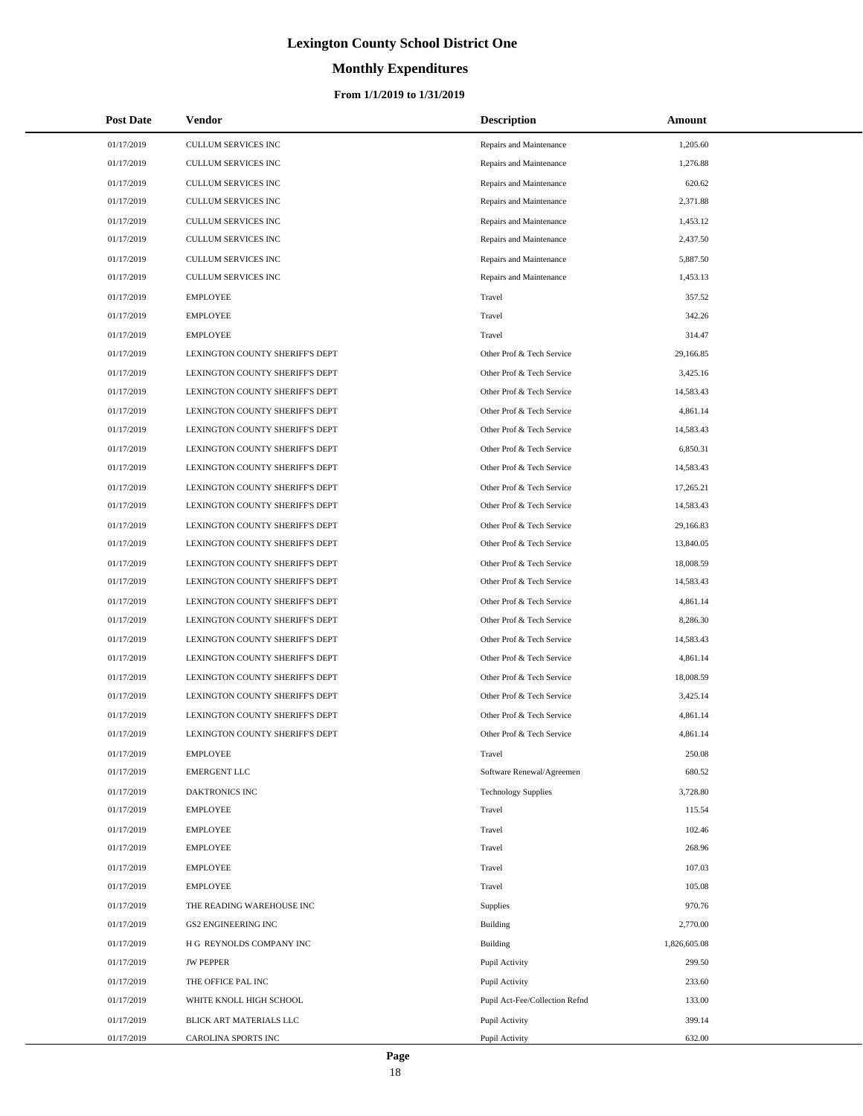# **Monthly Expenditures**

| <b>Post Date</b> | Vendor                          | <b>Description</b>             | Amount       |
|------------------|---------------------------------|--------------------------------|--------------|
| 01/17/2019       | CULLUM SERVICES INC             | Repairs and Maintenance        | 1,205.60     |
| 01/17/2019       | CULLUM SERVICES INC             | Repairs and Maintenance        | 1,276.88     |
| 01/17/2019       | CULLUM SERVICES INC             | Repairs and Maintenance        | 620.62       |
| 01/17/2019       | CULLUM SERVICES INC             | Repairs and Maintenance        | 2,371.88     |
| 01/17/2019       | CULLUM SERVICES INC             | Repairs and Maintenance        | 1,453.12     |
| 01/17/2019       | CULLUM SERVICES INC             | Repairs and Maintenance        | 2,437.50     |
| 01/17/2019       | CULLUM SERVICES INC             | Repairs and Maintenance        | 5,887.50     |
| 01/17/2019       | CULLUM SERVICES INC             | Repairs and Maintenance        | 1,453.13     |
| 01/17/2019       | <b>EMPLOYEE</b>                 | Travel                         | 357.52       |
| 01/17/2019       | <b>EMPLOYEE</b>                 | Travel                         | 342.26       |
| 01/17/2019       | <b>EMPLOYEE</b>                 | Travel                         | 314.47       |
| 01/17/2019       | LEXINGTON COUNTY SHERIFF'S DEPT | Other Prof & Tech Service      | 29,166.85    |
| 01/17/2019       | LEXINGTON COUNTY SHERIFF'S DEPT | Other Prof & Tech Service      | 3,425.16     |
| 01/17/2019       | LEXINGTON COUNTY SHERIFF'S DEPT | Other Prof & Tech Service      | 14,583.43    |
| 01/17/2019       | LEXINGTON COUNTY SHERIFF'S DEPT | Other Prof & Tech Service      | 4,861.14     |
| 01/17/2019       | LEXINGTON COUNTY SHERIFF'S DEPT | Other Prof & Tech Service      | 14,583.43    |
| 01/17/2019       | LEXINGTON COUNTY SHERIFF'S DEPT | Other Prof & Tech Service      | 6,850.31     |
| 01/17/2019       | LEXINGTON COUNTY SHERIFF'S DEPT | Other Prof & Tech Service      | 14,583.43    |
| 01/17/2019       | LEXINGTON COUNTY SHERIFF'S DEPT | Other Prof & Tech Service      | 17,265.21    |
| 01/17/2019       | LEXINGTON COUNTY SHERIFF'S DEPT | Other Prof & Tech Service      | 14,583.43    |
| 01/17/2019       | LEXINGTON COUNTY SHERIFF'S DEPT | Other Prof & Tech Service      | 29,166.83    |
| 01/17/2019       | LEXINGTON COUNTY SHERIFF'S DEPT | Other Prof & Tech Service      | 13,840.05    |
| 01/17/2019       | LEXINGTON COUNTY SHERIFF'S DEPT | Other Prof & Tech Service      | 18,008.59    |
| 01/17/2019       | LEXINGTON COUNTY SHERIFF'S DEPT | Other Prof & Tech Service      | 14,583.43    |
| 01/17/2019       | LEXINGTON COUNTY SHERIFF'S DEPT | Other Prof & Tech Service      | 4,861.14     |
| 01/17/2019       | LEXINGTON COUNTY SHERIFF'S DEPT | Other Prof & Tech Service      | 8,286.30     |
| 01/17/2019       | LEXINGTON COUNTY SHERIFF'S DEPT | Other Prof & Tech Service      | 14,583.43    |
| 01/17/2019       | LEXINGTON COUNTY SHERIFF'S DEPT | Other Prof & Tech Service      | 4,861.14     |
| 01/17/2019       | LEXINGTON COUNTY SHERIFF'S DEPT | Other Prof & Tech Service      | 18,008.59    |
| 01/17/2019       | LEXINGTON COUNTY SHERIFF'S DEPT | Other Prof & Tech Service      | 3,425.14     |
| 01/17/2019       | LEXINGTON COUNTY SHERIFF'S DEPT | Other Prof & Tech Service      | 4,861.14     |
| 01/17/2019       | LEXINGTON COUNTY SHERIFF'S DEPT | Other Prof & Tech Service      | 4,861.14     |
| 01/17/2019       | <b>EMPLOYEE</b>                 | Travel                         | 250.08       |
| 01/17/2019       | <b>EMERGENT LLC</b>             | Software Renewal/Agreemen      | 680.52       |
| 01/17/2019       | DAKTRONICS INC                  | <b>Technology Supplies</b>     | 3,728.80     |
| 01/17/2019       | EMPLOYEE                        | Travel                         | 115.54       |
| 01/17/2019       | <b>EMPLOYEE</b>                 | Travel                         | 102.46       |
| 01/17/2019       | <b>EMPLOYEE</b>                 | Travel                         | 268.96       |
| 01/17/2019       | <b>EMPLOYEE</b>                 | Travel                         | 107.03       |
| 01/17/2019       | <b>EMPLOYEE</b>                 | Travel                         | 105.08       |
| 01/17/2019       | THE READING WAREHOUSE INC       | Supplies                       | 970.76       |
| 01/17/2019       | GS2 ENGINEERING INC             | <b>Building</b>                | 2,770.00     |
| 01/17/2019       | H G REYNOLDS COMPANY INC        | <b>Building</b>                | 1,826,605.08 |
| 01/17/2019       | <b>JW PEPPER</b>                | Pupil Activity                 | 299.50       |
| 01/17/2019       | THE OFFICE PAL INC              | Pupil Activity                 | 233.60       |
| 01/17/2019       | WHITE KNOLL HIGH SCHOOL         | Pupil Act-Fee/Collection Refnd | 133.00       |
| 01/17/2019       | BLICK ART MATERIALS LLC         | Pupil Activity                 | 399.14       |
| 01/17/2019       | CAROLINA SPORTS INC             | Pupil Activity                 | 632.00       |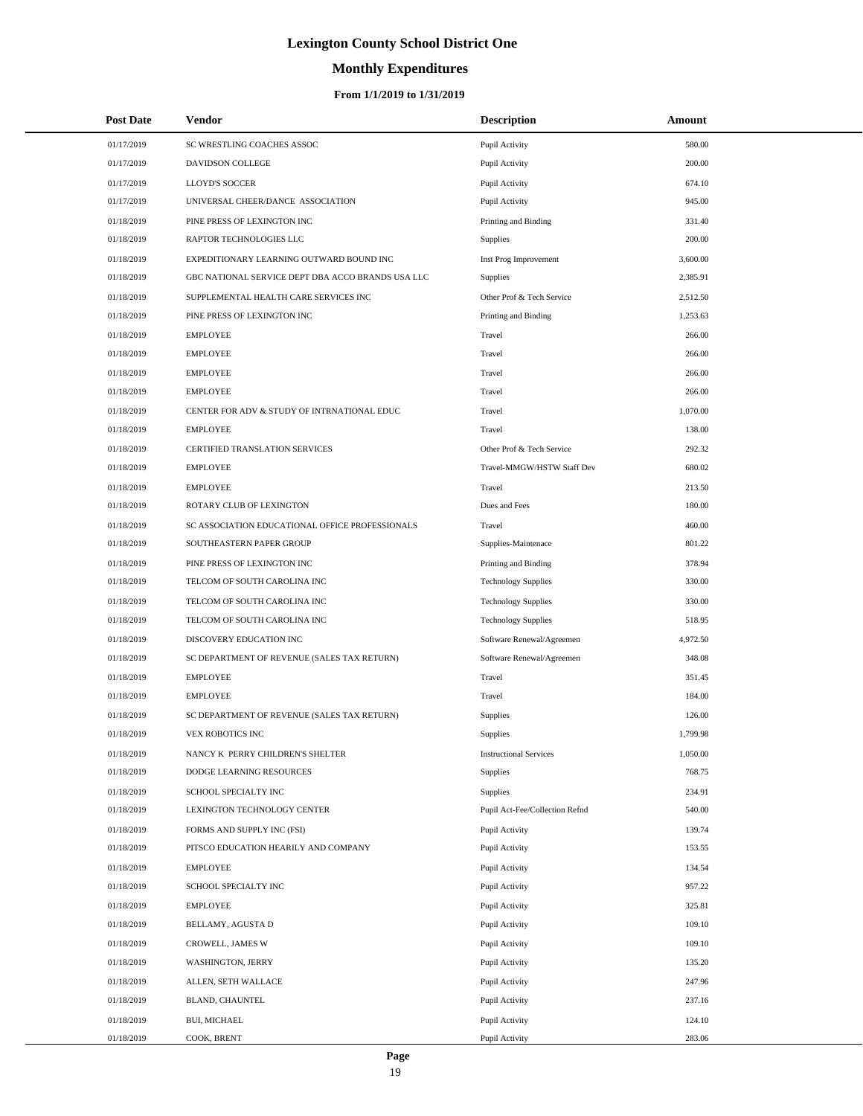# **Monthly Expenditures**

| <b>Post Date</b> | Vendor                                            | <b>Description</b>             | Amount   |  |
|------------------|---------------------------------------------------|--------------------------------|----------|--|
| 01/17/2019       | SC WRESTLING COACHES ASSOC                        | Pupil Activity                 | 580.00   |  |
| 01/17/2019       | DAVIDSON COLLEGE                                  | Pupil Activity                 | 200.00   |  |
| 01/17/2019       | LLOYD'S SOCCER                                    | Pupil Activity                 | 674.10   |  |
| 01/17/2019       | UNIVERSAL CHEER/DANCE ASSOCIATION                 | Pupil Activity                 | 945.00   |  |
| 01/18/2019       | PINE PRESS OF LEXINGTON INC                       | Printing and Binding           | 331.40   |  |
| 01/18/2019       | RAPTOR TECHNOLOGIES LLC                           | <b>Supplies</b>                | 200.00   |  |
| 01/18/2019       | EXPEDITIONARY LEARNING OUTWARD BOUND INC          | Inst Prog Improvement          | 3,600.00 |  |
| 01/18/2019       | GBC NATIONAL SERVICE DEPT DBA ACCO BRANDS USA LLC | Supplies                       | 2,385.91 |  |
| 01/18/2019       | SUPPLEMENTAL HEALTH CARE SERVICES INC             | Other Prof & Tech Service      | 2,512.50 |  |
| 01/18/2019       | PINE PRESS OF LEXINGTON INC                       | Printing and Binding           | 1,253.63 |  |
| 01/18/2019       | <b>EMPLOYEE</b>                                   | Travel                         | 266.00   |  |
| 01/18/2019       | <b>EMPLOYEE</b>                                   | Travel                         | 266.00   |  |
| 01/18/2019       | <b>EMPLOYEE</b>                                   | Travel                         | 266.00   |  |
| 01/18/2019       | <b>EMPLOYEE</b>                                   | Travel                         | 266.00   |  |
| 01/18/2019       | CENTER FOR ADV & STUDY OF INTRNATIONAL EDUC       | Travel                         | 1,070.00 |  |
| 01/18/2019       | <b>EMPLOYEE</b>                                   | Travel                         | 138.00   |  |
| 01/18/2019       | CERTIFIED TRANSLATION SERVICES                    | Other Prof & Tech Service      | 292.32   |  |
| 01/18/2019       | <b>EMPLOYEE</b>                                   | Travel-MMGW/HSTW Staff Dev     | 680.02   |  |
| 01/18/2019       | <b>EMPLOYEE</b>                                   | Travel                         | 213.50   |  |
| 01/18/2019       | ROTARY CLUB OF LEXINGTON                          | Dues and Fees                  | 180.00   |  |
| 01/18/2019       | SC ASSOCIATION EDUCATIONAL OFFICE PROFESSIONALS   | Travel                         | 460.00   |  |
| 01/18/2019       | SOUTHEASTERN PAPER GROUP                          | Supplies-Maintenace            | 801.22   |  |
| 01/18/2019       | PINE PRESS OF LEXINGTON INC                       | Printing and Binding           | 378.94   |  |
| 01/18/2019       | TELCOM OF SOUTH CAROLINA INC                      | <b>Technology Supplies</b>     | 330.00   |  |
| 01/18/2019       | TELCOM OF SOUTH CAROLINA INC                      | <b>Technology Supplies</b>     | 330.00   |  |
| 01/18/2019       | TELCOM OF SOUTH CAROLINA INC                      | <b>Technology Supplies</b>     | 518.95   |  |
| 01/18/2019       | DISCOVERY EDUCATION INC                           | Software Renewal/Agreemen      | 4,972.50 |  |
| 01/18/2019       | SC DEPARTMENT OF REVENUE (SALES TAX RETURN)       | Software Renewal/Agreemen      | 348.08   |  |
| 01/18/2019       | <b>EMPLOYEE</b>                                   | Travel                         | 351.45   |  |
| 01/18/2019       | <b>EMPLOYEE</b>                                   | Travel                         | 184.00   |  |
| 01/18/2019       | SC DEPARTMENT OF REVENUE (SALES TAX RETURN)       | Supplies                       | 126.00   |  |
| 01/18/2019       | <b>VEX ROBOTICS INC</b>                           | Supplies                       | 1,799.98 |  |
| 01/18/2019       | NANCY K PERRY CHILDREN'S SHELTER                  | <b>Instructional Services</b>  | 1,050.00 |  |
| 01/18/2019       | DODGE LEARNING RESOURCES                          | Supplies                       | 768.75   |  |
| 01/18/2019       | SCHOOL SPECIALTY INC                              | Supplies                       | 234.91   |  |
| 01/18/2019       | LEXINGTON TECHNOLOGY CENTER                       | Pupil Act-Fee/Collection Refnd | 540.00   |  |
| 01/18/2019       | FORMS AND SUPPLY INC (FSI)                        | Pupil Activity                 | 139.74   |  |
| 01/18/2019       | PITSCO EDUCATION HEARILY AND COMPANY              | Pupil Activity                 | 153.55   |  |
| 01/18/2019       | <b>EMPLOYEE</b>                                   | Pupil Activity                 | 134.54   |  |
| 01/18/2019       | SCHOOL SPECIALTY INC                              | Pupil Activity                 | 957.22   |  |
| 01/18/2019       | <b>EMPLOYEE</b>                                   | Pupil Activity                 | 325.81   |  |
| 01/18/2019       | BELLAMY, AGUSTA D                                 | Pupil Activity                 | 109.10   |  |
| 01/18/2019       | CROWELL, JAMES W                                  | Pupil Activity                 | 109.10   |  |
| 01/18/2019       | WASHINGTON, JERRY                                 | Pupil Activity                 | 135.20   |  |
| 01/18/2019       | ALLEN, SETH WALLACE                               | Pupil Activity                 | 247.96   |  |
| 01/18/2019       | BLAND, CHAUNTEL                                   | Pupil Activity                 | 237.16   |  |
| 01/18/2019       | BUI, MICHAEL                                      | Pupil Activity                 | 124.10   |  |
| 01/18/2019       | COOK, BRENT                                       | Pupil Activity                 | 283.06   |  |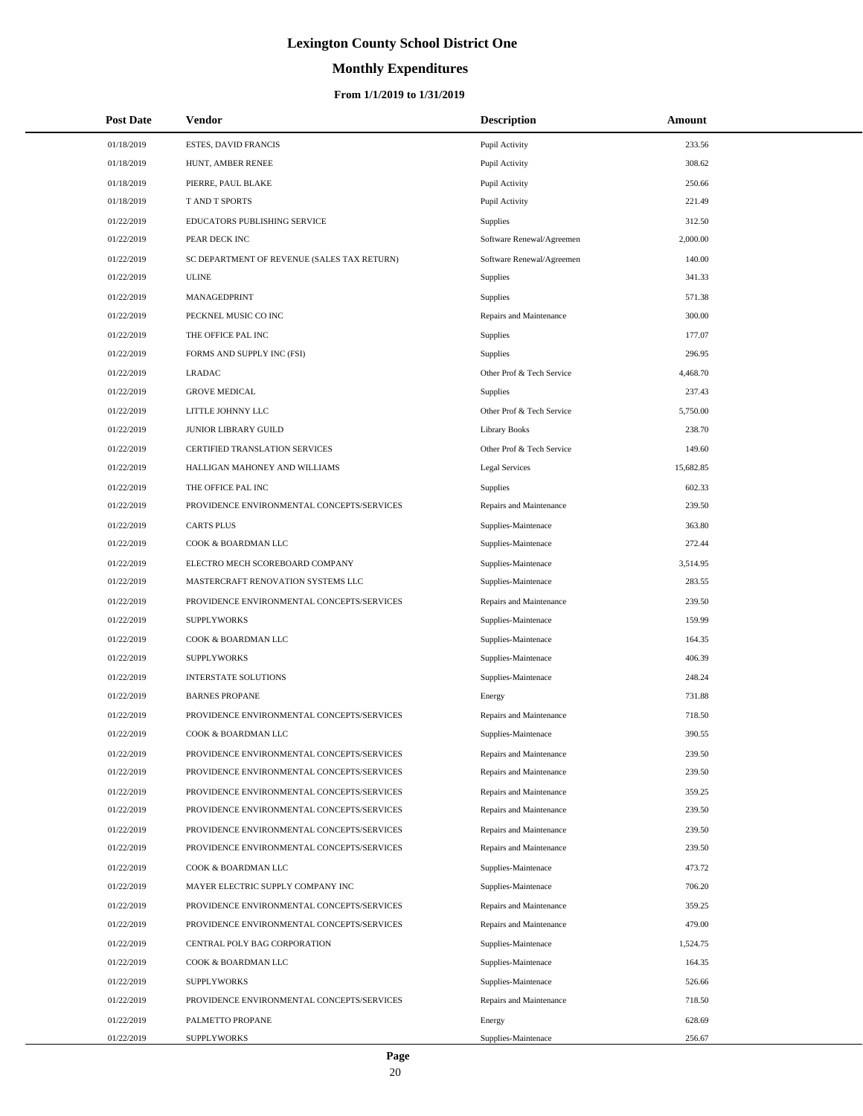# **Monthly Expenditures**

| <b>Post Date</b> | <b>Vendor</b>                               | <b>Description</b>        | Amount    |
|------------------|---------------------------------------------|---------------------------|-----------|
| 01/18/2019       | <b>ESTES, DAVID FRANCIS</b>                 | Pupil Activity            | 233.56    |
| 01/18/2019       | HUNT, AMBER RENEE                           | Pupil Activity            | 308.62    |
| 01/18/2019       | PIERRE, PAUL BLAKE                          | Pupil Activity            | 250.66    |
| 01/18/2019       | T AND T SPORTS                              | Pupil Activity            | 221.49    |
| 01/22/2019       | EDUCATORS PUBLISHING SERVICE                | <b>Supplies</b>           | 312.50    |
| 01/22/2019       | PEAR DECK INC                               | Software Renewal/Agreemen | 2,000.00  |
| 01/22/2019       | SC DEPARTMENT OF REVENUE (SALES TAX RETURN) | Software Renewal/Agreemen | 140.00    |
| 01/22/2019       | <b>ULINE</b>                                | Supplies                  | 341.33    |
| 01/22/2019       | MANAGEDPRINT                                | <b>Supplies</b>           | 571.38    |
| 01/22/2019       | PECKNEL MUSIC CO INC                        | Repairs and Maintenance   | 300.00    |
| 01/22/2019       | THE OFFICE PAL INC                          | Supplies                  | 177.07    |
| 01/22/2019       | FORMS AND SUPPLY INC (FSI)                  | <b>Supplies</b>           | 296.95    |
| 01/22/2019       | <b>LRADAC</b>                               | Other Prof & Tech Service | 4,468.70  |
| 01/22/2019       | <b>GROVE MEDICAL</b>                        | <b>Supplies</b>           | 237.43    |
| 01/22/2019       | LITTLE JOHNNY LLC                           | Other Prof & Tech Service | 5,750.00  |
| 01/22/2019       | <b>JUNIOR LIBRARY GUILD</b>                 | Library Books             | 238.70    |
| 01/22/2019       | CERTIFIED TRANSLATION SERVICES              | Other Prof & Tech Service | 149.60    |
| 01/22/2019       | HALLIGAN MAHONEY AND WILLIAMS               | Legal Services            | 15,682.85 |
| 01/22/2019       | THE OFFICE PAL INC                          | <b>Supplies</b>           | 602.33    |
| 01/22/2019       | PROVIDENCE ENVIRONMENTAL CONCEPTS/SERVICES  | Repairs and Maintenance   | 239.50    |
| 01/22/2019       | <b>CARTS PLUS</b>                           | Supplies-Maintenace       | 363.80    |
| 01/22/2019       | COOK & BOARDMAN LLC                         | Supplies-Maintenace       | 272.44    |
| 01/22/2019       | ELECTRO MECH SCOREBOARD COMPANY             | Supplies-Maintenace       | 3,514.95  |
| 01/22/2019       | MASTERCRAFT RENOVATION SYSTEMS LLC          | Supplies-Maintenace       | 283.55    |
| 01/22/2019       | PROVIDENCE ENVIRONMENTAL CONCEPTS/SERVICES  | Repairs and Maintenance   | 239.50    |
| 01/22/2019       | <b>SUPPLYWORKS</b>                          | Supplies-Maintenace       | 159.99    |
| 01/22/2019       | COOK & BOARDMAN LLC                         | Supplies-Maintenace       | 164.35    |
| 01/22/2019       | <b>SUPPLYWORKS</b>                          | Supplies-Maintenace       | 406.39    |
| 01/22/2019       | <b>INTERSTATE SOLUTIONS</b>                 | Supplies-Maintenace       | 248.24    |
| 01/22/2019       | <b>BARNES PROPANE</b>                       | Energy                    | 731.88    |
| 01/22/2019       | PROVIDENCE ENVIRONMENTAL CONCEPTS/SERVICES  | Repairs and Maintenance   | 718.50    |
| 01/22/2019       | COOK & BOARDMAN LLC                         | Supplies-Maintenace       | 390.55    |
| 01/22/2019       | PROVIDENCE ENVIRONMENTAL CONCEPTS/SERVICES  | Repairs and Maintenance   | 239.50    |
| 01/22/2019       | PROVIDENCE ENVIRONMENTAL CONCEPTS/SERVICES  | Repairs and Maintenance   | 239.50    |
| 01/22/2019       | PROVIDENCE ENVIRONMENTAL CONCEPTS/SERVICES  | Repairs and Maintenance   | 359.25    |
| 01/22/2019       | PROVIDENCE ENVIRONMENTAL CONCEPTS/SERVICES  | Repairs and Maintenance   | 239.50    |
| 01/22/2019       | PROVIDENCE ENVIRONMENTAL CONCEPTS/SERVICES  | Repairs and Maintenance   | 239.50    |
| 01/22/2019       | PROVIDENCE ENVIRONMENTAL CONCEPTS/SERVICES  | Repairs and Maintenance   | 239.50    |
| 01/22/2019       | COOK & BOARDMAN LLC                         | Supplies-Maintenace       | 473.72    |
| 01/22/2019       | MAYER ELECTRIC SUPPLY COMPANY INC           | Supplies-Maintenace       | 706.20    |
| 01/22/2019       | PROVIDENCE ENVIRONMENTAL CONCEPTS/SERVICES  | Repairs and Maintenance   | 359.25    |
| 01/22/2019       | PROVIDENCE ENVIRONMENTAL CONCEPTS/SERVICES  | Repairs and Maintenance   | 479.00    |
| 01/22/2019       | CENTRAL POLY BAG CORPORATION                | Supplies-Maintenace       | 1,524.75  |
| 01/22/2019       | COOK & BOARDMAN LLC                         | Supplies-Maintenace       | 164.35    |
| 01/22/2019       | <b>SUPPLYWORKS</b>                          | Supplies-Maintenace       | 526.66    |
| 01/22/2019       | PROVIDENCE ENVIRONMENTAL CONCEPTS/SERVICES  | Repairs and Maintenance   | 718.50    |
| 01/22/2019       | PALMETTO PROPANE                            | Energy                    | 628.69    |
| 01/22/2019       | <b>SUPPLYWORKS</b>                          | Supplies-Maintenace       | 256.67    |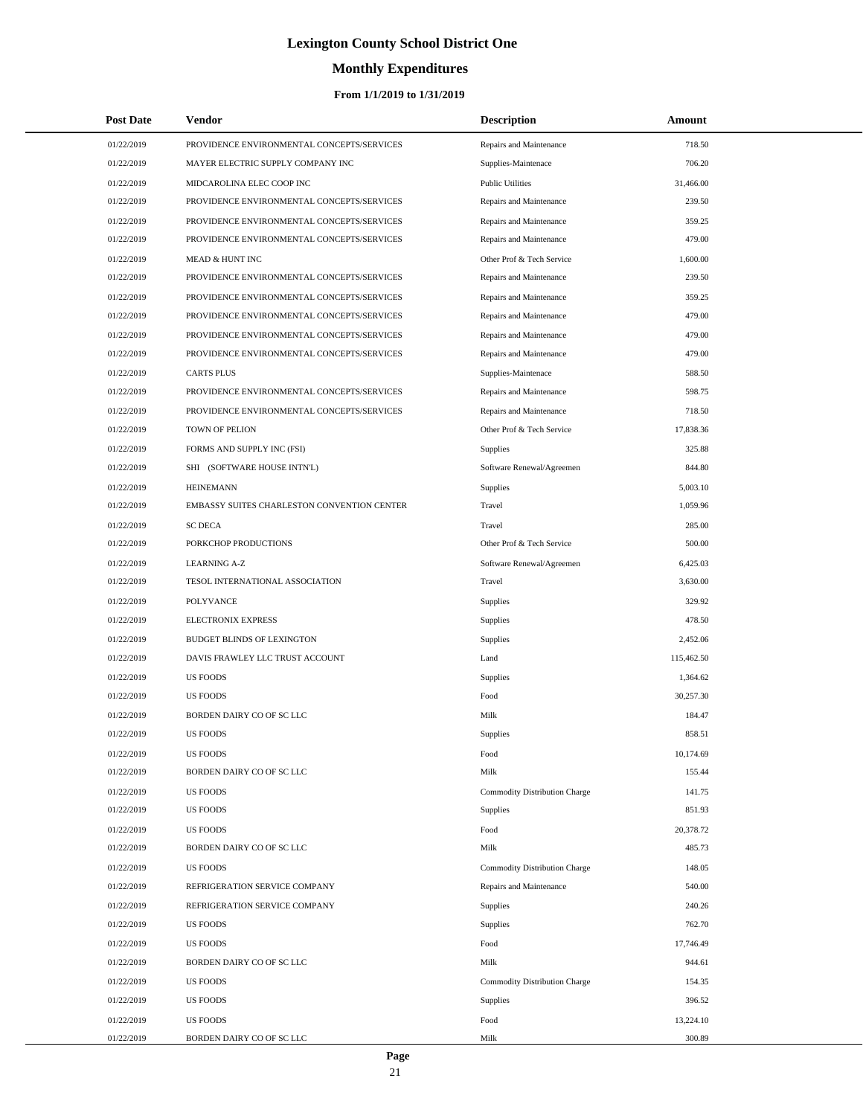# **Monthly Expenditures**

### **From 1/1/2019 to 1/31/2019**

| <b>Post Date</b> | Vendor                                      | <b>Description</b>            | Amount     |
|------------------|---------------------------------------------|-------------------------------|------------|
| 01/22/2019       | PROVIDENCE ENVIRONMENTAL CONCEPTS/SERVICES  | Repairs and Maintenance       | 718.50     |
| 01/22/2019       | MAYER ELECTRIC SUPPLY COMPANY INC           | Supplies-Maintenace           | 706.20     |
| 01/22/2019       | MIDCAROLINA ELEC COOP INC                   | <b>Public Utilities</b>       | 31,466.00  |
| 01/22/2019       | PROVIDENCE ENVIRONMENTAL CONCEPTS/SERVICES  | Repairs and Maintenance       | 239.50     |
| 01/22/2019       | PROVIDENCE ENVIRONMENTAL CONCEPTS/SERVICES  | Repairs and Maintenance       | 359.25     |
| 01/22/2019       | PROVIDENCE ENVIRONMENTAL CONCEPTS/SERVICES  | Repairs and Maintenance       | 479.00     |
| 01/22/2019       | MEAD & HUNT INC                             | Other Prof & Tech Service     | 1,600.00   |
| 01/22/2019       | PROVIDENCE ENVIRONMENTAL CONCEPTS/SERVICES  | Repairs and Maintenance       | 239.50     |
| 01/22/2019       | PROVIDENCE ENVIRONMENTAL CONCEPTS/SERVICES  | Repairs and Maintenance       | 359.25     |
| 01/22/2019       | PROVIDENCE ENVIRONMENTAL CONCEPTS/SERVICES  | Repairs and Maintenance       | 479.00     |
| 01/22/2019       | PROVIDENCE ENVIRONMENTAL CONCEPTS/SERVICES  | Repairs and Maintenance       | 479.00     |
| 01/22/2019       | PROVIDENCE ENVIRONMENTAL CONCEPTS/SERVICES  | Repairs and Maintenance       | 479.00     |
| 01/22/2019       | <b>CARTS PLUS</b>                           | Supplies-Maintenace           | 588.50     |
| 01/22/2019       | PROVIDENCE ENVIRONMENTAL CONCEPTS/SERVICES  | Repairs and Maintenance       | 598.75     |
| 01/22/2019       | PROVIDENCE ENVIRONMENTAL CONCEPTS/SERVICES  | Repairs and Maintenance       | 718.50     |
| 01/22/2019       | TOWN OF PELION                              | Other Prof & Tech Service     | 17,838.36  |
| 01/22/2019       | FORMS AND SUPPLY INC (FSI)                  | Supplies                      | 325.88     |
| 01/22/2019       | SHI (SOFTWARE HOUSE INTN'L)                 | Software Renewal/Agreemen     | 844.80     |
| 01/22/2019       | <b>HEINEMANN</b>                            | Supplies                      | 5,003.10   |
| 01/22/2019       | EMBASSY SUITES CHARLESTON CONVENTION CENTER | Travel                        | 1,059.96   |
| 01/22/2019       | <b>SC DECA</b>                              | Travel                        | 285.00     |
| 01/22/2019       | PORKCHOP PRODUCTIONS                        | Other Prof & Tech Service     | 500.00     |
| 01/22/2019       | <b>LEARNING A-Z</b>                         | Software Renewal/Agreemen     | 6,425.03   |
| 01/22/2019       | TESOL INTERNATIONAL ASSOCIATION             | Travel                        | 3,630.00   |
| 01/22/2019       | <b>POLYVANCE</b>                            | Supplies                      | 329.92     |
| 01/22/2019       | <b>ELECTRONIX EXPRESS</b>                   | Supplies                      | 478.50     |
| 01/22/2019       | BUDGET BLINDS OF LEXINGTON                  | Supplies                      | 2,452.06   |
| 01/22/2019       | DAVIS FRAWLEY LLC TRUST ACCOUNT             | Land                          | 115,462.50 |
| 01/22/2019       | <b>US FOODS</b>                             | Supplies                      | 1,364.62   |
| 01/22/2019       | <b>US FOODS</b>                             | Food                          | 30,257.30  |
| 01/22/2019       | BORDEN DAIRY CO OF SC LLC                   | Milk                          | 184.47     |
| 01/22/2019       | <b>US FOODS</b>                             | Supplies                      | 858.51     |
| 01/22/2019       | <b>US FOODS</b>                             | Food                          | 10,174.69  |
| 01/22/2019       | BORDEN DAIRY CO OF SC LLC                   | Milk                          | 155.44     |
| 01/22/2019       | <b>US FOODS</b>                             | Commodity Distribution Charge | 141.75     |
| 01/22/2019       | <b>US FOODS</b>                             | Supplies                      | 851.93     |
| 01/22/2019       | <b>US FOODS</b>                             | Food                          | 20,378.72  |
| 01/22/2019       | BORDEN DAIRY CO OF SC LLC                   | Milk                          | 485.73     |
| 01/22/2019       | <b>US FOODS</b>                             | Commodity Distribution Charge | 148.05     |
| 01/22/2019       | REFRIGERATION SERVICE COMPANY               | Repairs and Maintenance       | 540.00     |
| 01/22/2019       | REFRIGERATION SERVICE COMPANY               | Supplies                      | 240.26     |
| 01/22/2019       | <b>US FOODS</b>                             | Supplies                      | 762.70     |
| 01/22/2019       | <b>US FOODS</b>                             | Food                          | 17,746.49  |
| 01/22/2019       | BORDEN DAIRY CO OF SC LLC                   | Milk                          | 944.61     |
| 01/22/2019       | <b>US FOODS</b>                             | Commodity Distribution Charge | 154.35     |
| 01/22/2019       | <b>US FOODS</b>                             | Supplies                      | 396.52     |
| 01/22/2019       | <b>US FOODS</b>                             | Food                          | 13,224.10  |
| 01/22/2019       | BORDEN DAIRY CO OF SC LLC                   | Milk                          | 300.89     |

 $\overline{a}$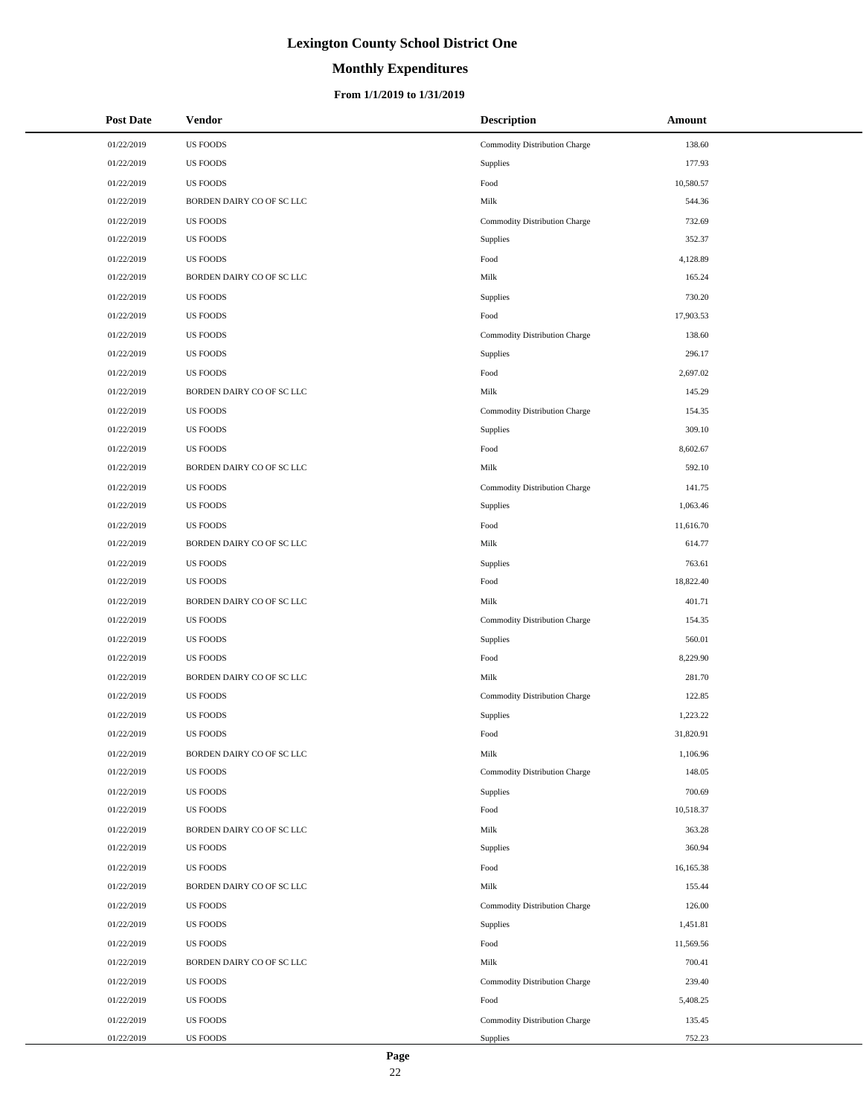# **Monthly Expenditures**

### **From 1/1/2019 to 1/31/2019**

| <b>Post Date</b> | Vendor                    | <b>Description</b>            | Amount    |
|------------------|---------------------------|-------------------------------|-----------|
| 01/22/2019       | <b>US FOODS</b>           | Commodity Distribution Charge | 138.60    |
| 01/22/2019       | <b>US FOODS</b>           | Supplies                      | 177.93    |
| 01/22/2019       | <b>US FOODS</b>           | Food                          | 10,580.57 |
| 01/22/2019       | BORDEN DAIRY CO OF SC LLC | Milk                          | 544.36    |
| 01/22/2019       | <b>US FOODS</b>           | Commodity Distribution Charge | 732.69    |
| 01/22/2019       | <b>US FOODS</b>           | Supplies                      | 352.37    |
| 01/22/2019       | <b>US FOODS</b>           | Food                          | 4,128.89  |
| 01/22/2019       | BORDEN DAIRY CO OF SC LLC | Milk                          | 165.24    |
| 01/22/2019       | <b>US FOODS</b>           | Supplies                      | 730.20    |
| 01/22/2019       | <b>US FOODS</b>           | Food                          | 17,903.53 |
| 01/22/2019       | <b>US FOODS</b>           | Commodity Distribution Charge | 138.60    |
| 01/22/2019       | <b>US FOODS</b>           | Supplies                      | 296.17    |
| 01/22/2019       | <b>US FOODS</b>           | Food                          | 2,697.02  |
| 01/22/2019       | BORDEN DAIRY CO OF SC LLC | Milk                          | 145.29    |
| 01/22/2019       | <b>US FOODS</b>           | Commodity Distribution Charge | 154.35    |
| 01/22/2019       | <b>US FOODS</b>           | Supplies                      | 309.10    |
| 01/22/2019       | <b>US FOODS</b>           | Food                          | 8,602.67  |
| 01/22/2019       | BORDEN DAIRY CO OF SC LLC | Milk                          | 592.10    |
| 01/22/2019       | <b>US FOODS</b>           | Commodity Distribution Charge | 141.75    |
| 01/22/2019       | <b>US FOODS</b>           | Supplies                      | 1,063.46  |
| 01/22/2019       | <b>US FOODS</b>           | Food                          | 11,616.70 |
| 01/22/2019       | BORDEN DAIRY CO OF SC LLC | Milk                          | 614.77    |
| 01/22/2019       | <b>US FOODS</b>           | Supplies                      | 763.61    |
| 01/22/2019       | <b>US FOODS</b>           | Food                          | 18,822.40 |
| 01/22/2019       | BORDEN DAIRY CO OF SC LLC | Milk                          | 401.71    |
| 01/22/2019       | <b>US FOODS</b>           | Commodity Distribution Charge | 154.35    |
| 01/22/2019       | <b>US FOODS</b>           | Supplies                      | 560.01    |
| 01/22/2019       | <b>US FOODS</b>           | Food                          | 8,229.90  |
| 01/22/2019       | BORDEN DAIRY CO OF SC LLC | Milk                          | 281.70    |
| 01/22/2019       | <b>US FOODS</b>           | Commodity Distribution Charge | 122.85    |
| 01/22/2019       | <b>US FOODS</b>           | Supplies                      | 1,223.22  |
| 01/22/2019       | <b>US FOODS</b>           | Food                          | 31,820.91 |
| 01/22/2019       | BORDEN DAIRY CO OF SC LLC | Milk                          | 1,106.96  |
| 01/22/2019       | <b>US FOODS</b>           | Commodity Distribution Charge | 148.05    |
| 01/22/2019       | <b>US FOODS</b>           | Supplies                      | 700.69    |
| 01/22/2019       | <b>US FOODS</b>           | Food                          | 10,518.37 |
| 01/22/2019       | BORDEN DAIRY CO OF SC LLC | Milk                          | 363.28    |
| 01/22/2019       | <b>US FOODS</b>           | Supplies                      | 360.94    |
| 01/22/2019       | <b>US FOODS</b>           | Food                          | 16,165.38 |
| 01/22/2019       | BORDEN DAIRY CO OF SC LLC | Milk                          | 155.44    |
| 01/22/2019       | <b>US FOODS</b>           | Commodity Distribution Charge | 126.00    |
| 01/22/2019       | <b>US FOODS</b>           | Supplies                      | 1,451.81  |
| 01/22/2019       | <b>US FOODS</b>           | Food                          | 11,569.56 |
| 01/22/2019       | BORDEN DAIRY CO OF SC LLC | Milk                          | 700.41    |
| 01/22/2019       | <b>US FOODS</b>           | Commodity Distribution Charge | 239.40    |
| 01/22/2019       | <b>US FOODS</b>           | Food                          | 5,408.25  |
| 01/22/2019       | <b>US FOODS</b>           | Commodity Distribution Charge | 135.45    |
| 01/22/2019       | <b>US FOODS</b>           | Supplies                      | 752.23    |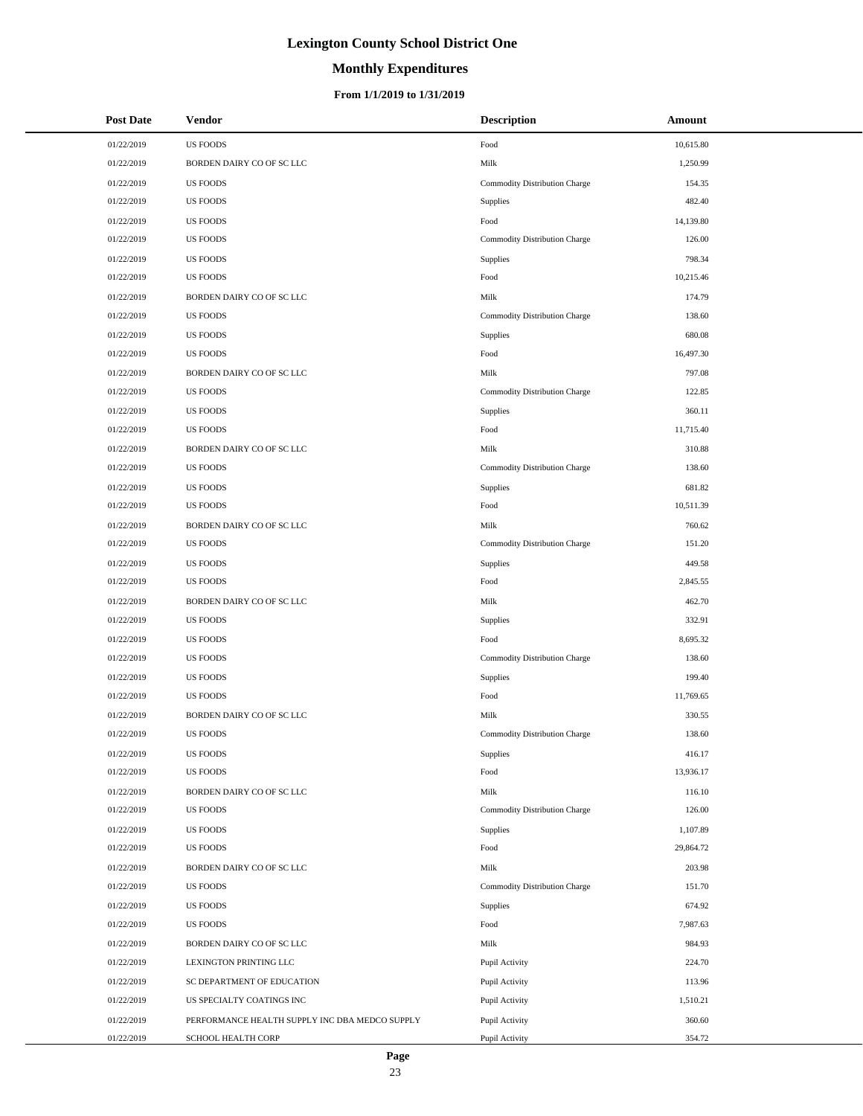# **Monthly Expenditures**

### **From 1/1/2019 to 1/31/2019**

| <b>Post Date</b> | Vendor                                         | <b>Description</b>            | Amount    |
|------------------|------------------------------------------------|-------------------------------|-----------|
| 01/22/2019       | <b>US FOODS</b>                                | Food                          | 10,615.80 |
| 01/22/2019       | BORDEN DAIRY CO OF SC LLC                      | Milk                          | 1,250.99  |
| 01/22/2019       | <b>US FOODS</b>                                | Commodity Distribution Charge | 154.35    |
| 01/22/2019       | <b>US FOODS</b>                                | Supplies                      | 482.40    |
| 01/22/2019       | <b>US FOODS</b>                                | Food                          | 14,139.80 |
| 01/22/2019       | <b>US FOODS</b>                                | Commodity Distribution Charge | 126.00    |
| 01/22/2019       | <b>US FOODS</b>                                | Supplies                      | 798.34    |
| 01/22/2019       | <b>US FOODS</b>                                | Food                          | 10,215.46 |
| 01/22/2019       | BORDEN DAIRY CO OF SC LLC                      | Milk                          | 174.79    |
| 01/22/2019       | <b>US FOODS</b>                                | Commodity Distribution Charge | 138.60    |
| 01/22/2019       | <b>US FOODS</b>                                | Supplies                      | 680.08    |
| 01/22/2019       | <b>US FOODS</b>                                | Food                          | 16,497.30 |
| 01/22/2019       | BORDEN DAIRY CO OF SC LLC                      | Milk                          | 797.08    |
| 01/22/2019       | <b>US FOODS</b>                                | Commodity Distribution Charge | 122.85    |
| 01/22/2019       | <b>US FOODS</b>                                | Supplies                      | 360.11    |
| 01/22/2019       | <b>US FOODS</b>                                | Food                          | 11,715.40 |
| 01/22/2019       | BORDEN DAIRY CO OF SC LLC                      | Milk                          | 310.88    |
| 01/22/2019       | <b>US FOODS</b>                                | Commodity Distribution Charge | 138.60    |
| 01/22/2019       | <b>US FOODS</b>                                | Supplies                      | 681.82    |
| 01/22/2019       | <b>US FOODS</b>                                | Food                          | 10,511.39 |
| 01/22/2019       | BORDEN DAIRY CO OF SC LLC                      | Milk                          | 760.62    |
| 01/22/2019       | <b>US FOODS</b>                                | Commodity Distribution Charge | 151.20    |
| 01/22/2019       | <b>US FOODS</b>                                | Supplies                      | 449.58    |
| 01/22/2019       | <b>US FOODS</b>                                | Food                          | 2,845.55  |
| 01/22/2019       | BORDEN DAIRY CO OF SC LLC                      | Milk                          | 462.70    |
| 01/22/2019       | <b>US FOODS</b>                                | Supplies                      | 332.91    |
| 01/22/2019       | <b>US FOODS</b>                                | Food                          | 8,695.32  |
| 01/22/2019       | <b>US FOODS</b>                                | Commodity Distribution Charge | 138.60    |
| 01/22/2019       | <b>US FOODS</b>                                | Supplies                      | 199.40    |
| 01/22/2019       | <b>US FOODS</b>                                | Food                          | 11,769.65 |
| 01/22/2019       | BORDEN DAIRY CO OF SC LLC                      | Milk                          | 330.55    |
| 01/22/2019       | <b>US FOODS</b>                                | Commodity Distribution Charge | 138.60    |
| 01/22/2019       | <b>US FOODS</b>                                | Supplies                      | 416.17    |
| 01/22/2019       | <b>US FOODS</b>                                | Food                          | 13,936.17 |
| 01/22/2019       | BORDEN DAIRY CO OF SC LLC                      | Milk                          | 116.10    |
| 01/22/2019       | <b>US FOODS</b>                                | Commodity Distribution Charge | 126.00    |
| 01/22/2019       | <b>US FOODS</b>                                | Supplies                      | 1,107.89  |
| 01/22/2019       | <b>US FOODS</b>                                | Food                          | 29,864.72 |
| 01/22/2019       | BORDEN DAIRY CO OF SC LLC                      | Milk                          | 203.98    |
| 01/22/2019       | <b>US FOODS</b>                                | Commodity Distribution Charge | 151.70    |
| 01/22/2019       | <b>US FOODS</b>                                | Supplies                      | 674.92    |
| 01/22/2019       | <b>US FOODS</b>                                | Food                          | 7,987.63  |
| 01/22/2019       | BORDEN DAIRY CO OF SC LLC                      | Milk                          | 984.93    |
| 01/22/2019       | LEXINGTON PRINTING LLC                         | Pupil Activity                | 224.70    |
| 01/22/2019       | SC DEPARTMENT OF EDUCATION                     | Pupil Activity                | 113.96    |
| 01/22/2019       | US SPECIALTY COATINGS INC                      | Pupil Activity                | 1,510.21  |
| 01/22/2019       | PERFORMANCE HEALTH SUPPLY INC DBA MEDCO SUPPLY | Pupil Activity                | 360.60    |
| 01/22/2019       | SCHOOL HEALTH CORP                             | Pupil Activity                | 354.72    |

÷.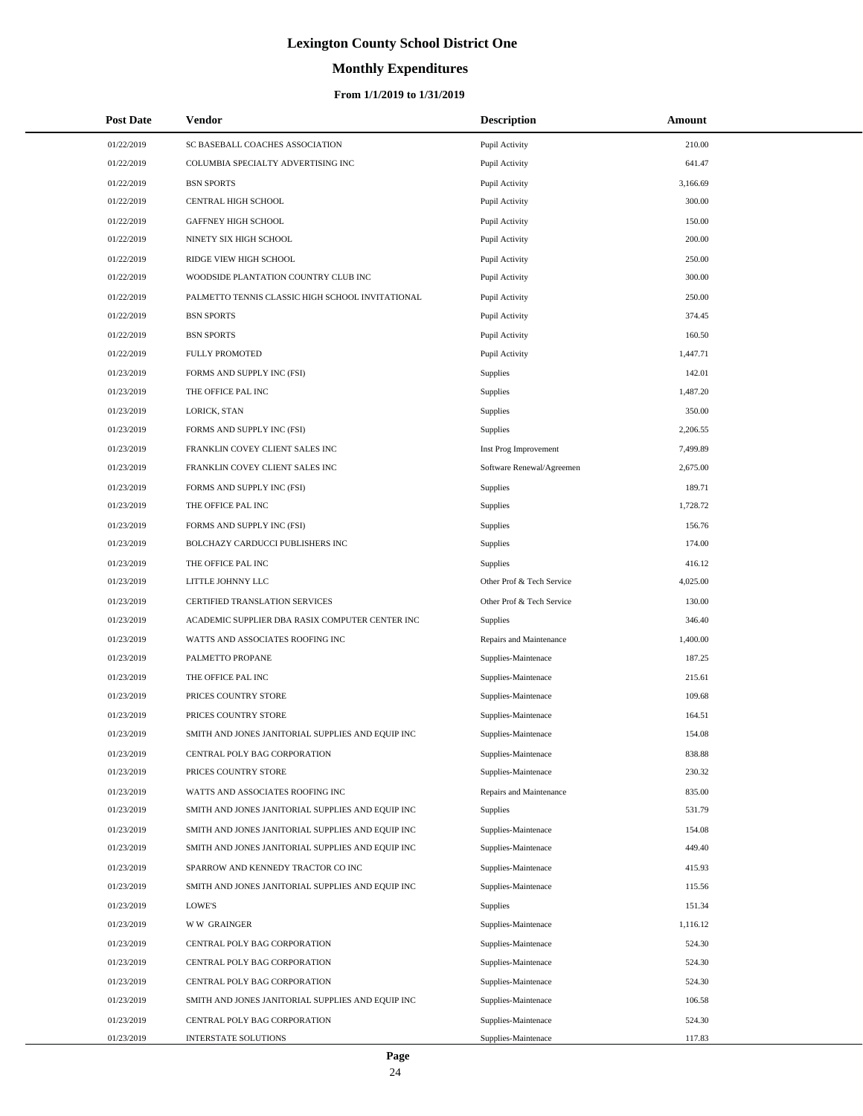# **Monthly Expenditures**

### **From 1/1/2019 to 1/31/2019**

| <b>Post Date</b> | Vendor                                            | <b>Description</b>        | Amount   |
|------------------|---------------------------------------------------|---------------------------|----------|
| 01/22/2019       | SC BASEBALL COACHES ASSOCIATION                   | Pupil Activity            | 210.00   |
| 01/22/2019       | COLUMBIA SPECIALTY ADVERTISING INC                | Pupil Activity            | 641.47   |
| 01/22/2019       | <b>BSN SPORTS</b>                                 | Pupil Activity            | 3,166.69 |
| 01/22/2019       | CENTRAL HIGH SCHOOL                               | Pupil Activity            | 300.00   |
| 01/22/2019       | <b>GAFFNEY HIGH SCHOOL</b>                        | Pupil Activity            | 150.00   |
| 01/22/2019       | NINETY SIX HIGH SCHOOL                            | Pupil Activity            | 200.00   |
| 01/22/2019       | RIDGE VIEW HIGH SCHOOL                            | Pupil Activity            | 250.00   |
| 01/22/2019       | WOODSIDE PLANTATION COUNTRY CLUB INC              | Pupil Activity            | 300.00   |
| 01/22/2019       | PALMETTO TENNIS CLASSIC HIGH SCHOOL INVITATIONAL  | Pupil Activity            | 250.00   |
| 01/22/2019       | <b>BSN SPORTS</b>                                 | Pupil Activity            | 374.45   |
| 01/22/2019       | <b>BSN SPORTS</b>                                 | Pupil Activity            | 160.50   |
| 01/22/2019       | FULLY PROMOTED                                    | Pupil Activity            | 1,447.71 |
| 01/23/2019       | FORMS AND SUPPLY INC (FSI)                        | Supplies                  | 142.01   |
| 01/23/2019       | THE OFFICE PAL INC                                | Supplies                  | 1,487.20 |
| 01/23/2019       | LORICK, STAN                                      | Supplies                  | 350.00   |
| 01/23/2019       | FORMS AND SUPPLY INC (FSI)                        | Supplies                  | 2,206.55 |
| 01/23/2019       | FRANKLIN COVEY CLIENT SALES INC                   | Inst Prog Improvement     | 7,499.89 |
| 01/23/2019       | FRANKLIN COVEY CLIENT SALES INC                   | Software Renewal/Agreemen | 2,675.00 |
| 01/23/2019       | FORMS AND SUPPLY INC (FSI)                        | Supplies                  | 189.71   |
| 01/23/2019       | THE OFFICE PAL INC                                | Supplies                  | 1,728.72 |
| 01/23/2019       | FORMS AND SUPPLY INC (FSI)                        | Supplies                  | 156.76   |
| 01/23/2019       | BOLCHAZY CARDUCCI PUBLISHERS INC                  | Supplies                  | 174.00   |
| 01/23/2019       | THE OFFICE PAL INC                                | Supplies                  | 416.12   |
| 01/23/2019       | LITTLE JOHNNY LLC                                 | Other Prof & Tech Service | 4,025.00 |
| 01/23/2019       | CERTIFIED TRANSLATION SERVICES                    | Other Prof & Tech Service | 130.00   |
| 01/23/2019       | ACADEMIC SUPPLIER DBA RASIX COMPUTER CENTER INC   | Supplies                  | 346.40   |
| 01/23/2019       | WATTS AND ASSOCIATES ROOFING INC                  | Repairs and Maintenance   | 1,400.00 |
| 01/23/2019       | PALMETTO PROPANE                                  | Supplies-Maintenace       | 187.25   |
| 01/23/2019       | THE OFFICE PAL INC                                | Supplies-Maintenace       | 215.61   |
| 01/23/2019       | PRICES COUNTRY STORE                              | Supplies-Maintenace       | 109.68   |
| 01/23/2019       | PRICES COUNTRY STORE                              | Supplies-Maintenace       | 164.51   |
| 01/23/2019       | SMITH AND JONES JANITORIAL SUPPLIES AND EQUIP INC | Supplies-Maintenace       | 154.08   |
| 01/23/2019       | CENTRAL POLY BAG CORPORATION                      | Supplies-Maintenace       | 838.88   |
| 01/23/2019       | PRICES COUNTRY STORE                              | Supplies-Maintenace       | 230.32   |
| 01/23/2019       | WATTS AND ASSOCIATES ROOFING INC                  | Repairs and Maintenance   | 835.00   |
| 01/23/2019       | SMITH AND JONES JANITORIAL SUPPLIES AND EQUIP INC | Supplies                  | 531.79   |
| 01/23/2019       | SMITH AND JONES JANITORIAL SUPPLIES AND EQUIP INC | Supplies-Maintenace       | 154.08   |
| 01/23/2019       | SMITH AND JONES JANITORIAL SUPPLIES AND EQUIP INC | Supplies-Maintenace       | 449.40   |
| 01/23/2019       | SPARROW AND KENNEDY TRACTOR CO INC                | Supplies-Maintenace       | 415.93   |
| 01/23/2019       | SMITH AND JONES JANITORIAL SUPPLIES AND EQUIP INC | Supplies-Maintenace       | 115.56   |
| 01/23/2019       | LOWE'S                                            | Supplies                  | 151.34   |
| 01/23/2019       | <b>WW GRAINGER</b>                                | Supplies-Maintenace       | 1,116.12 |
| 01/23/2019       | CENTRAL POLY BAG CORPORATION                      | Supplies-Maintenace       | 524.30   |
| 01/23/2019       | CENTRAL POLY BAG CORPORATION                      | Supplies-Maintenace       | 524.30   |
| 01/23/2019       | CENTRAL POLY BAG CORPORATION                      | Supplies-Maintenace       | 524.30   |
| 01/23/2019       | SMITH AND JONES JANITORIAL SUPPLIES AND EQUIP INC | Supplies-Maintenace       | 106.58   |
| 01/23/2019       | CENTRAL POLY BAG CORPORATION                      | Supplies-Maintenace       | 524.30   |
| 01/23/2019       | INTERSTATE SOLUTIONS                              | Supplies-Maintenace       | 117.83   |

L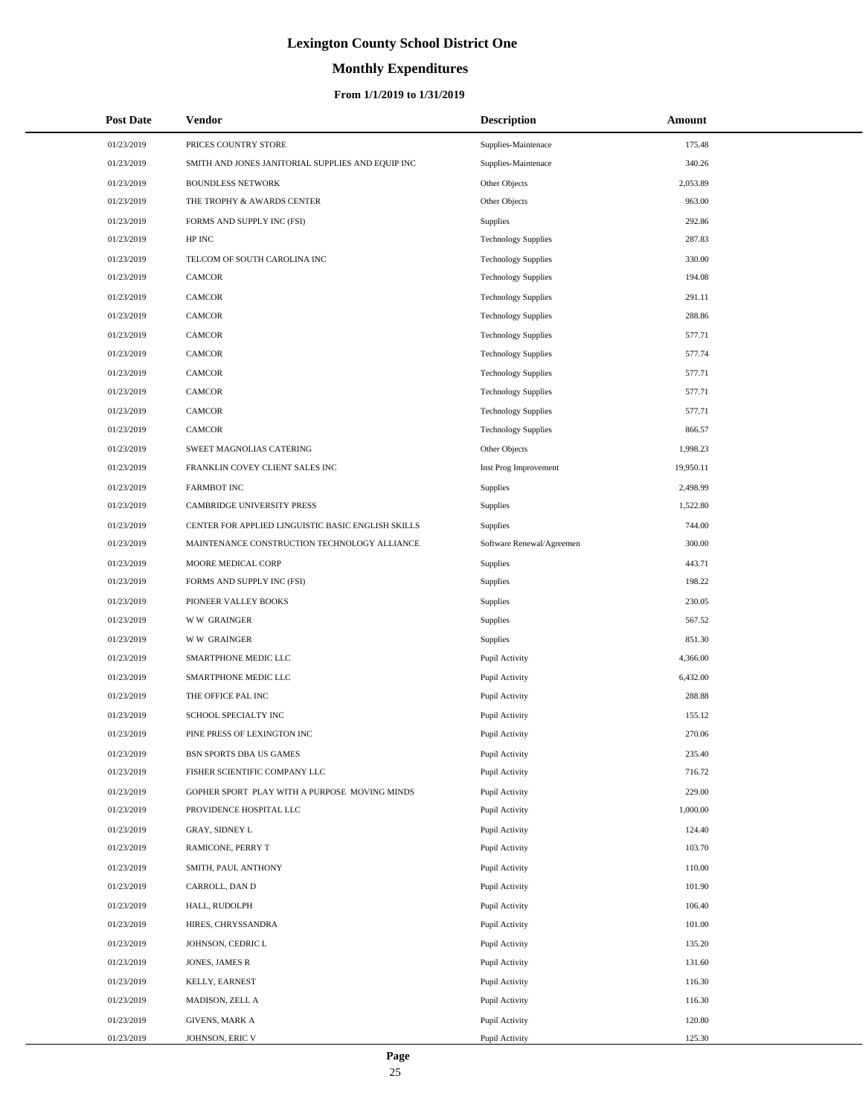# **Monthly Expenditures**

| <b>Post Date</b> | Vendor                                             | <b>Description</b>         | Amount    |  |
|------------------|----------------------------------------------------|----------------------------|-----------|--|
| 01/23/2019       | PRICES COUNTRY STORE                               | Supplies-Maintenace        | 175.48    |  |
| 01/23/2019       | SMITH AND JONES JANITORIAL SUPPLIES AND EQUIP INC  | Supplies-Maintenace        | 340.26    |  |
| 01/23/2019       | <b>BOUNDLESS NETWORK</b>                           | Other Objects              | 2,053.89  |  |
| 01/23/2019       | THE TROPHY & AWARDS CENTER                         | Other Objects              | 963.00    |  |
| 01/23/2019       | FORMS AND SUPPLY INC (FSI)                         | Supplies                   | 292.86    |  |
| 01/23/2019       | HP INC                                             | <b>Technology Supplies</b> | 287.83    |  |
| 01/23/2019       | TELCOM OF SOUTH CAROLINA INC                       | <b>Technology Supplies</b> | 330.00    |  |
| 01/23/2019       | CAMCOR                                             | <b>Technology Supplies</b> | 194.08    |  |
| 01/23/2019       | <b>CAMCOR</b>                                      | <b>Technology Supplies</b> | 291.11    |  |
| 01/23/2019       | <b>CAMCOR</b>                                      | <b>Technology Supplies</b> | 288.86    |  |
| 01/23/2019       | <b>CAMCOR</b>                                      | <b>Technology Supplies</b> | 577.71    |  |
| 01/23/2019       | <b>CAMCOR</b>                                      | <b>Technology Supplies</b> | 577.74    |  |
| 01/23/2019       | <b>CAMCOR</b>                                      | <b>Technology Supplies</b> | 577.71    |  |
| 01/23/2019       | <b>CAMCOR</b>                                      | <b>Technology Supplies</b> | 577.71    |  |
| 01/23/2019       | <b>CAMCOR</b>                                      | <b>Technology Supplies</b> | 577.71    |  |
| 01/23/2019       | <b>CAMCOR</b>                                      | <b>Technology Supplies</b> | 866.57    |  |
| 01/23/2019       | SWEET MAGNOLIAS CATERING                           | Other Objects              | 1,998.23  |  |
| 01/23/2019       | FRANKLIN COVEY CLIENT SALES INC                    | Inst Prog Improvement      | 19,950.11 |  |
| 01/23/2019       | <b>FARMBOT INC</b>                                 | <b>Supplies</b>            | 2,498.99  |  |
| 01/23/2019       | CAMBRIDGE UNIVERSITY PRESS                         | Supplies                   | 1,522.80  |  |
| 01/23/2019       | CENTER FOR APPLIED LINGUISTIC BASIC ENGLISH SKILLS | Supplies                   | 744.00    |  |
| 01/23/2019       | MAINTENANCE CONSTRUCTION TECHNOLOGY ALLIANCE       | Software Renewal/Agreemen  | 300.00    |  |
| 01/23/2019       | MOORE MEDICAL CORP                                 | <b>Supplies</b>            | 443.71    |  |
| 01/23/2019       | FORMS AND SUPPLY INC (FSI)                         | Supplies                   | 198.22    |  |
| 01/23/2019       | PIONEER VALLEY BOOKS                               | Supplies                   | 230.05    |  |
| 01/23/2019       | <b>WW GRAINGER</b>                                 | Supplies                   | 567.52    |  |
| 01/23/2019       | <b>WW GRAINGER</b>                                 | Supplies                   | 851.30    |  |
| 01/23/2019       | SMARTPHONE MEDIC LLC                               | Pupil Activity             | 4,366.00  |  |
| 01/23/2019       | SMARTPHONE MEDIC LLC                               | Pupil Activity             | 6,432.00  |  |
| 01/23/2019       | THE OFFICE PAL INC                                 | Pupil Activity             | 288.88    |  |
| 01/23/2019       | SCHOOL SPECIALTY INC                               | Pupil Activity             | 155.12    |  |
| 01/23/2019       | PINE PRESS OF LEXINGTON INC                        | Pupil Activity             | 270.06    |  |
| 01/23/2019       | BSN SPORTS DBA US GAMES                            | Pupil Activity             | 235.40    |  |
| 01/23/2019       | FISHER SCIENTIFIC COMPANY LLC                      | Pupil Activity             | 716.72    |  |
| 01/23/2019       | GOPHER SPORT PLAY WITH A PURPOSE MOVING MINDS      | Pupil Activity             | 229.00    |  |
| 01/23/2019       | PROVIDENCE HOSPITAL LLC                            | Pupil Activity             | 1,000.00  |  |
| 01/23/2019       | GRAY, SIDNEY L                                     | Pupil Activity             | 124.40    |  |
| 01/23/2019       | RAMICONE, PERRY T                                  | Pupil Activity             | 103.70    |  |
| 01/23/2019       | SMITH, PAUL ANTHONY                                | Pupil Activity             | 110.00    |  |
| 01/23/2019       | CARROLL, DAN D                                     | Pupil Activity             | 101.90    |  |
| 01/23/2019       | HALL, RUDOLPH                                      | Pupil Activity             | 106.40    |  |
| 01/23/2019       | HIRES, CHRYSSANDRA                                 | Pupil Activity             | 101.00    |  |
| 01/23/2019       | JOHNSON, CEDRIC L                                  | Pupil Activity             | 135.20    |  |
| 01/23/2019       | JONES, JAMES R                                     | Pupil Activity             | 131.60    |  |
| 01/23/2019       | KELLY, EARNEST                                     | Pupil Activity             | 116.30    |  |
| 01/23/2019       | MADISON, ZELL A                                    | Pupil Activity             | 116.30    |  |
| 01/23/2019       | <b>GIVENS, MARK A</b>                              | Pupil Activity             | 120.80    |  |
| 01/23/2019       | JOHNSON, ERIC V                                    | Pupil Activity             | 125.30    |  |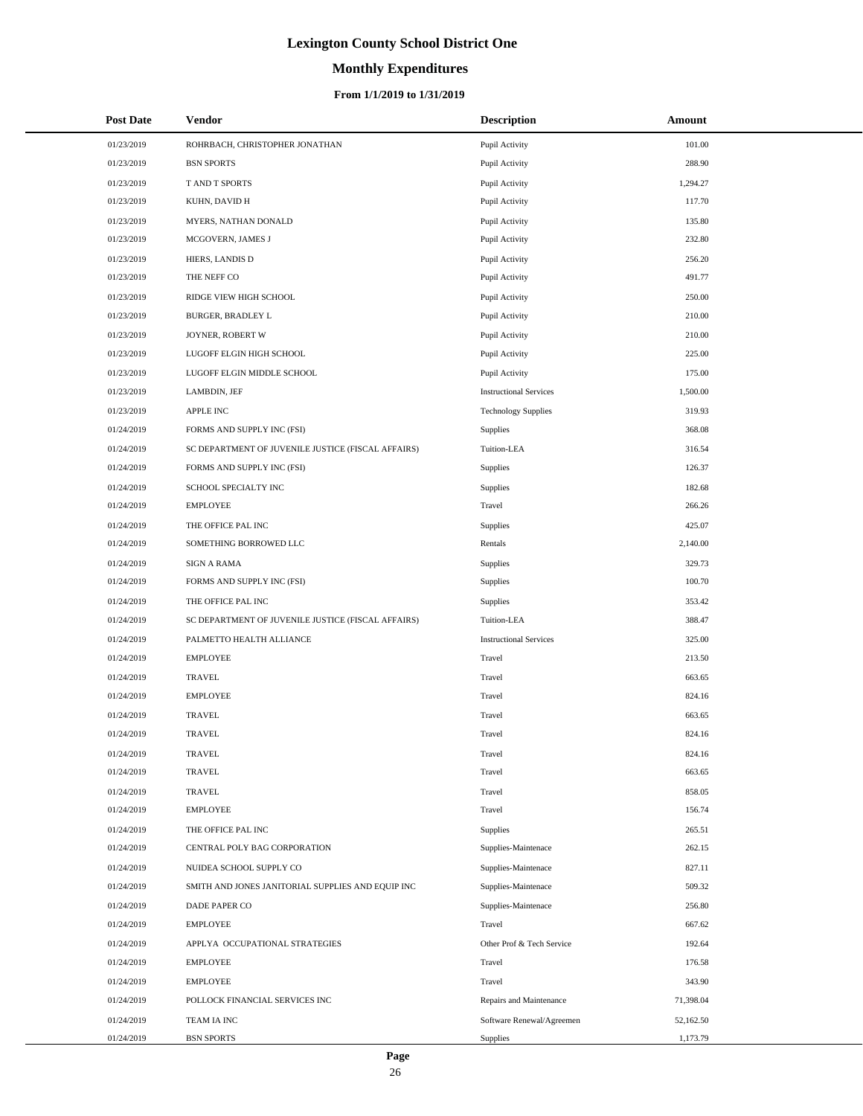# **Monthly Expenditures**

### **From 1/1/2019 to 1/31/2019**

| <b>Post Date</b> | Vendor                                             | <b>Description</b>            | Amount    |  |
|------------------|----------------------------------------------------|-------------------------------|-----------|--|
| 01/23/2019       | ROHRBACH, CHRISTOPHER JONATHAN                     | Pupil Activity                | 101.00    |  |
| 01/23/2019       | <b>BSN SPORTS</b>                                  | Pupil Activity                | 288.90    |  |
| 01/23/2019       | T AND T SPORTS                                     | Pupil Activity                | 1,294.27  |  |
| 01/23/2019       | KUHN, DAVID H                                      | Pupil Activity                | 117.70    |  |
| 01/23/2019       | MYERS, NATHAN DONALD                               | Pupil Activity                | 135.80    |  |
| 01/23/2019       | MCGOVERN, JAMES J                                  | Pupil Activity                | 232.80    |  |
| 01/23/2019       | HIERS, LANDIS D                                    | Pupil Activity                | 256.20    |  |
| 01/23/2019       | THE NEFF CO                                        | Pupil Activity                | 491.77    |  |
| 01/23/2019       | RIDGE VIEW HIGH SCHOOL                             | Pupil Activity                | 250.00    |  |
| 01/23/2019       | BURGER, BRADLEY L                                  | Pupil Activity                | 210.00    |  |
| 01/23/2019       | JOYNER, ROBERT W                                   | Pupil Activity                | 210.00    |  |
| 01/23/2019       | LUGOFF ELGIN HIGH SCHOOL                           | Pupil Activity                | 225.00    |  |
| 01/23/2019       | LUGOFF ELGIN MIDDLE SCHOOL                         | Pupil Activity                | 175.00    |  |
| 01/23/2019       | LAMBDIN, JEF                                       | <b>Instructional Services</b> | 1,500.00  |  |
| 01/23/2019       | APPLE INC                                          | <b>Technology Supplies</b>    | 319.93    |  |
| 01/24/2019       | FORMS AND SUPPLY INC (FSI)                         | Supplies                      | 368.08    |  |
| 01/24/2019       | SC DEPARTMENT OF JUVENILE JUSTICE (FISCAL AFFAIRS) | Tuition-LEA                   | 316.54    |  |
| 01/24/2019       | FORMS AND SUPPLY INC (FSI)                         | Supplies                      | 126.37    |  |
| 01/24/2019       | SCHOOL SPECIALTY INC                               | Supplies                      | 182.68    |  |
| 01/24/2019       | <b>EMPLOYEE</b>                                    | Travel                        | 266.26    |  |
| 01/24/2019       | THE OFFICE PAL INC                                 | Supplies                      | 425.07    |  |
| 01/24/2019       | SOMETHING BORROWED LLC                             | Rentals                       | 2,140.00  |  |
| 01/24/2019       | <b>SIGN A RAMA</b>                                 | Supplies                      | 329.73    |  |
| 01/24/2019       | FORMS AND SUPPLY INC (FSI)                         | Supplies                      | 100.70    |  |
| 01/24/2019       | THE OFFICE PAL INC                                 | Supplies                      | 353.42    |  |
| 01/24/2019       | SC DEPARTMENT OF JUVENILE JUSTICE (FISCAL AFFAIRS) | Tuition-LEA                   | 388.47    |  |
| 01/24/2019       | PALMETTO HEALTH ALLIANCE                           | <b>Instructional Services</b> | 325.00    |  |
| 01/24/2019       | <b>EMPLOYEE</b>                                    | Travel                        | 213.50    |  |
| 01/24/2019       | <b>TRAVEL</b>                                      | Travel                        | 663.65    |  |
| 01/24/2019       | <b>EMPLOYEE</b>                                    | Travel                        | 824.16    |  |
| 01/24/2019       | <b>TRAVEL</b>                                      | Travel                        | 663.65    |  |
| 01/24/2019       | <b>TRAVEL</b>                                      | Travel                        | 824.16    |  |
| 01/24/2019       | <b>TRAVEL</b>                                      | Travel                        | 824.16    |  |
| 01/24/2019       | TRAVEL                                             | Travel                        | 663.65    |  |
| 01/24/2019       | TRAVEL                                             | Travel                        | 858.05    |  |
| 01/24/2019       | <b>EMPLOYEE</b>                                    | Travel                        | 156.74    |  |
| 01/24/2019       | THE OFFICE PAL INC                                 | Supplies                      | 265.51    |  |
| 01/24/2019       | CENTRAL POLY BAG CORPORATION                       | Supplies-Maintenace           | 262.15    |  |
| 01/24/2019       | NUIDEA SCHOOL SUPPLY CO                            | Supplies-Maintenace           | 827.11    |  |
| 01/24/2019       | SMITH AND JONES JANITORIAL SUPPLIES AND EQUIP INC  | Supplies-Maintenace           | 509.32    |  |
| 01/24/2019       | DADE PAPER CO                                      | Supplies-Maintenace           | 256.80    |  |
| 01/24/2019       | <b>EMPLOYEE</b>                                    | Travel                        | 667.62    |  |
| 01/24/2019       | APPLYA OCCUPATIONAL STRATEGIES                     | Other Prof & Tech Service     | 192.64    |  |
| 01/24/2019       | <b>EMPLOYEE</b>                                    | Travel                        | 176.58    |  |
| 01/24/2019       | <b>EMPLOYEE</b>                                    | Travel                        | 343.90    |  |
| 01/24/2019       | POLLOCK FINANCIAL SERVICES INC                     | Repairs and Maintenance       | 71,398.04 |  |
| 01/24/2019       | TEAM IA INC                                        | Software Renewal/Agreemen     | 52,162.50 |  |
| 01/24/2019       | <b>BSN SPORTS</b>                                  | Supplies                      | 1,173.79  |  |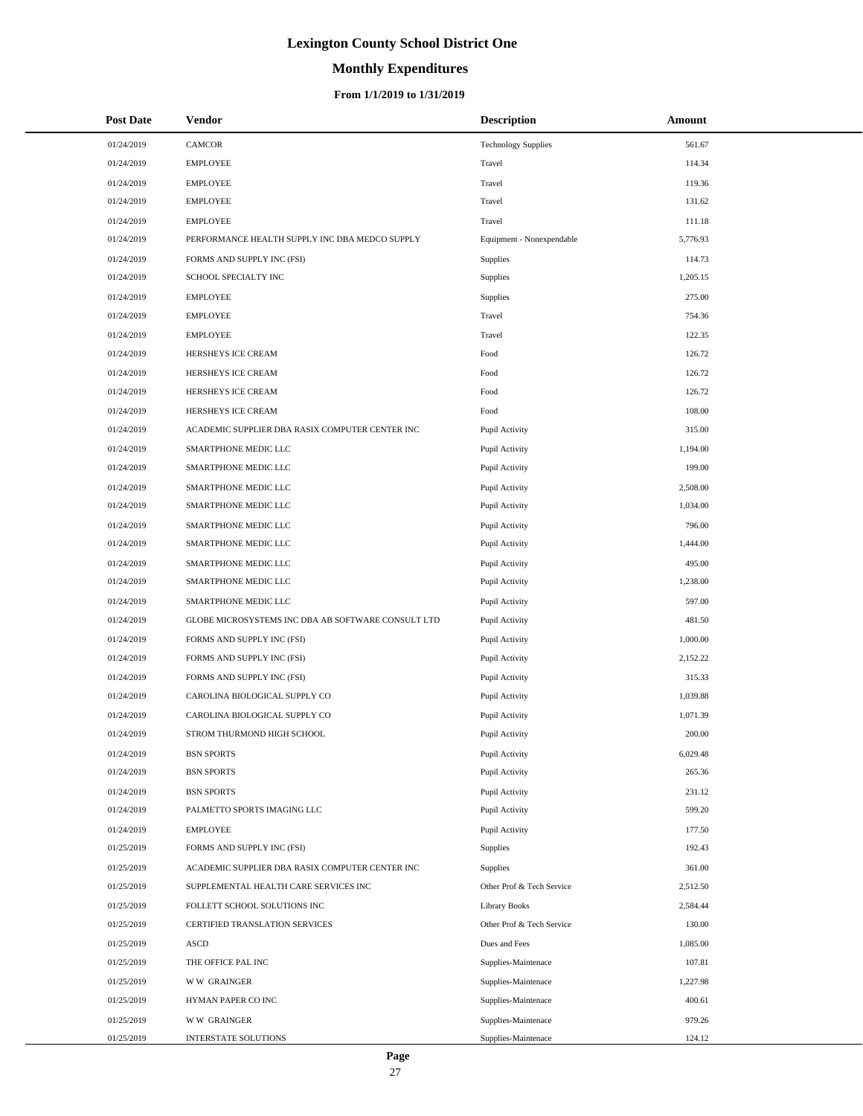# **Monthly Expenditures**

### **From 1/1/2019 to 1/31/2019**

| <b>Post Date</b> | Vendor                                             | <b>Description</b>         | Amount   |
|------------------|----------------------------------------------------|----------------------------|----------|
| 01/24/2019       | <b>CAMCOR</b>                                      | <b>Technology Supplies</b> | 561.67   |
| 01/24/2019       | <b>EMPLOYEE</b>                                    | Travel                     | 114.34   |
| 01/24/2019       | <b>EMPLOYEE</b>                                    | Travel                     | 119.36   |
| 01/24/2019       | <b>EMPLOYEE</b>                                    | Travel                     | 131.62   |
| 01/24/2019       | <b>EMPLOYEE</b>                                    | Travel                     | 111.18   |
| 01/24/2019       | PERFORMANCE HEALTH SUPPLY INC DBA MEDCO SUPPLY     | Equipment - Nonexpendable  | 5,776.93 |
| 01/24/2019       | FORMS AND SUPPLY INC (FSI)                         | Supplies                   | 114.73   |
| 01/24/2019       | SCHOOL SPECIALTY INC                               | Supplies                   | 1,205.15 |
| 01/24/2019       | <b>EMPLOYEE</b>                                    | Supplies                   | 275.00   |
| 01/24/2019       | <b>EMPLOYEE</b>                                    | Travel                     | 754.36   |
| 01/24/2019       | <b>EMPLOYEE</b>                                    | Travel                     | 122.35   |
| 01/24/2019       | HERSHEYS ICE CREAM                                 | Food                       | 126.72   |
| 01/24/2019       | HERSHEYS ICE CREAM                                 | Food                       | 126.72   |
| 01/24/2019       | HERSHEYS ICE CREAM                                 | Food                       | 126.72   |
| 01/24/2019       | HERSHEYS ICE CREAM                                 | Food                       | 108.00   |
| 01/24/2019       | ACADEMIC SUPPLIER DBA RASIX COMPUTER CENTER INC    | Pupil Activity             | 315.00   |
| 01/24/2019       | SMARTPHONE MEDIC LLC                               | Pupil Activity             | 1,194.00 |
| 01/24/2019       | SMARTPHONE MEDIC LLC                               | Pupil Activity             | 199.00   |
| 01/24/2019       | SMARTPHONE MEDIC LLC                               | Pupil Activity             | 2,508.00 |
| 01/24/2019       | SMARTPHONE MEDIC LLC                               | Pupil Activity             | 1,034.00 |
| 01/24/2019       | SMARTPHONE MEDIC LLC                               | Pupil Activity             | 796.00   |
| 01/24/2019       | SMARTPHONE MEDIC LLC                               | Pupil Activity             | 1,444.00 |
| 01/24/2019       | SMARTPHONE MEDIC LLC                               | Pupil Activity             | 495.00   |
| 01/24/2019       | SMARTPHONE MEDIC LLC                               | Pupil Activity             | 1,238.00 |
| 01/24/2019       | SMARTPHONE MEDIC LLC                               | Pupil Activity             | 597.00   |
| 01/24/2019       | GLOBE MICROSYSTEMS INC DBA AB SOFTWARE CONSULT LTD | Pupil Activity             | 481.50   |
| 01/24/2019       | FORMS AND SUPPLY INC (FSI)                         | Pupil Activity             | 1,000.00 |
| 01/24/2019       | FORMS AND SUPPLY INC (FSI)                         | Pupil Activity             | 2,152.22 |
| 01/24/2019       | FORMS AND SUPPLY INC (FSI)                         | Pupil Activity             | 315.33   |
| 01/24/2019       | CAROLINA BIOLOGICAL SUPPLY CO                      | Pupil Activity             | 1,039.88 |
| 01/24/2019       | CAROLINA BIOLOGICAL SUPPLY CO                      | Pupil Activity             | 1,071.39 |
| 01/24/2019       | STROM THURMOND HIGH SCHOOL                         | Pupil Activity             | 200.00   |
| 01/24/2019       | <b>BSN SPORTS</b>                                  | Pupil Activity             | 6,029.48 |
| 01/24/2019       | <b>BSN SPORTS</b>                                  | Pupil Activity             | 265.36   |
| 01/24/2019       | <b>BSN SPORTS</b>                                  | Pupil Activity             | 231.12   |
| 01/24/2019       | PALMETTO SPORTS IMAGING LLC                        | Pupil Activity             | 599.20   |
| 01/24/2019       | <b>EMPLOYEE</b>                                    | Pupil Activity             | 177.50   |
| 01/25/2019       | FORMS AND SUPPLY INC (FSI)                         | <b>Supplies</b>            | 192.43   |
| 01/25/2019       | ACADEMIC SUPPLIER DBA RASIX COMPUTER CENTER INC    | Supplies                   | 361.00   |
| 01/25/2019       | SUPPLEMENTAL HEALTH CARE SERVICES INC              | Other Prof & Tech Service  | 2,512.50 |
| 01/25/2019       | FOLLETT SCHOOL SOLUTIONS INC                       | <b>Library Books</b>       | 2,584.44 |
| 01/25/2019       | CERTIFIED TRANSLATION SERVICES                     | Other Prof & Tech Service  | 130.00   |
| 01/25/2019       | <b>ASCD</b>                                        | Dues and Fees              | 1,085.00 |
| 01/25/2019       | THE OFFICE PAL INC                                 | Supplies-Maintenace        | 107.81   |
| 01/25/2019       | <b>WW GRAINGER</b>                                 | Supplies-Maintenace        | 1,227.98 |
| 01/25/2019       | HYMAN PAPER CO INC                                 | Supplies-Maintenace        | 400.61   |
| 01/25/2019       | <b>WW GRAINGER</b>                                 | Supplies-Maintenace        | 979.26   |
| 01/25/2019       | INTERSTATE SOLUTIONS                               | Supplies-Maintenace        | 124.12   |

 $\overline{\phantom{a}}$  $\overline{a}$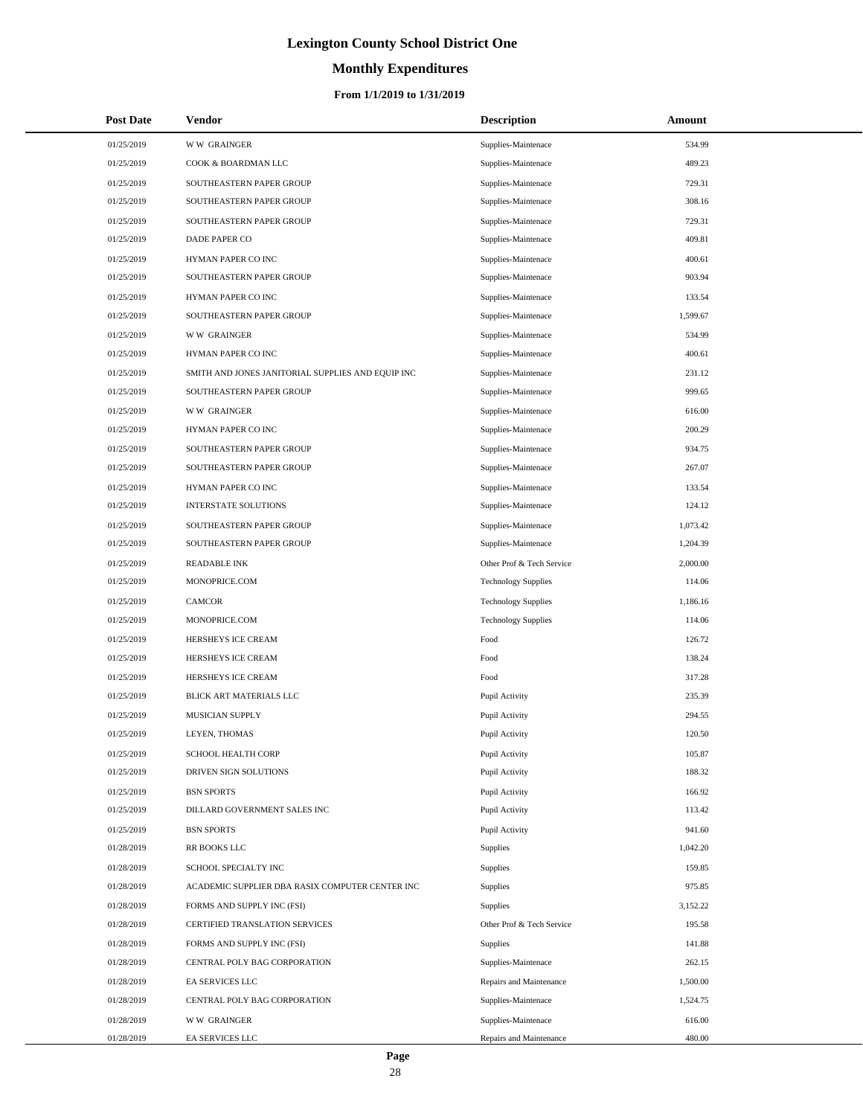# **Monthly Expenditures**

### **From 1/1/2019 to 1/31/2019**

| <b>Post Date</b> | <b>Vendor</b>                                     | <b>Description</b>         | Amount   |
|------------------|---------------------------------------------------|----------------------------|----------|
| 01/25/2019       | <b>WW GRAINGER</b>                                | Supplies-Maintenace        | 534.99   |
| 01/25/2019       | COOK & BOARDMAN LLC                               | Supplies-Maintenace        | 489.23   |
| 01/25/2019       | SOUTHEASTERN PAPER GROUP                          | Supplies-Maintenace        | 729.31   |
| 01/25/2019       | SOUTHEASTERN PAPER GROUP                          | Supplies-Maintenace        | 308.16   |
| 01/25/2019       | SOUTHEASTERN PAPER GROUP                          | Supplies-Maintenace        | 729.31   |
| 01/25/2019       | DADE PAPER CO                                     | Supplies-Maintenace        | 409.81   |
| 01/25/2019       | HYMAN PAPER CO INC                                | Supplies-Maintenace        | 400.61   |
| 01/25/2019       | SOUTHEASTERN PAPER GROUP                          | Supplies-Maintenace        | 903.94   |
| 01/25/2019       | HYMAN PAPER CO INC                                | Supplies-Maintenace        | 133.54   |
| 01/25/2019       | SOUTHEASTERN PAPER GROUP                          | Supplies-Maintenace        | 1,599.67 |
| 01/25/2019       | <b>WW GRAINGER</b>                                | Supplies-Maintenace        | 534.99   |
| 01/25/2019       | HYMAN PAPER CO INC                                | Supplies-Maintenace        | 400.61   |
| 01/25/2019       | SMITH AND JONES JANITORIAL SUPPLIES AND EQUIP INC | Supplies-Maintenace        | 231.12   |
| 01/25/2019       | SOUTHEASTERN PAPER GROUP                          | Supplies-Maintenace        | 999.65   |
| 01/25/2019       | <b>WW GRAINGER</b>                                | Supplies-Maintenace        | 616.00   |
| 01/25/2019       | HYMAN PAPER CO INC                                | Supplies-Maintenace        | 200.29   |
| 01/25/2019       | SOUTHEASTERN PAPER GROUP                          | Supplies-Maintenace        | 934.75   |
| 01/25/2019       | SOUTHEASTERN PAPER GROUP                          | Supplies-Maintenace        | 267.07   |
| 01/25/2019       | HYMAN PAPER CO INC                                | Supplies-Maintenace        | 133.54   |
| 01/25/2019       | <b>INTERSTATE SOLUTIONS</b>                       | Supplies-Maintenace        | 124.12   |
| 01/25/2019       | SOUTHEASTERN PAPER GROUP                          | Supplies-Maintenace        | 1,073.42 |
| 01/25/2019       | SOUTHEASTERN PAPER GROUP                          | Supplies-Maintenace        | 1,204.39 |
| 01/25/2019       | <b>READABLE INK</b>                               | Other Prof & Tech Service  | 2,000.00 |
| 01/25/2019       | MONOPRICE.COM                                     | <b>Technology Supplies</b> | 114.06   |
| 01/25/2019       | <b>CAMCOR</b>                                     | <b>Technology Supplies</b> | 1,186.16 |
| 01/25/2019       | MONOPRICE.COM                                     | <b>Technology Supplies</b> | 114.06   |
| 01/25/2019       | HERSHEYS ICE CREAM                                | Food                       | 126.72   |
| 01/25/2019       | HERSHEYS ICE CREAM                                | Food                       | 138.24   |
| 01/25/2019       | HERSHEYS ICE CREAM                                | Food                       | 317.28   |
| 01/25/2019       | BLICK ART MATERIALS LLC                           | Pupil Activity             | 235.39   |
| 01/25/2019       | MUSICIAN SUPPLY                                   | Pupil Activity             | 294.55   |
| 01/25/2019       | LEYEN, THOMAS                                     | Pupil Activity             | 120.50   |
| 01/25/2019       | SCHOOL HEALTH CORP                                | Pupil Activity             | 105.87   |
| 01/25/2019       | DRIVEN SIGN SOLUTIONS                             | Pupil Activity             | 188.32   |
| 01/25/2019       | <b>BSN SPORTS</b>                                 | Pupil Activity             | 166.92   |
| 01/25/2019       | DILLARD GOVERNMENT SALES INC                      | Pupil Activity             | 113.42   |
| 01/25/2019       | <b>BSN SPORTS</b>                                 | Pupil Activity             | 941.60   |
| 01/28/2019       | RR BOOKS LLC                                      | Supplies                   | 1,042.20 |
| 01/28/2019       | SCHOOL SPECIALTY INC                              | Supplies                   | 159.85   |
| 01/28/2019       | ACADEMIC SUPPLIER DBA RASIX COMPUTER CENTER INC   | Supplies                   | 975.85   |
| 01/28/2019       | FORMS AND SUPPLY INC (FSI)                        | Supplies                   | 3,152.22 |
| 01/28/2019       | CERTIFIED TRANSLATION SERVICES                    | Other Prof & Tech Service  | 195.58   |
| 01/28/2019       | FORMS AND SUPPLY INC (FSI)                        | Supplies                   | 141.88   |
| 01/28/2019       | CENTRAL POLY BAG CORPORATION                      | Supplies-Maintenace        | 262.15   |
| 01/28/2019       | EA SERVICES LLC                                   | Repairs and Maintenance    | 1,500.00 |
| 01/28/2019       | CENTRAL POLY BAG CORPORATION                      | Supplies-Maintenace        | 1,524.75 |
| 01/28/2019       | <b>WW GRAINGER</b>                                | Supplies-Maintenace        | 616.00   |
| 01/28/2019       | EA SERVICES LLC                                   | Repairs and Maintenance    | 480.00   |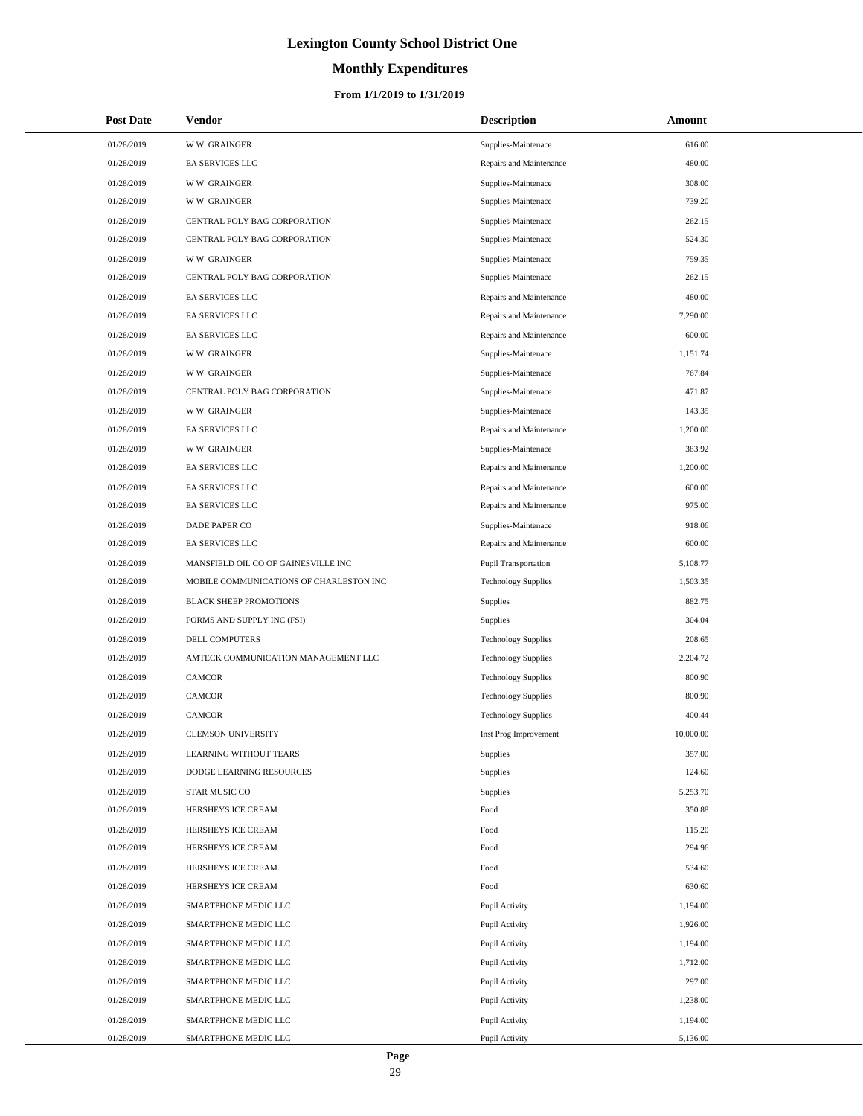# **Monthly Expenditures**

| <b>Post Date</b> | Vendor                                  | <b>Description</b>         | Amount    |
|------------------|-----------------------------------------|----------------------------|-----------|
| 01/28/2019       | <b>WW GRAINGER</b>                      | Supplies-Maintenace        | 616.00    |
| 01/28/2019       | <b>EA SERVICES LLC</b>                  | Repairs and Maintenance    | 480.00    |
| 01/28/2019       | <b>WW GRAINGER</b>                      | Supplies-Maintenace        | 308.00    |
| 01/28/2019       | <b>WW GRAINGER</b>                      | Supplies-Maintenace        | 739.20    |
| 01/28/2019       | CENTRAL POLY BAG CORPORATION            | Supplies-Maintenace        | 262.15    |
| 01/28/2019       | CENTRAL POLY BAG CORPORATION            | Supplies-Maintenace        | 524.30    |
| 01/28/2019       | <b>WW GRAINGER</b>                      | Supplies-Maintenace        | 759.35    |
| 01/28/2019       | CENTRAL POLY BAG CORPORATION            | Supplies-Maintenace        | 262.15    |
| 01/28/2019       | EA SERVICES LLC                         | Repairs and Maintenance    | 480.00    |
| 01/28/2019       | EA SERVICES LLC                         | Repairs and Maintenance    | 7,290.00  |
| 01/28/2019       | EA SERVICES LLC                         | Repairs and Maintenance    | 600.00    |
| 01/28/2019       | <b>WW GRAINGER</b>                      | Supplies-Maintenace        | 1,151.74  |
| 01/28/2019       | <b>WW GRAINGER</b>                      | Supplies-Maintenace        | 767.84    |
| 01/28/2019       | CENTRAL POLY BAG CORPORATION            | Supplies-Maintenace        | 471.87    |
| 01/28/2019       | <b>WW GRAINGER</b>                      | Supplies-Maintenace        | 143.35    |
| 01/28/2019       | EA SERVICES LLC                         | Repairs and Maintenance    | 1,200.00  |
| 01/28/2019       | <b>WW GRAINGER</b>                      | Supplies-Maintenace        | 383.92    |
| 01/28/2019       | EA SERVICES LLC                         | Repairs and Maintenance    | 1,200.00  |
| 01/28/2019       | EA SERVICES LLC                         | Repairs and Maintenance    | 600.00    |
| 01/28/2019       | EA SERVICES LLC                         | Repairs and Maintenance    | 975.00    |
| 01/28/2019       | DADE PAPER CO                           | Supplies-Maintenace        | 918.06    |
| 01/28/2019       | EA SERVICES LLC                         | Repairs and Maintenance    | 600.00    |
| 01/28/2019       | MANSFIELD OIL CO OF GAINESVILLE INC     | Pupil Transportation       | 5,108.77  |
| 01/28/2019       | MOBILE COMMUNICATIONS OF CHARLESTON INC | <b>Technology Supplies</b> | 1,503.35  |
| 01/28/2019       | <b>BLACK SHEEP PROMOTIONS</b>           | <b>Supplies</b>            | 882.75    |
| 01/28/2019       | FORMS AND SUPPLY INC (FSI)              | <b>Supplies</b>            | 304.04    |
| 01/28/2019       | DELL COMPUTERS                          | <b>Technology Supplies</b> | 208.65    |
| 01/28/2019       | AMTECK COMMUNICATION MANAGEMENT LLC     | <b>Technology Supplies</b> | 2,204.72  |
| 01/28/2019       | <b>CAMCOR</b>                           | <b>Technology Supplies</b> | 800.90    |
| 01/28/2019       | CAMCOR                                  | <b>Technology Supplies</b> | 800.90    |
| 01/28/2019       | <b>CAMCOR</b>                           | <b>Technology Supplies</b> | 400.44    |
| 01/28/2019       | <b>CLEMSON UNIVERSITY</b>               | Inst Prog Improvement      | 10,000.00 |
| 01/28/2019       | LEARNING WITHOUT TEARS                  | Supplies                   | 357.00    |
| 01/28/2019       | DODGE LEARNING RESOURCES                | Supplies                   | 124.60    |
| 01/28/2019       | STAR MUSIC CO                           | Supplies                   | 5,253.70  |
| 01/28/2019       | HERSHEYS ICE CREAM                      | Food                       | 350.88    |
| 01/28/2019       | HERSHEYS ICE CREAM                      | Food                       | 115.20    |
| 01/28/2019       | HERSHEYS ICE CREAM                      | Food                       | 294.96    |
| 01/28/2019       | HERSHEYS ICE CREAM                      | Food                       | 534.60    |
| 01/28/2019       | HERSHEYS ICE CREAM                      | Food                       | 630.60    |
| 01/28/2019       | SMARTPHONE MEDIC LLC                    | Pupil Activity             | 1,194.00  |
| 01/28/2019       | SMARTPHONE MEDIC LLC                    | Pupil Activity             | 1,926.00  |
| 01/28/2019       | SMARTPHONE MEDIC LLC                    | Pupil Activity             | 1,194.00  |
| 01/28/2019       | SMARTPHONE MEDIC LLC                    | Pupil Activity             | 1,712.00  |
| 01/28/2019       | SMARTPHONE MEDIC LLC                    | Pupil Activity             | 297.00    |
| 01/28/2019       | SMARTPHONE MEDIC LLC                    | Pupil Activity             | 1,238.00  |
| 01/28/2019       | SMARTPHONE MEDIC LLC                    | Pupil Activity             | 1,194.00  |
| 01/28/2019       | SMARTPHONE MEDIC LLC                    | Pupil Activity             | 5,136.00  |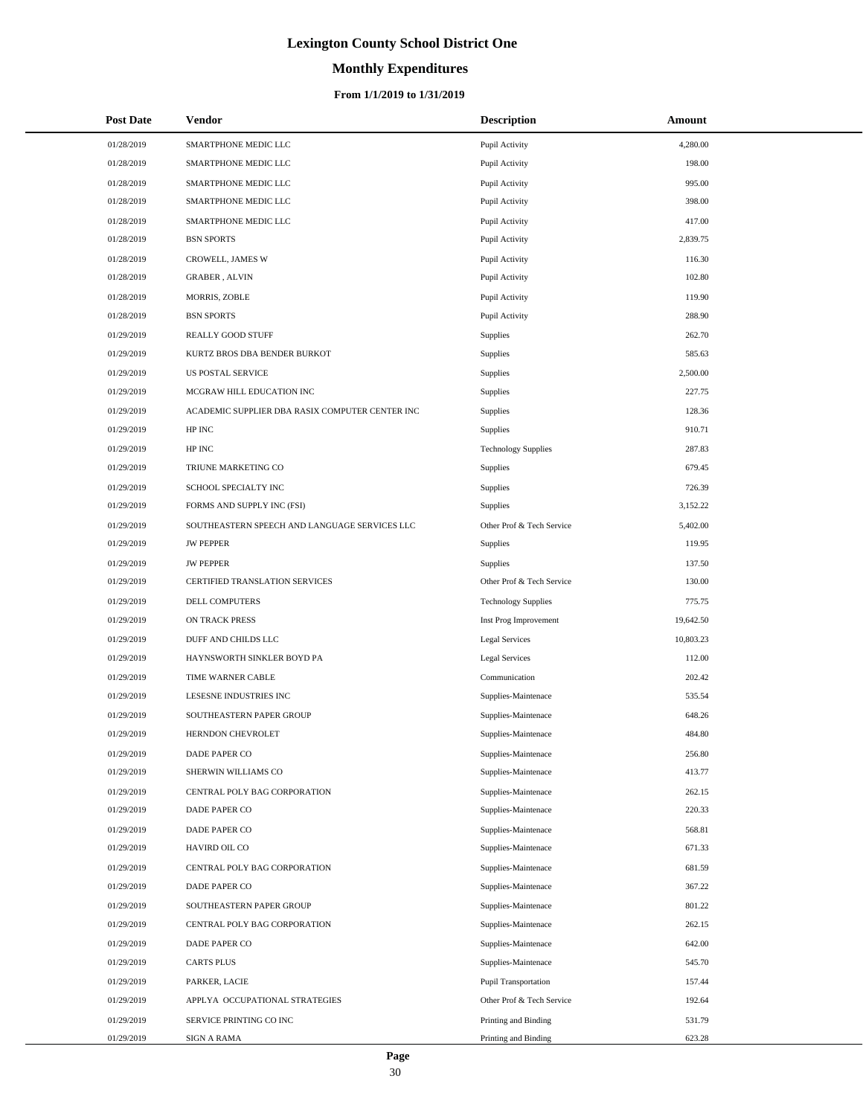# **Monthly Expenditures**

| <b>Post Date</b> | <b>Vendor</b>                                   | <b>Description</b>          | Amount    |
|------------------|-------------------------------------------------|-----------------------------|-----------|
| 01/28/2019       | SMARTPHONE MEDIC LLC                            | Pupil Activity              | 4,280.00  |
| 01/28/2019       | SMARTPHONE MEDIC LLC                            | Pupil Activity              | 198.00    |
| 01/28/2019       | SMARTPHONE MEDIC LLC                            | Pupil Activity              | 995.00    |
| 01/28/2019       | SMARTPHONE MEDIC LLC                            | Pupil Activity              | 398.00    |
| 01/28/2019       | SMARTPHONE MEDIC LLC                            | Pupil Activity              | 417.00    |
| 01/28/2019       | <b>BSN SPORTS</b>                               | Pupil Activity              | 2,839.75  |
| 01/28/2019       | CROWELL, JAMES W                                | Pupil Activity              | 116.30    |
| 01/28/2019       | <b>GRABER, ALVIN</b>                            | Pupil Activity              | 102.80    |
| 01/28/2019       | MORRIS, ZOBLE                                   | Pupil Activity              | 119.90    |
| 01/28/2019       | <b>BSN SPORTS</b>                               | Pupil Activity              | 288.90    |
| 01/29/2019       | REALLY GOOD STUFF                               | Supplies                    | 262.70    |
| 01/29/2019       | KURTZ BROS DBA BENDER BURKOT                    | <b>Supplies</b>             | 585.63    |
| 01/29/2019       | US POSTAL SERVICE                               | Supplies                    | 2,500.00  |
| 01/29/2019       | MCGRAW HILL EDUCATION INC                       | <b>Supplies</b>             | 227.75    |
| 01/29/2019       | ACADEMIC SUPPLIER DBA RASIX COMPUTER CENTER INC | Supplies                    | 128.36    |
| 01/29/2019       | HP INC                                          | <b>Supplies</b>             | 910.71    |
| 01/29/2019       | HP INC                                          | <b>Technology Supplies</b>  | 287.83    |
| 01/29/2019       | TRIUNE MARKETING CO                             | <b>Supplies</b>             | 679.45    |
| 01/29/2019       | SCHOOL SPECIALTY INC                            | Supplies                    | 726.39    |
| 01/29/2019       | FORMS AND SUPPLY INC (FSI)                      | <b>Supplies</b>             | 3,152.22  |
| 01/29/2019       | SOUTHEASTERN SPEECH AND LANGUAGE SERVICES LLC   | Other Prof & Tech Service   | 5,402.00  |
| 01/29/2019       | <b>JW PEPPER</b>                                | <b>Supplies</b>             | 119.95    |
| 01/29/2019       | <b>JW PEPPER</b>                                | Supplies                    | 137.50    |
| 01/29/2019       | CERTIFIED TRANSLATION SERVICES                  | Other Prof & Tech Service   | 130.00    |
| 01/29/2019       | DELL COMPUTERS                                  | <b>Technology Supplies</b>  | 775.75    |
| 01/29/2019       | ON TRACK PRESS                                  | Inst Prog Improvement       | 19,642.50 |
| 01/29/2019       | DUFF AND CHILDS LLC                             | <b>Legal Services</b>       | 10,803.23 |
| 01/29/2019       | HAYNSWORTH SINKLER BOYD PA                      | <b>Legal Services</b>       | 112.00    |
| 01/29/2019       | TIME WARNER CABLE                               | Communication               | 202.42    |
| 01/29/2019       | LESESNE INDUSTRIES INC                          | Supplies-Maintenace         | 535.54    |
| 01/29/2019       | SOUTHEASTERN PAPER GROUP                        | Supplies-Maintenace         | 648.26    |
| 01/29/2019       | HERNDON CHEVROLET                               | Supplies-Maintenace         | 484.80    |
| 01/29/2019       | DADE PAPER CO                                   | Supplies-Maintenace         | 256.80    |
| 01/29/2019       | SHERWIN WILLIAMS CO                             | Supplies-Maintenace         | 413.77    |
| 01/29/2019       | CENTRAL POLY BAG CORPORATION                    | Supplies-Maintenace         | 262.15    |
| 01/29/2019       | DADE PAPER CO                                   | Supplies-Maintenace         | 220.33    |
| 01/29/2019       | DADE PAPER CO                                   | Supplies-Maintenace         | 568.81    |
| 01/29/2019       | HAVIRD OIL CO                                   | Supplies-Maintenace         | 671.33    |
| 01/29/2019       | CENTRAL POLY BAG CORPORATION                    | Supplies-Maintenace         | 681.59    |
| 01/29/2019       | DADE PAPER CO                                   | Supplies-Maintenace         | 367.22    |
| 01/29/2019       | SOUTHEASTERN PAPER GROUP                        | Supplies-Maintenace         | 801.22    |
| 01/29/2019       | CENTRAL POLY BAG CORPORATION                    | Supplies-Maintenace         | 262.15    |
| 01/29/2019       | DADE PAPER CO                                   | Supplies-Maintenace         | 642.00    |
| 01/29/2019       | <b>CARTS PLUS</b>                               | Supplies-Maintenace         | 545.70    |
| 01/29/2019       | PARKER, LACIE                                   | <b>Pupil Transportation</b> | 157.44    |
| 01/29/2019       | APPLYA OCCUPATIONAL STRATEGIES                  | Other Prof & Tech Service   | 192.64    |
| 01/29/2019       | SERVICE PRINTING CO INC                         | Printing and Binding        | 531.79    |
| 01/29/2019       | SIGN A RAMA                                     | Printing and Binding        | 623.28    |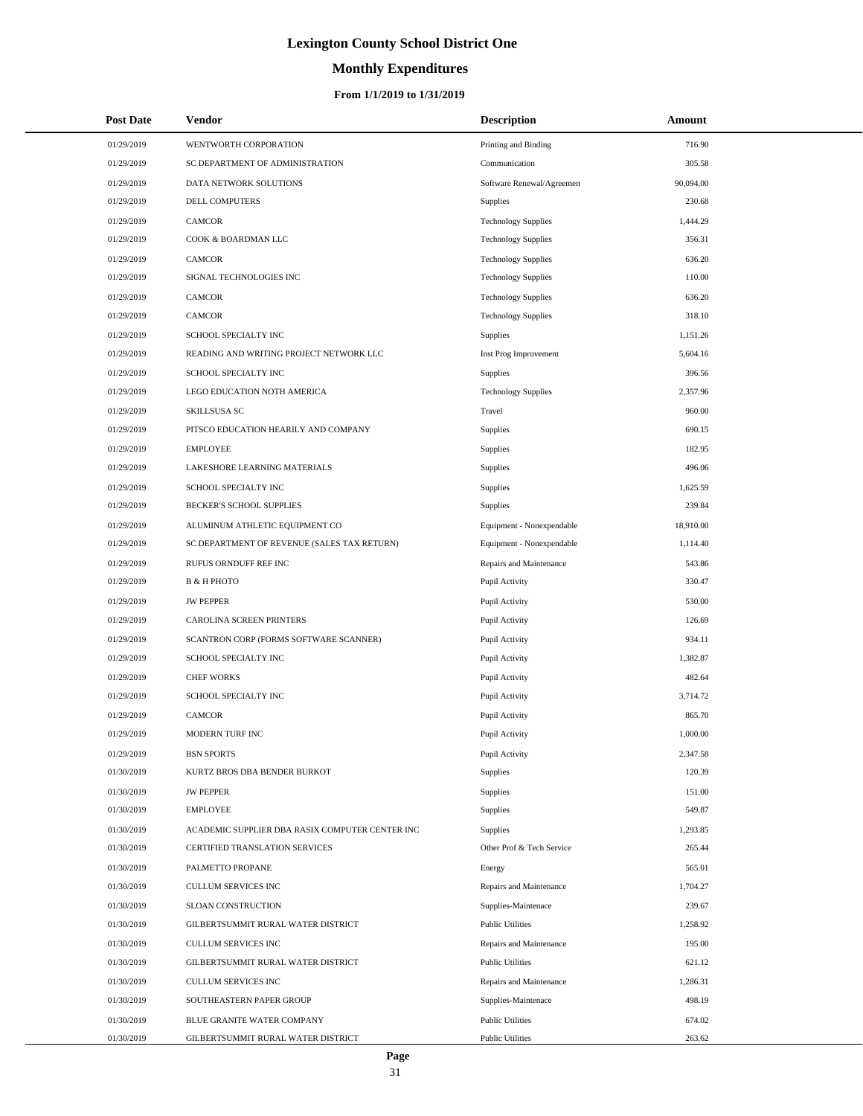# **Monthly Expenditures**

| <b>Post Date</b> | Vendor                                          | <b>Description</b>         | Amount    |  |
|------------------|-------------------------------------------------|----------------------------|-----------|--|
| 01/29/2019       | WENTWORTH CORPORATION                           | Printing and Binding       | 716.90    |  |
| 01/29/2019       | SC DEPARTMENT OF ADMINISTRATION                 | Communication              | 305.58    |  |
| 01/29/2019       | DATA NETWORK SOLUTIONS                          | Software Renewal/Agreemen  | 90,094.00 |  |
| 01/29/2019       | DELL COMPUTERS                                  | Supplies                   | 230.68    |  |
| 01/29/2019       | CAMCOR                                          | <b>Technology Supplies</b> | 1,444.29  |  |
| 01/29/2019       | COOK & BOARDMAN LLC                             | <b>Technology Supplies</b> | 356.31    |  |
| 01/29/2019       | <b>CAMCOR</b>                                   | <b>Technology Supplies</b> | 636.20    |  |
| 01/29/2019       | SIGNAL TECHNOLOGIES INC                         | <b>Technology Supplies</b> | 110.00    |  |
| 01/29/2019       | <b>CAMCOR</b>                                   | <b>Technology Supplies</b> | 636.20    |  |
| 01/29/2019       | <b>CAMCOR</b>                                   | <b>Technology Supplies</b> | 318.10    |  |
| 01/29/2019       | SCHOOL SPECIALTY INC                            | Supplies                   | 1,151.26  |  |
| 01/29/2019       | READING AND WRITING PROJECT NETWORK LLC         | Inst Prog Improvement      | 5,604.16  |  |
| 01/29/2019       | SCHOOL SPECIALTY INC                            | Supplies                   | 396.56    |  |
| 01/29/2019       | LEGO EDUCATION NOTH AMERICA                     | <b>Technology Supplies</b> | 2,357.96  |  |
| 01/29/2019       | SKILLSUSA SC                                    | Travel                     | 960.00    |  |
| 01/29/2019       | PITSCO EDUCATION HEARILY AND COMPANY            | Supplies                   | 690.15    |  |
| 01/29/2019       | <b>EMPLOYEE</b>                                 | Supplies                   | 182.95    |  |
| 01/29/2019       | LAKESHORE LEARNING MATERIALS                    | Supplies                   | 496.06    |  |
| 01/29/2019       | SCHOOL SPECIALTY INC                            | Supplies                   | 1,625.59  |  |
| 01/29/2019       | BECKER'S SCHOOL SUPPLIES                        | Supplies                   | 239.84    |  |
| 01/29/2019       | ALUMINUM ATHLETIC EQUIPMENT CO                  | Equipment - Nonexpendable  | 18,910.00 |  |
| 01/29/2019       | SC DEPARTMENT OF REVENUE (SALES TAX RETURN)     | Equipment - Nonexpendable  | 1,114.40  |  |
| 01/29/2019       | RUFUS ORNDUFF REF INC                           | Repairs and Maintenance    | 543.86    |  |
| 01/29/2019       | <b>B &amp; H PHOTO</b>                          | Pupil Activity             | 330.47    |  |
| 01/29/2019       | <b>JW PEPPER</b>                                | Pupil Activity             | 530.00    |  |
| 01/29/2019       | CAROLINA SCREEN PRINTERS                        | Pupil Activity             | 126.69    |  |
| 01/29/2019       | SCANTRON CORP (FORMS SOFTWARE SCANNER)          | Pupil Activity             | 934.11    |  |
| 01/29/2019       | SCHOOL SPECIALTY INC                            | Pupil Activity             | 1,382.87  |  |
| 01/29/2019       | <b>CHEF WORKS</b>                               | Pupil Activity             | 482.64    |  |
| 01/29/2019       | SCHOOL SPECIALTY INC                            | Pupil Activity             | 3,714.72  |  |
| 01/29/2019       | <b>CAMCOR</b>                                   | Pupil Activity             | 865.70    |  |
| 01/29/2019       | MODERN TURF INC                                 | Pupil Activity             | 1,000.00  |  |
| 01/29/2019       | <b>BSN SPORTS</b>                               | Pupil Activity             | 2,347.58  |  |
| 01/30/2019       | KURTZ BROS DBA BENDER BURKOT                    | Supplies                   | 120.39    |  |
| 01/30/2019       | <b>JW PEPPER</b>                                | Supplies                   | 151.00    |  |
| 01/30/2019       | <b>EMPLOYEE</b>                                 | Supplies                   | 549.87    |  |
| 01/30/2019       | ACADEMIC SUPPLIER DBA RASIX COMPUTER CENTER INC | Supplies                   | 1,293.85  |  |
| 01/30/2019       | CERTIFIED TRANSLATION SERVICES                  | Other Prof & Tech Service  | 265.44    |  |
| 01/30/2019       | PALMETTO PROPANE                                | Energy                     | 565.01    |  |
| 01/30/2019       | CULLUM SERVICES INC                             | Repairs and Maintenance    | 1,704.27  |  |
| 01/30/2019       | SLOAN CONSTRUCTION                              | Supplies-Maintenace        | 239.67    |  |
| 01/30/2019       | GILBERTSUMMIT RURAL WATER DISTRICT              | <b>Public Utilities</b>    | 1,258.92  |  |
| 01/30/2019       | CULLUM SERVICES INC                             | Repairs and Maintenance    | 195.00    |  |
| 01/30/2019       | GILBERTSUMMIT RURAL WATER DISTRICT              | <b>Public Utilities</b>    | 621.12    |  |
| 01/30/2019       | CULLUM SERVICES INC                             | Repairs and Maintenance    | 1,286.31  |  |
| 01/30/2019       | SOUTHEASTERN PAPER GROUP                        | Supplies-Maintenace        | 498.19    |  |
| 01/30/2019       | BLUE GRANITE WATER COMPANY                      | <b>Public Utilities</b>    | 674.02    |  |
| 01/30/2019       | GILBERTSUMMIT RURAL WATER DISTRICT              | <b>Public Utilities</b>    | 263.62    |  |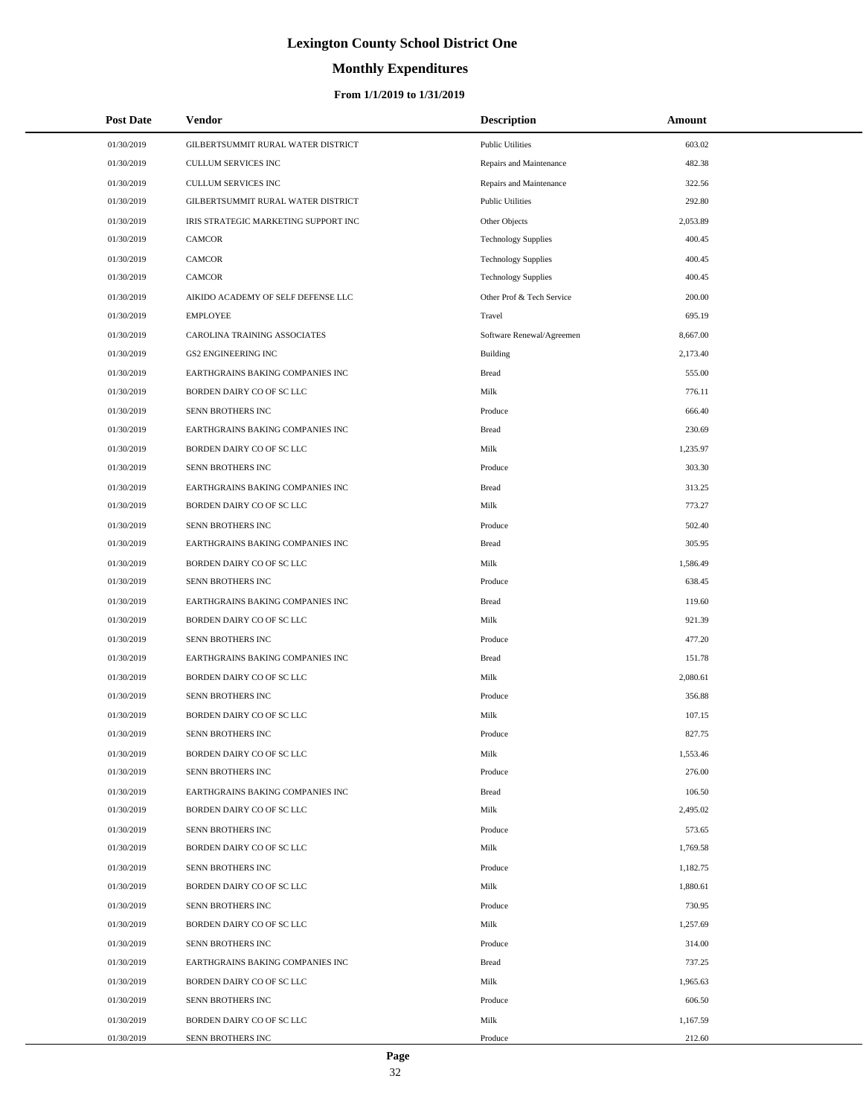# **Monthly Expenditures**

### **From 1/1/2019 to 1/31/2019**

| <b>Post Date</b> | <b>Vendor</b>                        | <b>Description</b>         | Amount   |
|------------------|--------------------------------------|----------------------------|----------|
| 01/30/2019       | GILBERTSUMMIT RURAL WATER DISTRICT   | <b>Public Utilities</b>    | 603.02   |
| 01/30/2019       | CULLUM SERVICES INC                  | Repairs and Maintenance    | 482.38   |
| 01/30/2019       | <b>CULLUM SERVICES INC</b>           | Repairs and Maintenance    | 322.56   |
| 01/30/2019       | GILBERTSUMMIT RURAL WATER DISTRICT   | <b>Public Utilities</b>    | 292.80   |
| 01/30/2019       | IRIS STRATEGIC MARKETING SUPPORT INC | Other Objects              | 2,053.89 |
| 01/30/2019       | <b>CAMCOR</b>                        | <b>Technology Supplies</b> | 400.45   |
| 01/30/2019       | CAMCOR                               | <b>Technology Supplies</b> | 400.45   |
| 01/30/2019       | <b>CAMCOR</b>                        | <b>Technology Supplies</b> | 400.45   |
| 01/30/2019       | AIKIDO ACADEMY OF SELF DEFENSE LLC   | Other Prof & Tech Service  | 200.00   |
| 01/30/2019       | <b>EMPLOYEE</b>                      | Travel                     | 695.19   |
| 01/30/2019       | CAROLINA TRAINING ASSOCIATES         | Software Renewal/Agreemen  | 8,667.00 |
| 01/30/2019       | <b>GS2 ENGINEERING INC</b>           | <b>Building</b>            | 2,173.40 |
| 01/30/2019       | EARTHGRAINS BAKING COMPANIES INC     | <b>Bread</b>               | 555.00   |
| 01/30/2019       | BORDEN DAIRY CO OF SC LLC            | Milk                       | 776.11   |
| 01/30/2019       | SENN BROTHERS INC                    | Produce                    | 666.40   |
| 01/30/2019       | EARTHGRAINS BAKING COMPANIES INC     | <b>Bread</b>               | 230.69   |
| 01/30/2019       | BORDEN DAIRY CO OF SC LLC            | Milk                       | 1,235.97 |
| 01/30/2019       | SENN BROTHERS INC                    | Produce                    | 303.30   |
| 01/30/2019       | EARTHGRAINS BAKING COMPANIES INC     | <b>Bread</b>               | 313.25   |
| 01/30/2019       | BORDEN DAIRY CO OF SC LLC            | Milk                       | 773.27   |
| 01/30/2019       | SENN BROTHERS INC                    | Produce                    | 502.40   |
| 01/30/2019       | EARTHGRAINS BAKING COMPANIES INC     | <b>Bread</b>               | 305.95   |
| 01/30/2019       | BORDEN DAIRY CO OF SC LLC            | Milk                       | 1,586.49 |
| 01/30/2019       | SENN BROTHERS INC                    | Produce                    | 638.45   |
| 01/30/2019       | EARTHGRAINS BAKING COMPANIES INC     | <b>Bread</b>               | 119.60   |
| 01/30/2019       | BORDEN DAIRY CO OF SC LLC            | Milk                       | 921.39   |
| 01/30/2019       | SENN BROTHERS INC                    | Produce                    | 477.20   |
| 01/30/2019       | EARTHGRAINS BAKING COMPANIES INC     | <b>Bread</b>               | 151.78   |
| 01/30/2019       | BORDEN DAIRY CO OF SC LLC            | Milk                       | 2,080.61 |
| 01/30/2019       | SENN BROTHERS INC                    | Produce                    | 356.88   |
| 01/30/2019       | BORDEN DAIRY CO OF SC LLC            | Milk                       | 107.15   |
| 01/30/2019       | <b>SENN BROTHERS INC</b>             | Produce                    | 827.75   |
| 01/30/2019       | BORDEN DAIRY CO OF SC LLC            | Milk                       | 1,553.46 |
| 01/30/2019       | SENN BROTHERS INC                    | Produce                    | 276.00   |
| 01/30/2019       | EARTHGRAINS BAKING COMPANIES INC     | <b>Bread</b>               | 106.50   |
| 01/30/2019       | BORDEN DAIRY CO OF SC LLC            | Milk                       | 2,495.02 |
| 01/30/2019       | SENN BROTHERS INC                    | Produce                    | 573.65   |
| 01/30/2019       | BORDEN DAIRY CO OF SC LLC            | Milk                       | 1,769.58 |
| 01/30/2019       | SENN BROTHERS INC                    | Produce                    | 1,182.75 |
| 01/30/2019       | BORDEN DAIRY CO OF SC LLC            | Milk                       | 1,880.61 |
| 01/30/2019       | SENN BROTHERS INC                    | Produce                    | 730.95   |
| 01/30/2019       | BORDEN DAIRY CO OF SC LLC            | Milk                       | 1,257.69 |
| 01/30/2019       | SENN BROTHERS INC                    | Produce                    | 314.00   |
| 01/30/2019       | EARTHGRAINS BAKING COMPANIES INC     | <b>Bread</b>               | 737.25   |
| 01/30/2019       | BORDEN DAIRY CO OF SC LLC            | Milk                       | 1,965.63 |
| 01/30/2019       | SENN BROTHERS INC                    | Produce                    | 606.50   |
| 01/30/2019       | BORDEN DAIRY CO OF SC LLC            | Milk                       | 1,167.59 |
| 01/30/2019       | SENN BROTHERS INC                    | Produce                    | 212.60   |

 $\overline{a}$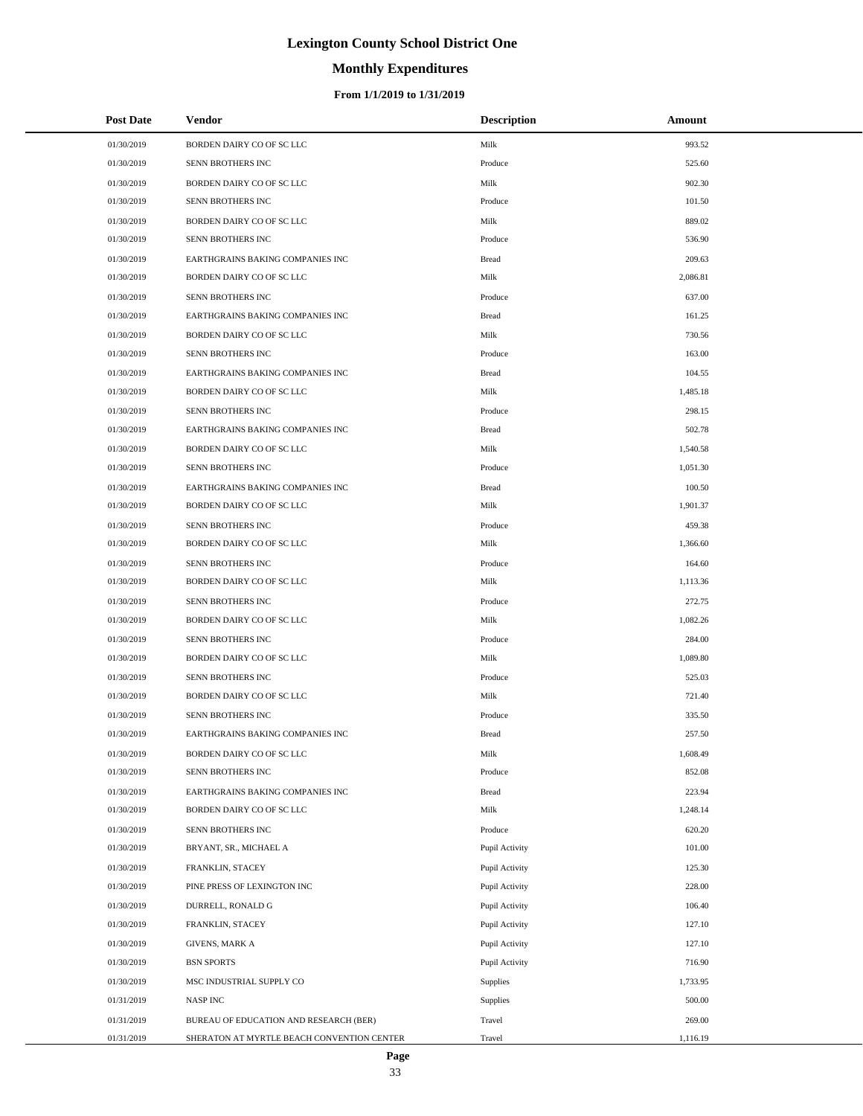# **Monthly Expenditures**

### **From 1/1/2019 to 1/31/2019**

| <b>Post Date</b> | Vendor                                     | <b>Description</b> | Amount   |
|------------------|--------------------------------------------|--------------------|----------|
| 01/30/2019       | BORDEN DAIRY CO OF SC LLC                  | Milk               | 993.52   |
| 01/30/2019       | SENN BROTHERS INC                          | Produce            | 525.60   |
| 01/30/2019       | BORDEN DAIRY CO OF SC LLC                  | Milk               | 902.30   |
| 01/30/2019       | SENN BROTHERS INC                          | Produce            | 101.50   |
| 01/30/2019       | BORDEN DAIRY CO OF SC LLC                  | Milk               | 889.02   |
| 01/30/2019       | SENN BROTHERS INC                          | Produce            | 536.90   |
| 01/30/2019       | EARTHGRAINS BAKING COMPANIES INC           | <b>Bread</b>       | 209.63   |
| 01/30/2019       | BORDEN DAIRY CO OF SC LLC                  | Milk               | 2,086.81 |
| 01/30/2019       | SENN BROTHERS INC                          | Produce            | 637.00   |
| 01/30/2019       | EARTHGRAINS BAKING COMPANIES INC           | <b>Bread</b>       | 161.25   |
| 01/30/2019       | BORDEN DAIRY CO OF SC LLC                  | Milk               | 730.56   |
| 01/30/2019       | SENN BROTHERS INC                          | Produce            | 163.00   |
| 01/30/2019       | EARTHGRAINS BAKING COMPANIES INC           | <b>Bread</b>       | 104.55   |
| 01/30/2019       | BORDEN DAIRY CO OF SC LLC                  | Milk               | 1,485.18 |
| 01/30/2019       | SENN BROTHERS INC                          | Produce            | 298.15   |
| 01/30/2019       | EARTHGRAINS BAKING COMPANIES INC           | <b>Bread</b>       | 502.78   |
| 01/30/2019       | BORDEN DAIRY CO OF SC LLC                  | Milk               | 1,540.58 |
| 01/30/2019       | SENN BROTHERS INC                          | Produce            | 1,051.30 |
| 01/30/2019       | EARTHGRAINS BAKING COMPANIES INC           | <b>Bread</b>       | 100.50   |
| 01/30/2019       | BORDEN DAIRY CO OF SC LLC                  | Milk               | 1,901.37 |
| 01/30/2019       | SENN BROTHERS INC                          | Produce            | 459.38   |
| 01/30/2019       | BORDEN DAIRY CO OF SC LLC                  | Milk               | 1,366.60 |
| 01/30/2019       | SENN BROTHERS INC                          | Produce            | 164.60   |
| 01/30/2019       | BORDEN DAIRY CO OF SC LLC                  | Milk               | 1,113.36 |
| 01/30/2019       | SENN BROTHERS INC                          | Produce            | 272.75   |
| 01/30/2019       | BORDEN DAIRY CO OF SC LLC                  | Milk               | 1,082.26 |
| 01/30/2019       | SENN BROTHERS INC                          | Produce            | 284.00   |
| 01/30/2019       | BORDEN DAIRY CO OF SC LLC                  | Milk               | 1,089.80 |
| 01/30/2019       | SENN BROTHERS INC                          | Produce            | 525.03   |
| 01/30/2019       | BORDEN DAIRY CO OF SC LLC                  | Milk               | 721.40   |
| 01/30/2019       | SENN BROTHERS INC                          | Produce            | 335.50   |
| 01/30/2019       | EARTHGRAINS BAKING COMPANIES INC           | <b>Bread</b>       | 257.50   |
| 01/30/2019       | BORDEN DAIRY CO OF SC LLC                  | Milk               | 1,608.49 |
| 01/30/2019       | SENN BROTHERS INC                          | Produce            | 852.08   |
| 01/30/2019       | EARTHGRAINS BAKING COMPANIES INC           | <b>Bread</b>       | 223.94   |
| 01/30/2019       | BORDEN DAIRY CO OF SC LLC                  | Milk               | 1,248.14 |
| 01/30/2019       | SENN BROTHERS INC                          | Produce            | 620.20   |
| 01/30/2019       | BRYANT, SR., MICHAEL A                     | Pupil Activity     | 101.00   |
| 01/30/2019       | FRANKLIN, STACEY                           | Pupil Activity     | 125.30   |
| 01/30/2019       | PINE PRESS OF LEXINGTON INC                | Pupil Activity     | 228.00   |
| 01/30/2019       | DURRELL, RONALD G                          | Pupil Activity     | 106.40   |
| 01/30/2019       | FRANKLIN, STACEY                           | Pupil Activity     | 127.10   |
| 01/30/2019       | <b>GIVENS, MARK A</b>                      | Pupil Activity     | 127.10   |
| 01/30/2019       | <b>BSN SPORTS</b>                          | Pupil Activity     | 716.90   |
| 01/30/2019       | MSC INDUSTRIAL SUPPLY CO                   | Supplies           | 1,733.95 |
| 01/31/2019       | NASP INC                                   | Supplies           | 500.00   |
| 01/31/2019       | BUREAU OF EDUCATION AND RESEARCH (BER)     | Travel             | 269.00   |
| 01/31/2019       | SHERATON AT MYRTLE BEACH CONVENTION CENTER | Travel             | 1,116.19 |